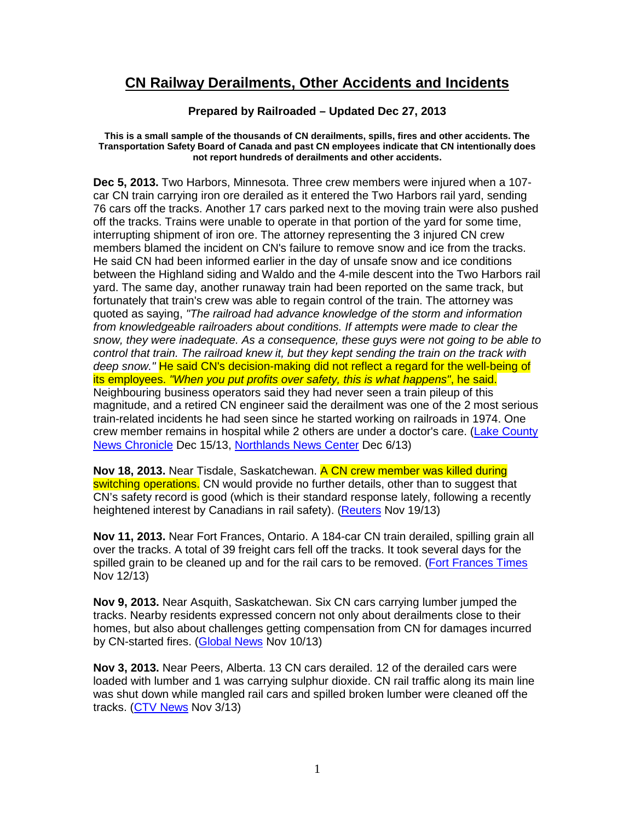## **CN Railway Derailments, Other Accidents and Incidents**

## **Prepared by Railroaded – Updated Dec 27, 2013**

## **This is a small sample of the thousands of CN derailments, spills, fires and other accidents. The Transportation Safety Board of Canada and past CN employees indicate that CN intentionally does not report hundreds of derailments and other accidents.**

**Dec 5, 2013.** Two Harbors, Minnesota. Three crew members were injured when a 107 car CN train carrying iron ore derailed as it entered the Two Harbors rail yard, sending 76 cars off the tracks. Another 17 cars parked next to the moving train were also pushed off the tracks. Trains were unable to operate in that portion of the yard for some time, interrupting shipment of iron ore. The attorney representing the 3 injured CN crew members blamed the incident on CN's failure to remove snow and ice from the tracks. He said CN had been informed earlier in the day of unsafe snow and ice conditions between the Highland siding and Waldo and the 4-mile descent into the Two Harbors rail yard. The same day, another runaway train had been reported on the same track, but fortunately that train's crew was able to regain control of the train. The attorney was quoted as saying, "The railroad had advance knowledge of the storm and information from knowledgeable railroaders about conditions. If attempts were made to clear the snow, they were inadequate. As a consequence, these guys were not going to be able to control that train. The railroad knew it, but they kept sending the train on the track with deep snow." He said CN's decision-making did not reflect a regard for the well-being of its employees. "When you put profits over safety, this is what happens", he said. Neighbouring business operators said they had never seen a train pileup of this magnitude, and a retired CN engineer said the derailment was one of the 2 most serious train-related incidents he had seen since he started working on railroads in 1974. One crew member remains in hospital while 2 others are under a doctor's care. (Lake County News Chronicle Dec 15/13, Northlands News Center Dec 6/13)

**Nov 18, 2013.** Near Tisdale, Saskatchewan. A CN crew member was killed during switching operations. CN would provide no further details, other than to suggest that CN's safety record is good (which is their standard response lately, following a recently heightened interest by Canadians in rail safety). (Reuters Nov 19/13)

**Nov 11, 2013.** Near Fort Frances, Ontario. A 184-car CN train derailed, spilling grain all over the tracks. A total of 39 freight cars fell off the tracks. It took several days for the spilled grain to be cleaned up and for the rail cars to be removed. (Fort Frances Times Nov 12/13)

**Nov 9, 2013.** Near Asquith, Saskatchewan. Six CN cars carrying lumber jumped the tracks. Nearby residents expressed concern not only about derailments close to their homes, but also about challenges getting compensation from CN for damages incurred by CN-started fires. (Global News Nov 10/13)

**Nov 3, 2013.** Near Peers, Alberta. 13 CN cars derailed. 12 of the derailed cars were loaded with lumber and 1 was carrying sulphur dioxide. CN rail traffic along its main line was shut down while mangled rail cars and spilled broken lumber were cleaned off the tracks. (CTV News Nov 3/13)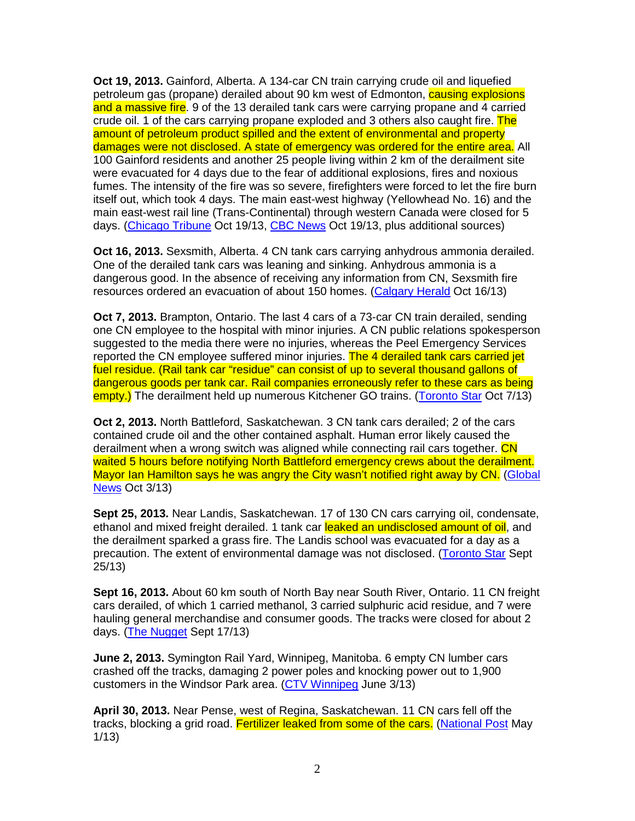**Oct 19, 2013.** Gainford, Alberta. A 134-car CN train carrying crude oil and liquefied petroleum gas (propane) derailed about 90 km west of Edmonton, **causing explosions** and a massive fire. 9 of the 13 derailed tank cars were carrying propane and 4 carried crude oil. 1 of the cars carrying propane exploded and 3 others also caught fire. The amount of petroleum product spilled and the extent of environmental and property damages were not disclosed. A state of emergency was ordered for the entire area. All 100 Gainford residents and another 25 people living within 2 km of the derailment site were evacuated for 4 days due to the fear of additional explosions, fires and noxious fumes. The intensity of the fire was so severe, firefighters were forced to let the fire burn itself out, which took 4 days. The main east-west highway (Yellowhead No. 16) and the main east-west rail line (Trans-Continental) through western Canada were closed for 5 days. (Chicago Tribune Oct 19/13, CBC News Oct 19/13, plus additional sources)

**Oct 16, 2013.** Sexsmith, Alberta. 4 CN tank cars carrying anhydrous ammonia derailed. One of the derailed tank cars was leaning and sinking. Anhydrous ammonia is a dangerous good. In the absence of receiving any information from CN, Sexsmith fire resources ordered an evacuation of about 150 homes. (Calgary Herald Oct 16/13)

**Oct 7, 2013.** Brampton, Ontario. The last 4 cars of a 73-car CN train derailed, sending one CN employee to the hospital with minor injuries. A CN public relations spokesperson suggested to the media there were no injuries, whereas the Peel Emergency Services reported the CN employee suffered minor injuries. The 4 derailed tank cars carried jet fuel residue. (Rail tank car "residue" can consist of up to several thousand gallons of dangerous goods per tank car. Rail companies erroneously refer to these cars as being empty.) The derailment held up numerous Kitchener GO trains. (Toronto Star Oct 7/13)

**Oct 2, 2013.** North Battleford, Saskatchewan. 3 CN tank cars derailed; 2 of the cars contained crude oil and the other contained asphalt. Human error likely caused the derailment when a wrong switch was aligned while connecting rail cars together. CN waited 5 hours before notifying North Battleford emergency crews about the derailment. Mayor Ian Hamilton says he was angry the City wasn't notified right away by CN. (Global News Oct 3/13)

**Sept 25, 2013.** Near Landis, Saskatchewan. 17 of 130 CN cars carrying oil, condensate, ethanol and mixed freight derailed. 1 tank car leaked an undisclosed amount of oil, and the derailment sparked a grass fire. The Landis school was evacuated for a day as a precaution. The extent of environmental damage was not disclosed. (Toronto Star Sept 25/13)

**Sept 16, 2013.** About 60 km south of North Bay near South River, Ontario. 11 CN freight cars derailed, of which 1 carried methanol, 3 carried sulphuric acid residue, and 7 were hauling general merchandise and consumer goods. The tracks were closed for about 2 days. (The Nugget Sept 17/13)

**June 2, 2013.** Symington Rail Yard, Winnipeg, Manitoba. 6 empty CN lumber cars crashed off the tracks, damaging 2 power poles and knocking power out to 1,900 customers in the Windsor Park area. (CTV Winnipeg June 3/13)

**April 30, 2013.** Near Pense, west of Regina, Saskatchewan. 11 CN cars fell off the tracks, blocking a grid road. Fertilizer leaked from some of the cars. (National Post May 1/13)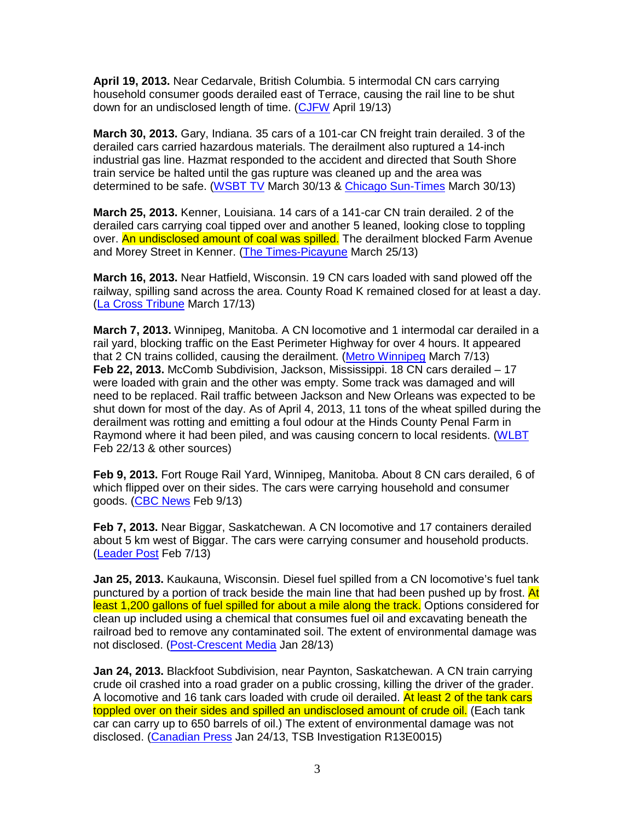**April 19, 2013.** Near Cedarvale, British Columbia. 5 intermodal CN cars carrying household consumer goods derailed east of Terrace, causing the rail line to be shut down for an undisclosed length of time. (CJFW April 19/13)

**March 30, 2013.** Gary, Indiana. 35 cars of a 101-car CN freight train derailed. 3 of the derailed cars carried hazardous materials. The derailment also ruptured a 14-inch industrial gas line. Hazmat responded to the accident and directed that South Shore train service be halted until the gas rupture was cleaned up and the area was determined to be safe. (WSBT TV March 30/13 & Chicago Sun-Times March 30/13)

**March 25, 2013.** Kenner, Louisiana. 14 cars of a 141-car CN train derailed. 2 of the derailed cars carrying coal tipped over and another 5 leaned, looking close to toppling over. An undisclosed amount of coal was spilled. The derailment blocked Farm Avenue and Morey Street in Kenner. (The Times-Picayune March 25/13)

**March 16, 2013.** Near Hatfield, Wisconsin. 19 CN cars loaded with sand plowed off the railway, spilling sand across the area. County Road K remained closed for at least a day. (La Cross Tribune March 17/13)

**March 7, 2013.** Winnipeg, Manitoba. A CN locomotive and 1 intermodal car derailed in a rail yard, blocking traffic on the East Perimeter Highway for over 4 hours. It appeared that 2 CN trains collided, causing the derailment. (Metro Winnipeg March 7/13) **Feb 22, 2013.** McComb Subdivision, Jackson, Mississippi. 18 CN cars derailed – 17 were loaded with grain and the other was empty. Some track was damaged and will need to be replaced. Rail traffic between Jackson and New Orleans was expected to be shut down for most of the day. As of April 4, 2013, 11 tons of the wheat spilled during the derailment was rotting and emitting a foul odour at the Hinds County Penal Farm in Raymond where it had been piled, and was causing concern to local residents. (WLBT Feb 22/13 & other sources)

**Feb 9, 2013.** Fort Rouge Rail Yard, Winnipeg, Manitoba. About 8 CN cars derailed, 6 of which flipped over on their sides. The cars were carrying household and consumer goods. (CBC News Feb 9/13)

**Feb 7, 2013.** Near Biggar, Saskatchewan. A CN locomotive and 17 containers derailed about 5 km west of Biggar. The cars were carrying consumer and household products. (Leader Post Feb 7/13)

**Jan 25, 2013.** Kaukauna, Wisconsin. Diesel fuel spilled from a CN locomotive's fuel tank punctured by a portion of track beside the main line that had been pushed up by frost. At least 1,200 gallons of fuel spilled for about a mile along the track. Options considered for clean up included using a chemical that consumes fuel oil and excavating beneath the railroad bed to remove any contaminated soil. The extent of environmental damage was not disclosed. (Post-Crescent Media Jan 28/13)

**Jan 24, 2013.** Blackfoot Subdivision, near Paynton, Saskatchewan. A CN train carrying crude oil crashed into a road grader on a public crossing, killing the driver of the grader. A locomotive and 16 tank cars loaded with crude oil derailed. At least 2 of the tank cars toppled over on their sides and spilled an undisclosed amount of crude oil. (Each tank car can carry up to 650 barrels of oil.) The extent of environmental damage was not disclosed. (Canadian Press Jan 24/13, TSB Investigation R13E0015)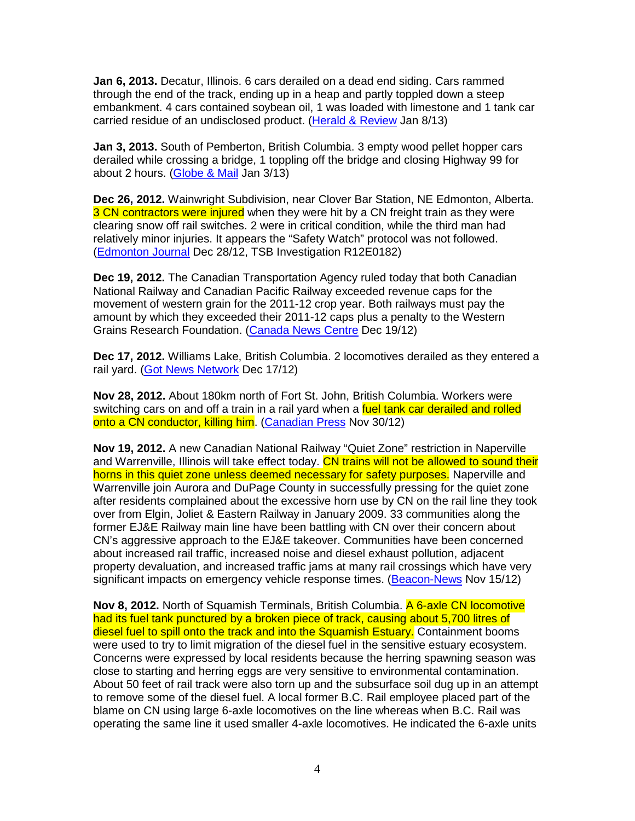**Jan 6, 2013.** Decatur, Illinois. 6 cars derailed on a dead end siding. Cars rammed through the end of the track, ending up in a heap and partly toppled down a steep embankment. 4 cars contained soybean oil, 1 was loaded with limestone and 1 tank car carried residue of an undisclosed product. (Herald & Review Jan 8/13)

**Jan 3, 2013.** South of Pemberton, British Columbia. 3 empty wood pellet hopper cars derailed while crossing a bridge, 1 toppling off the bridge and closing Highway 99 for about 2 hours. (Globe & Mail Jan 3/13)

**Dec 26, 2012.** Wainwright Subdivision, near Clover Bar Station, NE Edmonton, Alberta. 3 CN contractors were injured when they were hit by a CN freight train as they were clearing snow off rail switches. 2 were in critical condition, while the third man had relatively minor injuries. It appears the "Safety Watch" protocol was not followed. (Edmonton Journal Dec 28/12, TSB Investigation R12E0182)

**Dec 19, 2012.** The Canadian Transportation Agency ruled today that both Canadian National Railway and Canadian Pacific Railway exceeded revenue caps for the movement of western grain for the 2011-12 crop year. Both railways must pay the amount by which they exceeded their 2011-12 caps plus a penalty to the Western Grains Research Foundation. (Canada News Centre Dec 19/12)

**Dec 17, 2012.** Williams Lake, British Columbia. 2 locomotives derailed as they entered a rail yard. (Got News Network Dec 17/12)

**Nov 28, 2012.** About 180km north of Fort St. John, British Columbia. Workers were switching cars on and off a train in a rail yard when a fuel tank car derailed and rolled onto a CN conductor, killing him. (Canadian Press Nov 30/12)

**Nov 19, 2012.** A new Canadian National Railway "Quiet Zone" restriction in Naperville and Warrenville, Illinois will take effect today. CN trains will not be allowed to sound their horns in this quiet zone unless deemed necessary for safety purposes. Naperville and Warrenville join Aurora and DuPage County in successfully pressing for the quiet zone after residents complained about the excessive horn use by CN on the rail line they took over from Elgin, Joliet & Eastern Railway in January 2009. 33 communities along the former EJ&E Railway main line have been battling with CN over their concern about CN's aggressive approach to the EJ&E takeover. Communities have been concerned about increased rail traffic, increased noise and diesel exhaust pollution, adjacent property devaluation, and increased traffic jams at many rail crossings which have very significant impacts on emergency vehicle response times. (Beacon-News Nov 15/12)

**Nov 8, 2012.** North of Squamish Terminals, British Columbia. A 6-axle CN locomotive had its fuel tank punctured by a broken piece of track, causing about 5,700 litres of diesel fuel to spill onto the track and into the Squamish Estuary. Containment booms were used to try to limit migration of the diesel fuel in the sensitive estuary ecosystem. Concerns were expressed by local residents because the herring spawning season was close to starting and herring eggs are very sensitive to environmental contamination. About 50 feet of rail track were also torn up and the subsurface soil dug up in an attempt to remove some of the diesel fuel. A local former B.C. Rail employee placed part of the blame on CN using large 6-axle locomotives on the line whereas when B.C. Rail was operating the same line it used smaller 4-axle locomotives. He indicated the 6-axle units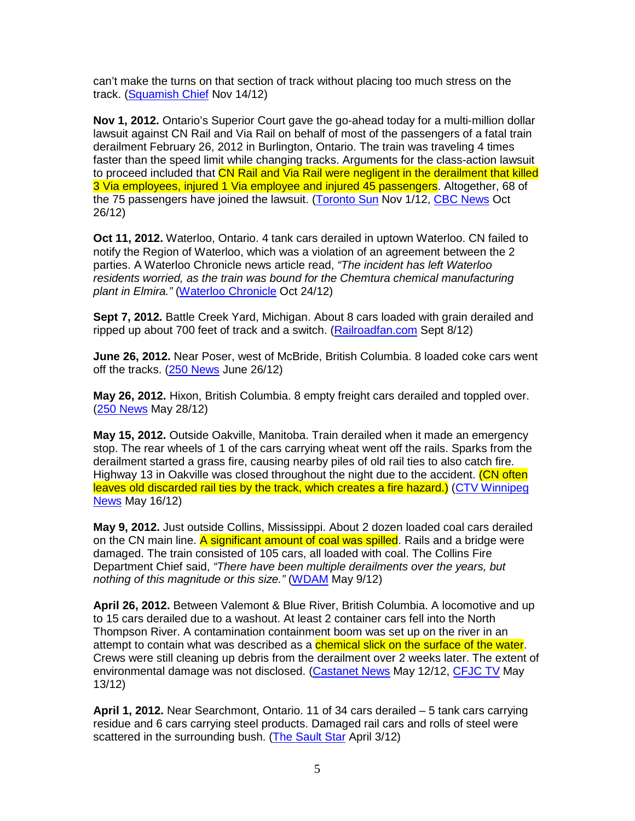can't make the turns on that section of track without placing too much stress on the track. (Squamish Chief Nov 14/12)

**Nov 1, 2012.** Ontario's Superior Court gave the go-ahead today for a multi-million dollar lawsuit against CN Rail and Via Rail on behalf of most of the passengers of a fatal train derailment February 26, 2012 in Burlington, Ontario. The train was traveling 4 times faster than the speed limit while changing tracks. Arguments for the class-action lawsuit to proceed included that CN Rail and Via Rail were negligent in the derailment that killed 3 Via employees, injured 1 Via employee and injured 45 passengers. Altogether, 68 of the 75 passengers have joined the lawsuit. (Toronto Sun Nov 1/12, CBC News Oct 26/12)

**Oct 11, 2012.** Waterloo, Ontario. 4 tank cars derailed in uptown Waterloo. CN failed to notify the Region of Waterloo, which was a violation of an agreement between the 2 parties. A Waterloo Chronicle news article read, "The incident has left Waterloo residents worried, as the train was bound for the Chemtura chemical manufacturing plant in Elmira." (Waterloo Chronicle Oct 24/12)

**Sept 7, 2012.** Battle Creek Yard, Michigan. About 8 cars loaded with grain derailed and ripped up about 700 feet of track and a switch. (Railroadfan.com Sept 8/12)

**June 26, 2012.** Near Poser, west of McBride, British Columbia. 8 loaded coke cars went off the tracks.  $(250$  News June 26/12)

**May 26, 2012.** Hixon, British Columbia. 8 empty freight cars derailed and toppled over. (250 News May 28/12)

**May 15, 2012.** Outside Oakville, Manitoba. Train derailed when it made an emergency stop. The rear wheels of 1 of the cars carrying wheat went off the rails. Sparks from the derailment started a grass fire, causing nearby piles of old rail ties to also catch fire. Highway 13 in Oakville was closed throughout the night due to the accident. (CN often leaves old discarded rail ties by the track, which creates a fire hazard.) (CTV Winnipeg News May 16/12)

**May 9, 2012.** Just outside Collins, Mississippi. About 2 dozen loaded coal cars derailed on the CN main line. A significant amount of coal was spilled. Rails and a bridge were damaged. The train consisted of 105 cars, all loaded with coal. The Collins Fire Department Chief said, "There have been multiple derailments over the years, but nothing of this magnitude or this size." (WDAM May 9/12)

**April 26, 2012.** Between Valemont & Blue River, British Columbia. A locomotive and up to 15 cars derailed due to a washout. At least 2 container cars fell into the North Thompson River. A contamination containment boom was set up on the river in an attempt to contain what was described as a **chemical slick on the surface of the water**. Crews were still cleaning up debris from the derailment over 2 weeks later. The extent of environmental damage was not disclosed. (Castanet News May 12/12, CFJC TV May 13/12)

**April 1, 2012.** Near Searchmont, Ontario. 11 of 34 cars derailed – 5 tank cars carrying residue and 6 cars carrying steel products. Damaged rail cars and rolls of steel were scattered in the surrounding bush. (The Sault Star April 3/12)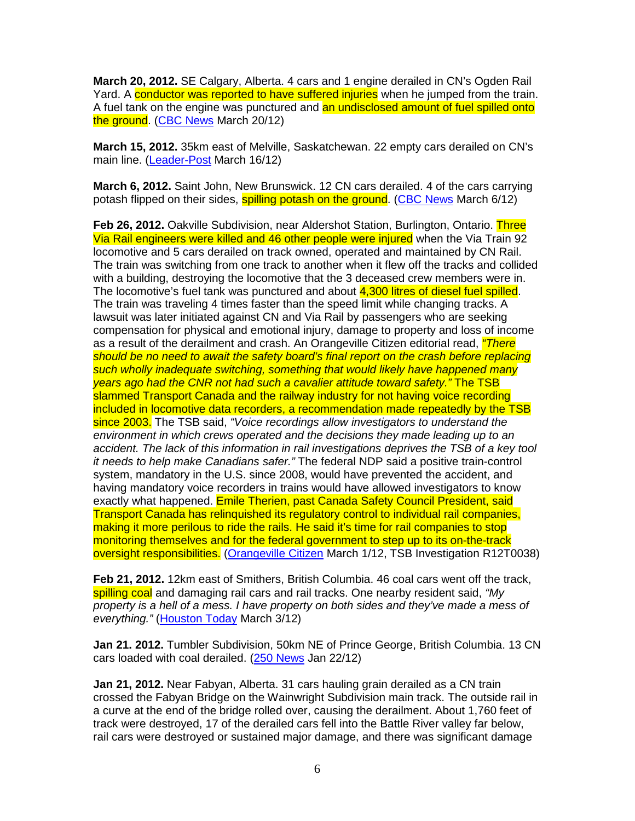**March 20, 2012.** SE Calgary, Alberta. 4 cars and 1 engine derailed in CN's Ogden Rail Yard. A conductor was reported to have suffered injuries when he jumped from the train. A fuel tank on the engine was punctured and an undisclosed amount of fuel spilled onto the ground. (CBC News March 20/12)

**March 15, 2012.** 35km east of Melville, Saskatchewan. 22 empty cars derailed on CN's main line. (Leader-Post March 16/12)

**March 6, 2012.** Saint John, New Brunswick. 12 CN cars derailed. 4 of the cars carrying potash flipped on their sides, **spilling potash on the ground.** (CBC News March 6/12)

**Feb 26, 2012.** Oakville Subdivision, near Aldershot Station, Burlington, Ontario. Three Via Rail engineers were killed and 46 other people were injured when the Via Train 92 locomotive and 5 cars derailed on track owned, operated and maintained by CN Rail. The train was switching from one track to another when it flew off the tracks and collided with a building, destroying the locomotive that the 3 deceased crew members were in. The locomotive's fuel tank was punctured and about 4,300 litres of diesel fuel spilled. The train was traveling 4 times faster than the speed limit while changing tracks. A lawsuit was later initiated against CN and Via Rail by passengers who are seeking compensation for physical and emotional injury, damage to property and loss of income as a result of the derailment and crash. An Orangeville Citizen editorial read, *"There* should be no need to await the safety board's final report on the crash before replacing such wholly inadequate switching, something that would likely have happened many years ago had the CNR not had such a cavalier attitude toward safety." The TSB slammed Transport Canada and the railway industry for not having voice recording included in locomotive data recorders, a recommendation made repeatedly by the TSB since 2003. The TSB said, "Voice recordings allow investigators to understand the environment in which crews operated and the decisions they made leading up to an accident. The lack of this information in rail investigations deprives the TSB of a key tool it needs to help make Canadians safer." The federal NDP said a positive train-control system, mandatory in the U.S. since 2008, would have prevented the accident, and having mandatory voice recorders in trains would have allowed investigators to know exactly what happened. Emile Therien, past Canada Safety Council President, said Transport Canada has relinquished its regulatory control to individual rail companies, making it more perilous to ride the rails. He said it's time for rail companies to stop monitoring themselves and for the federal government to step up to its on-the-track oversight responsibilities. (Orangeville Citizen March 1/12, TSB Investigation R12T0038)

**Feb 21, 2012.** 12km east of Smithers, British Columbia. 46 coal cars went off the track, spilling coal and damaging rail cars and rail tracks. One nearby resident said, "My property is a hell of a mess. I have property on both sides and they've made a mess of everything." (Houston Today March 3/12)

**Jan 21. 2012.** Tumbler Subdivision, 50km NE of Prince George, British Columbia. 13 CN cars loaded with coal derailed. (250 News Jan 22/12)

**Jan 21, 2012.** Near Fabyan, Alberta. 31 cars hauling grain derailed as a CN train crossed the Fabyan Bridge on the Wainwright Subdivision main track. The outside rail in a curve at the end of the bridge rolled over, causing the derailment. About 1,760 feet of track were destroyed, 17 of the derailed cars fell into the Battle River valley far below, rail cars were destroyed or sustained major damage, and there was significant damage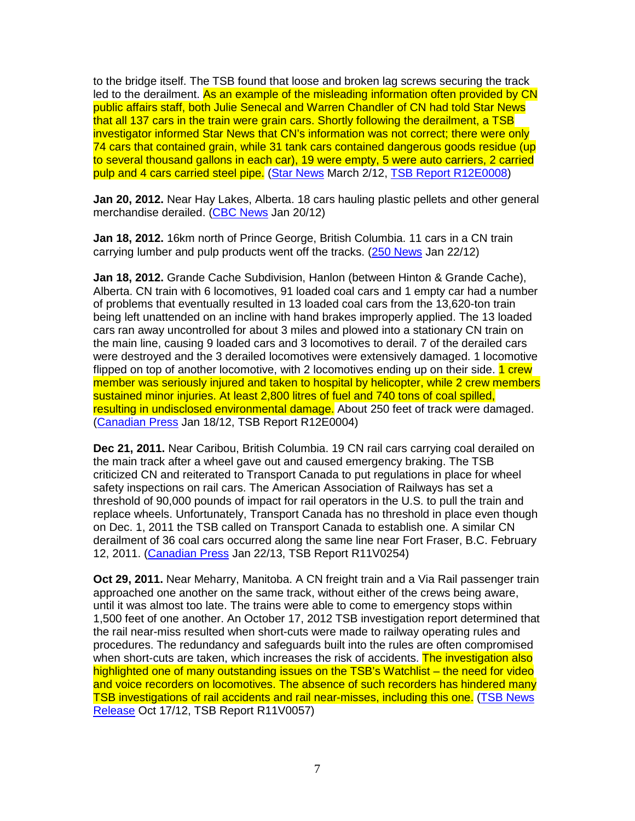to the bridge itself. The TSB found that loose and broken lag screws securing the track led to the derailment. As an example of the misleading information often provided by CN public affairs staff, both Julie Senecal and Warren Chandler of CN had told Star News that all 137 cars in the train were grain cars. Shortly following the derailment, a TSB investigator informed Star News that CN's information was not correct; there were only 74 cars that contained grain, while 31 tank cars contained dangerous goods residue (up to several thousand gallons in each car), 19 were empty, 5 were auto carriers, 2 carried pulp and 4 cars carried steel pipe. (Star News March 2/12, TSB Report R12E0008)

**Jan 20, 2012.** Near Hay Lakes, Alberta. 18 cars hauling plastic pellets and other general merchandise derailed. (CBC News Jan 20/12)

**Jan 18, 2012.** 16km north of Prince George, British Columbia. 11 cars in a CN train carrying lumber and pulp products went off the tracks. (250 News Jan 22/12)

**Jan 18, 2012.** Grande Cache Subdivision, Hanlon (between Hinton & Grande Cache), Alberta. CN train with 6 locomotives, 91 loaded coal cars and 1 empty car had a number of problems that eventually resulted in 13 loaded coal cars from the 13,620-ton train being left unattended on an incline with hand brakes improperly applied. The 13 loaded cars ran away uncontrolled for about 3 miles and plowed into a stationary CN train on the main line, causing 9 loaded cars and 3 locomotives to derail. 7 of the derailed cars were destroyed and the 3 derailed locomotives were extensively damaged. 1 locomotive flipped on top of another locomotive, with 2 locomotives ending up on their side. 1 crew member was seriously injured and taken to hospital by helicopter, while 2 crew members sustained minor injuries. At least 2,800 litres of fuel and 740 tons of coal spilled, resulting in undisclosed environmental damage. About 250 feet of track were damaged. (Canadian Press Jan 18/12, TSB Report R12E0004)

**Dec 21, 2011.** Near Caribou, British Columbia. 19 CN rail cars carrying coal derailed on the main track after a wheel gave out and caused emergency braking. The TSB criticized CN and reiterated to Transport Canada to put regulations in place for wheel safety inspections on rail cars. The American Association of Railways has set a threshold of 90,000 pounds of impact for rail operators in the U.S. to pull the train and replace wheels. Unfortunately, Transport Canada has no threshold in place even though on Dec. 1, 2011 the TSB called on Transport Canada to establish one. A similar CN derailment of 36 coal cars occurred along the same line near Fort Fraser, B.C. February 12, 2011. (Canadian Press Jan 22/13, TSB Report R11V0254)

**Oct 29, 2011.** Near Meharry, Manitoba. A CN freight train and a Via Rail passenger train approached one another on the same track, without either of the crews being aware, until it was almost too late. The trains were able to come to emergency stops within 1,500 feet of one another. An October 17, 2012 TSB investigation report determined that the rail near-miss resulted when short-cuts were made to railway operating rules and procedures. The redundancy and safeguards built into the rules are often compromised when short-cuts are taken, which increases the risk of accidents. The investigation also highlighted one of many outstanding issues on the TSB's Watchlist – the need for video and voice recorders on locomotives. The absence of such recorders has hindered many TSB investigations of rail accidents and rail near-misses, including this one. (TSB News Release Oct 17/12, TSB Report R11V0057)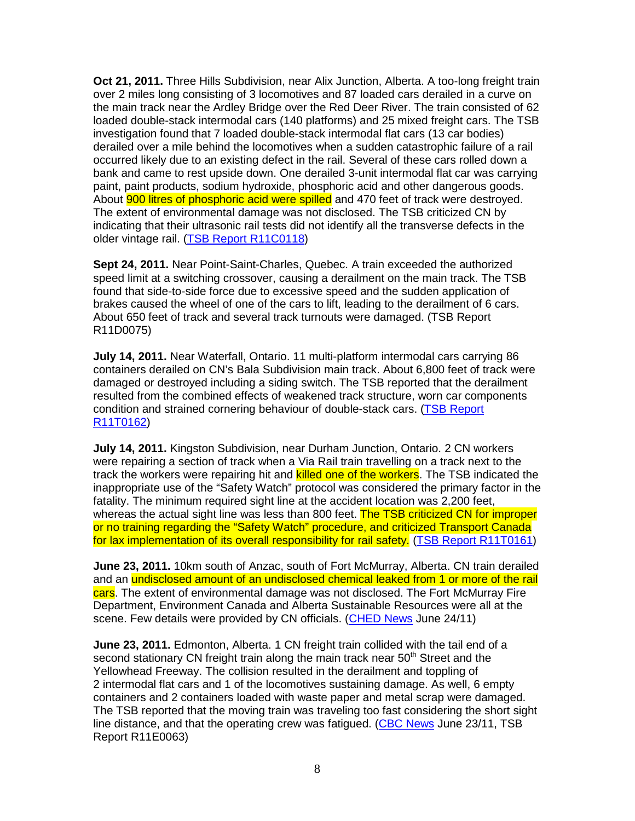**Oct 21, 2011.** Three Hills Subdivision, near Alix Junction, Alberta. A too-long freight train over 2 miles long consisting of 3 locomotives and 87 loaded cars derailed in a curve on the main track near the Ardley Bridge over the Red Deer River. The train consisted of 62 loaded double-stack intermodal cars (140 platforms) and 25 mixed freight cars. The TSB investigation found that 7 loaded double-stack intermodal flat cars (13 car bodies) derailed over a mile behind the locomotives when a sudden catastrophic failure of a rail occurred likely due to an existing defect in the rail. Several of these cars rolled down a bank and came to rest upside down. One derailed 3-unit intermodal flat car was carrying paint, paint products, sodium hydroxide, phosphoric acid and other dangerous goods. About **900 litres of phosphoric acid were spilled** and 470 feet of track were destroyed. The extent of environmental damage was not disclosed. The TSB criticized CN by indicating that their ultrasonic rail tests did not identify all the transverse defects in the older vintage rail. (TSB Report R11C0118)

**Sept 24, 2011.** Near Point-Saint-Charles, Quebec. A train exceeded the authorized speed limit at a switching crossover, causing a derailment on the main track. The TSB found that side-to-side force due to excessive speed and the sudden application of brakes caused the wheel of one of the cars to lift, leading to the derailment of 6 cars. About 650 feet of track and several track turnouts were damaged. (TSB Report R11D0075)

**July 14, 2011.** Near Waterfall, Ontario. 11 multi-platform intermodal cars carrying 86 containers derailed on CN's Bala Subdivision main track. About 6,800 feet of track were damaged or destroyed including a siding switch. The TSB reported that the derailment resulted from the combined effects of weakened track structure, worn car components condition and strained cornering behaviour of double-stack cars. (TSB Report R11T0162)

**July 14, 2011.** Kingston Subdivision, near Durham Junction, Ontario. 2 CN workers were repairing a section of track when a Via Rail train travelling on a track next to the track the workers were repairing hit and killed one of the workers. The TSB indicated the inappropriate use of the "Safety Watch" protocol was considered the primary factor in the fatality. The minimum required sight line at the accident location was 2,200 feet, whereas the actual sight line was less than 800 feet. The TSB criticized CN for improper or no training regarding the "Safety Watch" procedure, and criticized Transport Canada for lax implementation of its overall responsibility for rail safety. (TSB Report R11T0161)

**June 23, 2011.** 10km south of Anzac, south of Fort McMurray, Alberta. CN train derailed and an undisclosed amount of an undisclosed chemical leaked from 1 or more of the rail cars. The extent of environmental damage was not disclosed. The Fort McMurray Fire Department, Environment Canada and Alberta Sustainable Resources were all at the scene. Few details were provided by CN officials. (CHED News June 24/11)

**June 23, 2011.** Edmonton, Alberta. 1 CN freight train collided with the tail end of a second stationary CN freight train along the main track near 50<sup>th</sup> Street and the Yellowhead Freeway. The collision resulted in the derailment and toppling of 2 intermodal flat cars and 1 of the locomotives sustaining damage. As well, 6 empty containers and 2 containers loaded with waste paper and metal scrap were damaged. The TSB reported that the moving train was traveling too fast considering the short sight line distance, and that the operating crew was fatigued. (CBC News June 23/11, TSB Report R11E0063)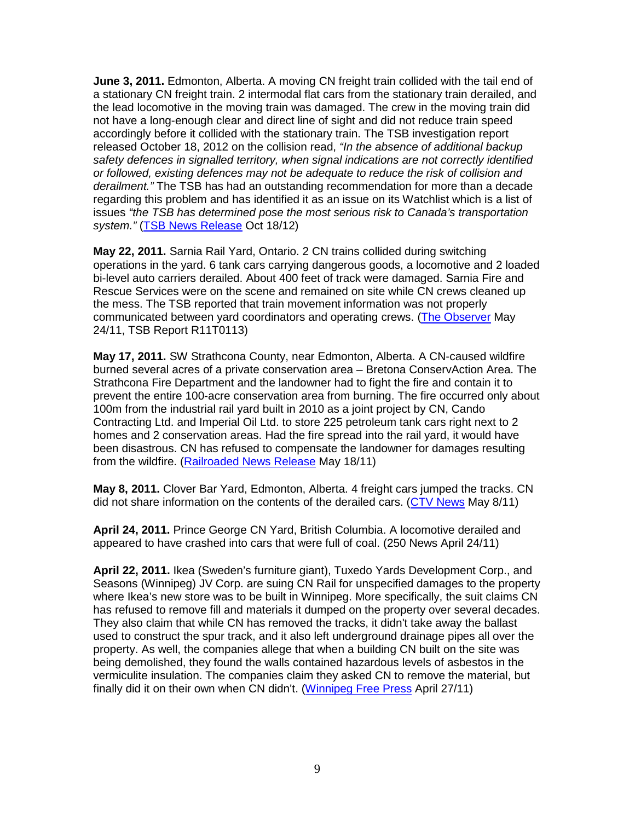**June 3, 2011.** Edmonton, Alberta. A moving CN freight train collided with the tail end of a stationary CN freight train. 2 intermodal flat cars from the stationary train derailed, and the lead locomotive in the moving train was damaged. The crew in the moving train did not have a long-enough clear and direct line of sight and did not reduce train speed accordingly before it collided with the stationary train. The TSB investigation report released October 18, 2012 on the collision read, "In the absence of additional backup safety defences in signalled territory, when signal indications are not correctly identified or followed, existing defences may not be adequate to reduce the risk of collision and derailment." The TSB has had an outstanding recommendation for more than a decade regarding this problem and has identified it as an issue on its Watchlist which is a list of issues "the TSB has determined pose the most serious risk to Canada's transportation system." (TSB News Release Oct 18/12)

**May 22, 2011.** Sarnia Rail Yard, Ontario. 2 CN trains collided during switching operations in the yard. 6 tank cars carrying dangerous goods, a locomotive and 2 loaded bi-level auto carriers derailed. About 400 feet of track were damaged. Sarnia Fire and Rescue Services were on the scene and remained on site while CN crews cleaned up the mess. The TSB reported that train movement information was not properly communicated between yard coordinators and operating crews. (The Observer May 24/11, TSB Report R11T0113)

**May 17, 2011.** SW Strathcona County, near Edmonton, Alberta. A CN-caused wildfire burned several acres of a private conservation area – Bretona ConservAction Area. The Strathcona Fire Department and the landowner had to fight the fire and contain it to prevent the entire 100-acre conservation area from burning. The fire occurred only about 100m from the industrial rail yard built in 2010 as a joint project by CN, Cando Contracting Ltd. and Imperial Oil Ltd. to store 225 petroleum tank cars right next to 2 homes and 2 conservation areas. Had the fire spread into the rail yard, it would have been disastrous. CN has refused to compensate the landowner for damages resulting from the wildfire. (Railroaded News Release May 18/11)

**May 8, 2011.** Clover Bar Yard, Edmonton, Alberta. 4 freight cars jumped the tracks. CN did not share information on the contents of the derailed cars. (CTV News May 8/11)

**April 24, 2011.** Prince George CN Yard, British Columbia. A locomotive derailed and appeared to have crashed into cars that were full of coal. (250 News April 24/11)

**April 22, 2011.** Ikea (Sweden's furniture giant), Tuxedo Yards Development Corp., and Seasons (Winnipeg) JV Corp. are suing CN Rail for unspecified damages to the property where Ikea's new store was to be built in Winnipeg. More specifically, the suit claims CN has refused to remove fill and materials it dumped on the property over several decades. They also claim that while CN has removed the tracks, it didn't take away the ballast used to construct the spur track, and it also left underground drainage pipes all over the property. As well, the companies allege that when a building CN built on the site was being demolished, they found the walls contained hazardous levels of asbestos in the vermiculite insulation. The companies claim they asked CN to remove the material, but finally did it on their own when CN didn't. (Winnipeg Free Press April 27/11)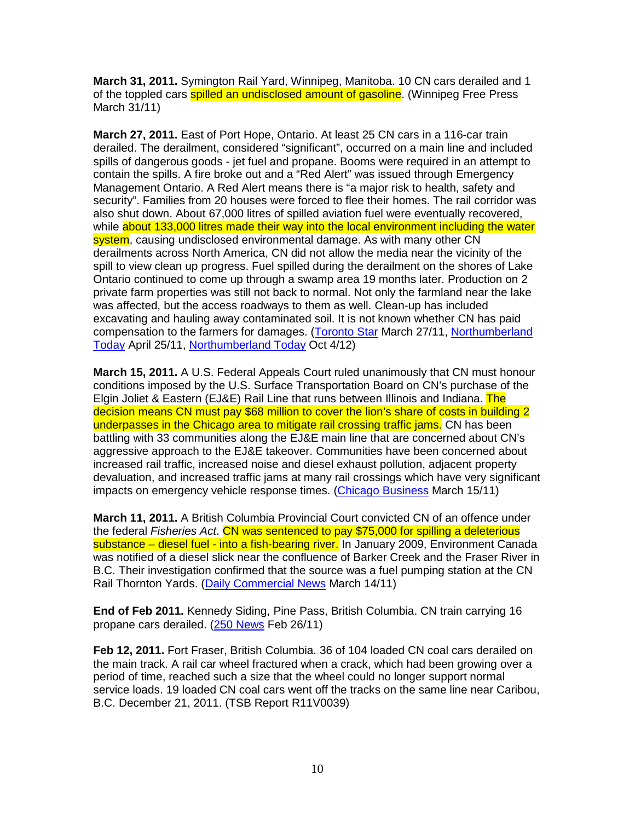**March 31, 2011.** Symington Rail Yard, Winnipeg, Manitoba. 10 CN cars derailed and 1 of the toppled cars **spilled an undisclosed amount of gasoline**. (Winnipeg Free Press March 31/11)

**March 27, 2011.** East of Port Hope, Ontario. At least 25 CN cars in a 116-car train derailed. The derailment, considered "significant", occurred on a main line and included spills of dangerous goods - jet fuel and propane. Booms were required in an attempt to contain the spills. A fire broke out and a "Red Alert" was issued through Emergency Management Ontario. A Red Alert means there is "a major risk to health, safety and security". Families from 20 houses were forced to flee their homes. The rail corridor was also shut down. About 67,000 litres of spilled aviation fuel were eventually recovered, while about 133,000 litres made their way into the local environment including the water system, causing undisclosed environmental damage. As with many other CN derailments across North America, CN did not allow the media near the vicinity of the spill to view clean up progress. Fuel spilled during the derailment on the shores of Lake Ontario continued to come up through a swamp area 19 months later. Production on 2 private farm properties was still not back to normal. Not only the farmland near the lake was affected, but the access roadways to them as well. Clean-up has included excavating and hauling away contaminated soil. It is not known whether CN has paid compensation to the farmers for damages. (Toronto Star March 27/11, Northumberland Today April 25/11, Northumberland Today Oct 4/12)

**March 15, 2011.** A U.S. Federal Appeals Court ruled unanimously that CN must honour conditions imposed by the U.S. Surface Transportation Board on CN's purchase of the Elgin Joliet & Eastern (EJ&E) Rail Line that runs between Illinois and Indiana. The decision means CN must pay \$68 million to cover the lion's share of costs in building 2 underpasses in the Chicago area to mitigate rail crossing traffic jams. CN has been battling with 33 communities along the EJ&E main line that are concerned about CN's aggressive approach to the EJ&E takeover. Communities have been concerned about increased rail traffic, increased noise and diesel exhaust pollution, adjacent property devaluation, and increased traffic jams at many rail crossings which have very significant impacts on emergency vehicle response times. (Chicago Business March 15/11)

**March 11, 2011.** A British Columbia Provincial Court convicted CN of an offence under the federal Fisheries Act. CN was sentenced to pay \$75,000 for spilling a deleterious substance – diesel fuel - into a fish-bearing river. In January 2009, Environment Canada was notified of a diesel slick near the confluence of Barker Creek and the Fraser River in B.C. Their investigation confirmed that the source was a fuel pumping station at the CN Rail Thornton Yards. (Daily Commercial News March 14/11)

**End of Feb 2011.** Kennedy Siding, Pine Pass, British Columbia. CN train carrying 16 propane cars derailed. (250 News Feb 26/11)

**Feb 12, 2011.** Fort Fraser, British Columbia. 36 of 104 loaded CN coal cars derailed on the main track. A rail car wheel fractured when a crack, which had been growing over a period of time, reached such a size that the wheel could no longer support normal service loads. 19 loaded CN coal cars went off the tracks on the same line near Caribou, B.C. December 21, 2011. (TSB Report R11V0039)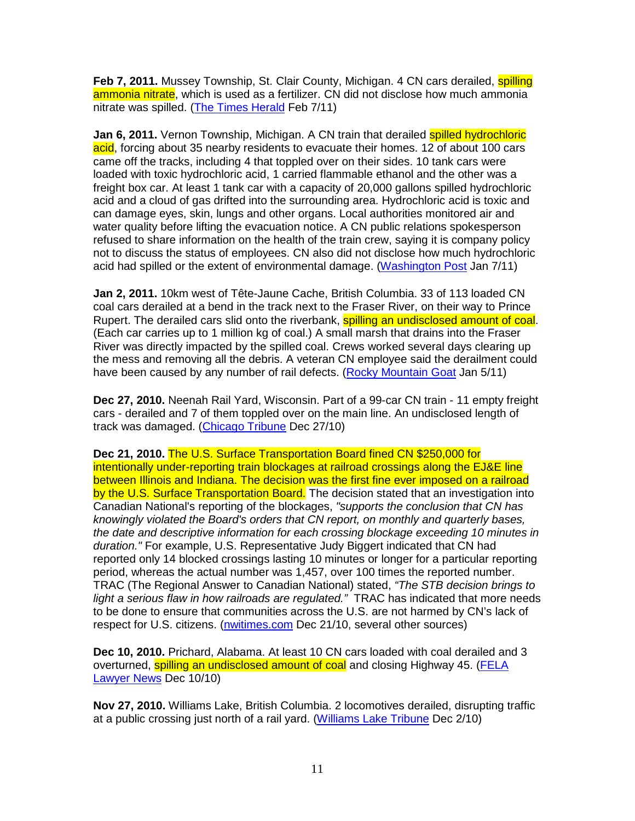**Feb 7, 2011.** Mussey Township, St. Clair County, Michigan. 4 CN cars derailed, **spilling** ammonia nitrate, which is used as a fertilizer. CN did not disclose how much ammonia nitrate was spilled. (The Times Herald Feb 7/11)

**Jan 6, 2011.** Vernon Township, Michigan. A CN train that derailed spilled hydrochloric acid, forcing about 35 nearby residents to evacuate their homes. 12 of about 100 cars came off the tracks, including 4 that toppled over on their sides. 10 tank cars were loaded with toxic hydrochloric acid, 1 carried flammable ethanol and the other was a freight box car. At least 1 tank car with a capacity of 20,000 gallons spilled hydrochloric acid and a cloud of gas drifted into the surrounding area. Hydrochloric acid is toxic and can damage eyes, skin, lungs and other organs. Local authorities monitored air and water quality before lifting the evacuation notice. A CN public relations spokesperson refused to share information on the health of the train crew, saying it is company policy not to discuss the status of employees. CN also did not disclose how much hydrochloric acid had spilled or the extent of environmental damage. (Washington Post Jan 7/11)

**Jan 2, 2011.** 10km west of Tête-Jaune Cache, British Columbia. 33 of 113 loaded CN coal cars derailed at a bend in the track next to the Fraser River, on their way to Prince Rupert. The derailed cars slid onto the riverbank, **spilling an undisclosed amount of coal**. (Each car carries up to 1 million kg of coal.) A small marsh that drains into the Fraser River was directly impacted by the spilled coal. Crews worked several days clearing up the mess and removing all the debris. A veteran CN employee said the derailment could have been caused by any number of rail defects. (Rocky Mountain Goat Jan 5/11)

**Dec 27, 2010.** Neenah Rail Yard, Wisconsin. Part of a 99-car CN train - 11 empty freight cars - derailed and 7 of them toppled over on the main line. An undisclosed length of track was damaged. (Chicago Tribune Dec 27/10)

**Dec 21, 2010.** The U.S. Surface Transportation Board fined CN \$250,000 for intentionally under-reporting train blockages at railroad crossings along the EJ&E line between Illinois and Indiana. The decision was the first fine ever imposed on a railroad by the U.S. Surface Transportation Board. The decision stated that an investigation into Canadian National's reporting of the blockages, "supports the conclusion that CN has knowingly violated the Board's orders that CN report, on monthly and quarterly bases, the date and descriptive information for each crossing blockage exceeding 10 minutes in duration." For example, U.S. Representative Judy Biggert indicated that CN had reported only 14 blocked crossings lasting 10 minutes or longer for a particular reporting period, whereas the actual number was 1,457, over 100 times the reported number. TRAC (The Regional Answer to Canadian National) stated, "The STB decision brings to light a serious flaw in how railroads are regulated." TRAC has indicated that more needs to be done to ensure that communities across the U.S. are not harmed by CN's lack of respect for U.S. citizens. (nwitimes.com Dec 21/10, several other sources)

**Dec 10, 2010.** Prichard, Alabama. At least 10 CN cars loaded with coal derailed and 3 overturned, spilling an undisclosed amount of coal and closing Highway 45. (FELA Lawyer News Dec 10/10)

**Nov 27, 2010.** Williams Lake, British Columbia. 2 locomotives derailed, disrupting traffic at a public crossing just north of a rail yard. (Williams Lake Tribune Dec 2/10)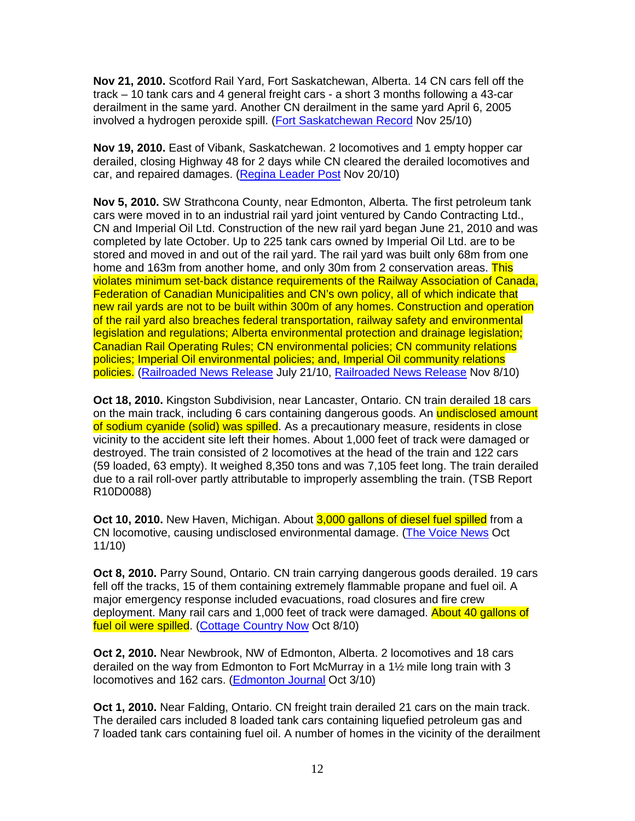**Nov 21, 2010.** Scotford Rail Yard, Fort Saskatchewan, Alberta. 14 CN cars fell off the track – 10 tank cars and 4 general freight cars - a short 3 months following a 43-car derailment in the same yard. Another CN derailment in the same yard April 6, 2005 involved a hydrogen peroxide spill. (Fort Saskatchewan Record Nov 25/10)

**Nov 19, 2010.** East of Vibank, Saskatchewan. 2 locomotives and 1 empty hopper car derailed, closing Highway 48 for 2 days while CN cleared the derailed locomotives and car, and repaired damages. (Regina Leader Post Nov 20/10)

**Nov 5, 2010.** SW Strathcona County, near Edmonton, Alberta. The first petroleum tank cars were moved in to an industrial rail yard joint ventured by Cando Contracting Ltd., CN and Imperial Oil Ltd. Construction of the new rail yard began June 21, 2010 and was completed by late October. Up to 225 tank cars owned by Imperial Oil Ltd. are to be stored and moved in and out of the rail yard. The rail yard was built only 68m from one home and 163m from another home, and only 30m from 2 conservation areas. This violates minimum set-back distance requirements of the Railway Association of Canada, Federation of Canadian Municipalities and CN's own policy, all of which indicate that new rail yards are not to be built within 300m of any homes. Construction and operation of the rail yard also breaches federal transportation, railway safety and environmental legislation and regulations; Alberta environmental protection and drainage legislation; Canadian Rail Operating Rules; CN environmental policies; CN community relations policies; Imperial Oil environmental policies; and, Imperial Oil community relations policies. (Railroaded News Release July 21/10, Railroaded News Release Nov 8/10)

**Oct 18, 2010.** Kingston Subdivision, near Lancaster, Ontario. CN train derailed 18 cars on the main track, including 6 cars containing dangerous goods. An **undisclosed amount** of sodium cyanide (solid) was spilled. As a precautionary measure, residents in close vicinity to the accident site left their homes. About 1,000 feet of track were damaged or destroyed. The train consisted of 2 locomotives at the head of the train and 122 cars (59 loaded, 63 empty). It weighed 8,350 tons and was 7,105 feet long. The train derailed due to a rail roll-over partly attributable to improperly assembling the train. (TSB Report R10D0088)

**Oct 10, 2010.** New Haven, Michigan. About 3,000 gallons of diesel fuel spilled from a CN locomotive, causing undisclosed environmental damage. (The Voice News Oct 11/10)

**Oct 8, 2010.** Parry Sound, Ontario. CN train carrying dangerous goods derailed. 19 cars fell off the tracks, 15 of them containing extremely flammable propane and fuel oil. A major emergency response included evacuations, road closures and fire crew deployment. Many rail cars and 1,000 feet of track were damaged. About 40 gallons of fuel oil were spilled. (Cottage Country Now Oct 8/10)

**Oct 2, 2010.** Near Newbrook, NW of Edmonton, Alberta. 2 locomotives and 18 cars derailed on the way from Edmonton to Fort McMurray in a 1½ mile long train with 3 locomotives and 162 cars. (Edmonton Journal Oct 3/10)

**Oct 1, 2010.** Near Falding, Ontario. CN freight train derailed 21 cars on the main track. The derailed cars included 8 loaded tank cars containing liquefied petroleum gas and 7 loaded tank cars containing fuel oil. A number of homes in the vicinity of the derailment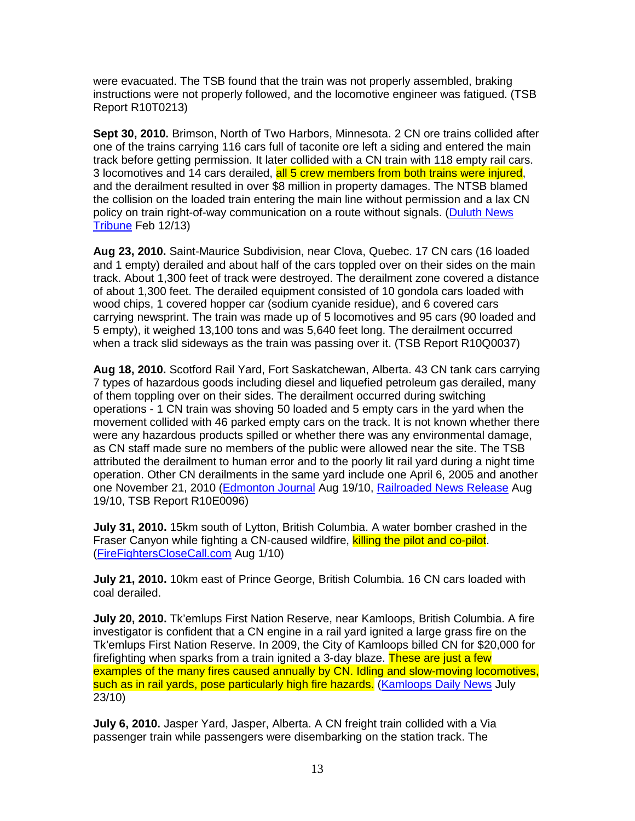were evacuated. The TSB found that the train was not properly assembled, braking instructions were not properly followed, and the locomotive engineer was fatigued. (TSB Report R10T0213)

**Sept 30, 2010.** Brimson, North of Two Harbors, Minnesota. 2 CN ore trains collided after one of the trains carrying 116 cars full of taconite ore left a siding and entered the main track before getting permission. It later collided with a CN train with 118 empty rail cars. 3 locomotives and 14 cars derailed, all 5 crew members from both trains were injured, and the derailment resulted in over \$8 million in property damages. The NTSB blamed the collision on the loaded train entering the main line without permission and a lax CN policy on train right-of-way communication on a route without signals. (Duluth News Tribune Feb 12/13)

**Aug 23, 2010.** Saint-Maurice Subdivision, near Clova, Quebec. 17 CN cars (16 loaded and 1 empty) derailed and about half of the cars toppled over on their sides on the main track. About 1,300 feet of track were destroyed. The derailment zone covered a distance of about 1,300 feet. The derailed equipment consisted of 10 gondola cars loaded with wood chips, 1 covered hopper car (sodium cyanide residue), and 6 covered cars carrying newsprint. The train was made up of 5 locomotives and 95 cars (90 loaded and 5 empty), it weighed 13,100 tons and was 5,640 feet long. The derailment occurred when a track slid sideways as the train was passing over it. (TSB Report R10Q0037)

**Aug 18, 2010.** Scotford Rail Yard, Fort Saskatchewan, Alberta. 43 CN tank cars carrying 7 types of hazardous goods including diesel and liquefied petroleum gas derailed, many of them toppling over on their sides. The derailment occurred during switching operations - 1 CN train was shoving 50 loaded and 5 empty cars in the yard when the movement collided with 46 parked empty cars on the track. It is not known whether there were any hazardous products spilled or whether there was any environmental damage, as CN staff made sure no members of the public were allowed near the site. The TSB attributed the derailment to human error and to the poorly lit rail yard during a night time operation. Other CN derailments in the same yard include one April 6, 2005 and another one November 21, 2010 (Edmonton Journal Aug 19/10, Railroaded News Release Aug 19/10, TSB Report R10E0096)

**July 31, 2010.** 15km south of Lytton, British Columbia. A water bomber crashed in the Fraser Canyon while fighting a CN-caused wildfire, killing the pilot and co-pilot. (FireFightersCloseCall.com Aug 1/10)

**July 21, 2010.** 10km east of Prince George, British Columbia. 16 CN cars loaded with coal derailed.

**July 20, 2010.** Tk'emlups First Nation Reserve, near Kamloops, British Columbia. A fire investigator is confident that a CN engine in a rail yard ignited a large grass fire on the Tk'emlups First Nation Reserve. In 2009, the City of Kamloops billed CN for \$20,000 for firefighting when sparks from a train ignited a 3-day blaze. These are just a few examples of the many fires caused annually by CN. Idling and slow-moving locomotives, such as in rail yards, pose particularly high fire hazards. (Kamloops Daily News July 23/10)

**July 6, 2010.** Jasper Yard, Jasper, Alberta. A CN freight train collided with a Via passenger train while passengers were disembarking on the station track. The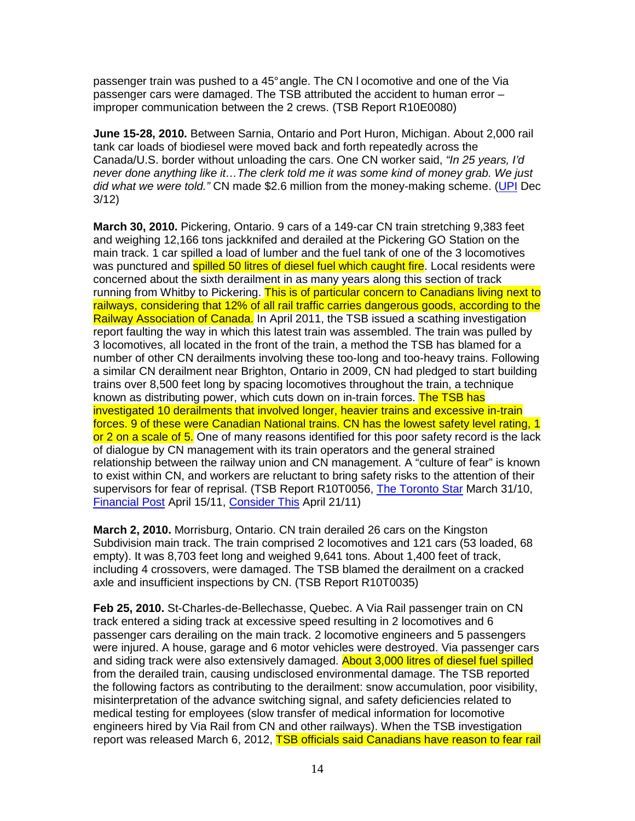passenger train was pushed to a 45° angle. The CN l ocomotive and one of the Via passenger cars were damaged. The TSB attributed the accident to human error – improper communication between the 2 crews. (TSB Report R10E0080)

**June 15-28, 2010.** Between Sarnia, Ontario and Port Huron, Michigan. About 2,000 rail tank car loads of biodiesel were moved back and forth repeatedly across the Canada/U.S. border without unloading the cars. One CN worker said, "In 25 years, I'd never done anything like it…The clerk told me it was some kind of money grab. We just did what we were told." CN made \$2.6 million from the money-making scheme. (UPI Dec 3/12)

**March 30, 2010.** Pickering, Ontario. 9 cars of a 149-car CN train stretching 9,383 feet and weighing 12,166 tons jackknifed and derailed at the Pickering GO Station on the main track. 1 car spilled a load of lumber and the fuel tank of one of the 3 locomotives was punctured and **spilled 50 litres of diesel fuel which caught fire**. Local residents were concerned about the sixth derailment in as many years along this section of track running from Whitby to Pickering. This is of particular concern to Canadians living next to railways, considering that 12% of all rail traffic carries dangerous goods, according to the Railway Association of Canada. In April 2011, the TSB issued a scathing investigation report faulting the way in which this latest train was assembled. The train was pulled by 3 locomotives, all located in the front of the train, a method the TSB has blamed for a number of other CN derailments involving these too-long and too-heavy trains. Following a similar CN derailment near Brighton, Ontario in 2009, CN had pledged to start building trains over 8,500 feet long by spacing locomotives throughout the train, a technique known as distributing power, which cuts down on in-train forces. The TSB has investigated 10 derailments that involved longer, heavier trains and excessive in-train forces. 9 of these were Canadian National trains. CN has the lowest safety level rating, 1 or 2 on a scale of 5. One of many reasons identified for this poor safety record is the lack of dialogue by CN management with its train operators and the general strained relationship between the railway union and CN management. A "culture of fear" is known to exist within CN, and workers are reluctant to bring safety risks to the attention of their supervisors for fear of reprisal. (TSB Report R10T0056, The Toronto Star March 31/10, Financial Post April 15/11, Consider This April 21/11)

**March 2, 2010.** Morrisburg, Ontario. CN train derailed 26 cars on the Kingston Subdivision main track. The train comprised 2 locomotives and 121 cars (53 loaded, 68 empty). It was 8,703 feet long and weighed 9,641 tons. About 1,400 feet of track, including 4 crossovers, were damaged. The TSB blamed the derailment on a cracked axle and insufficient inspections by CN. (TSB Report R10T0035)

**Feb 25, 2010.** St-Charles-de-Bellechasse, Quebec. A Via Rail passenger train on CN track entered a siding track at excessive speed resulting in 2 locomotives and 6 passenger cars derailing on the main track. 2 locomotive engineers and 5 passengers were injured. A house, garage and 6 motor vehicles were destroyed. Via passenger cars and siding track were also extensively damaged. About 3,000 litres of diesel fuel spilled from the derailed train, causing undisclosed environmental damage. The TSB reported the following factors as contributing to the derailment: snow accumulation, poor visibility, misinterpretation of the advance switching signal, and safety deficiencies related to medical testing for employees (slow transfer of medical information for locomotive engineers hired by Via Rail from CN and other railways). When the TSB investigation report was released March 6, 2012, TSB officials said Canadians have reason to fear rail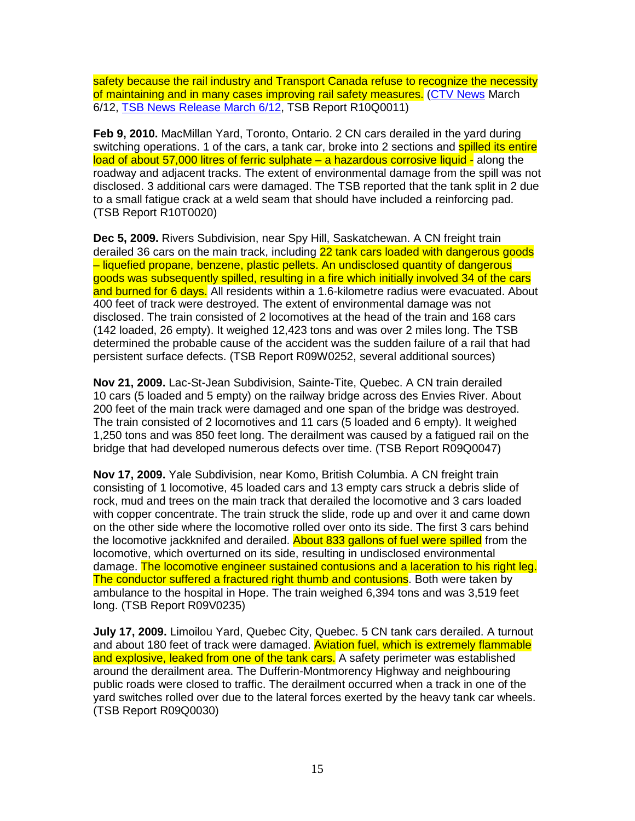safety because the rail industry and Transport Canada refuse to recognize the necessity of maintaining and in many cases improving rail safety measures. (CTV News March 6/12, TSB News Release March 6/12, TSB Report R10Q0011)

**Feb 9, 2010.** MacMillan Yard, Toronto, Ontario. 2 CN cars derailed in the yard during switching operations. 1 of the cars, a tank car, broke into 2 sections and spilled its entire load of about 57,000 litres of ferric sulphate – a hazardous corrosive liquid - along the roadway and adjacent tracks. The extent of environmental damage from the spill was not disclosed. 3 additional cars were damaged. The TSB reported that the tank split in 2 due to a small fatigue crack at a weld seam that should have included a reinforcing pad. (TSB Report R10T0020)

**Dec 5, 2009.** Rivers Subdivision, near Spy Hill, Saskatchewan. A CN freight train derailed 36 cars on the main track, including 22 tank cars loaded with dangerous goods – liquefied propane, benzene, plastic pellets. An undisclosed quantity of dangerous goods was subsequently spilled, resulting in a fire which initially involved 34 of the cars and burned for 6 days. All residents within a 1.6-kilometre radius were evacuated. About 400 feet of track were destroyed. The extent of environmental damage was not disclosed. The train consisted of 2 locomotives at the head of the train and 168 cars (142 loaded, 26 empty). It weighed 12,423 tons and was over 2 miles long. The TSB determined the probable cause of the accident was the sudden failure of a rail that had persistent surface defects. (TSB Report R09W0252, several additional sources)

**Nov 21, 2009.** Lac-St-Jean Subdivision, Sainte-Tite, Quebec. A CN train derailed 10 cars (5 loaded and 5 empty) on the railway bridge across des Envies River. About 200 feet of the main track were damaged and one span of the bridge was destroyed. The train consisted of 2 locomotives and 11 cars (5 loaded and 6 empty). It weighed 1,250 tons and was 850 feet long. The derailment was caused by a fatigued rail on the bridge that had developed numerous defects over time. (TSB Report R09Q0047)

**Nov 17, 2009.** Yale Subdivision, near Komo, British Columbia. A CN freight train consisting of 1 locomotive, 45 loaded cars and 13 empty cars struck a debris slide of rock, mud and trees on the main track that derailed the locomotive and 3 cars loaded with copper concentrate. The train struck the slide, rode up and over it and came down on the other side where the locomotive rolled over onto its side. The first 3 cars behind the locomotive jackknifed and derailed. About 833 gallons of fuel were spilled from the locomotive, which overturned on its side, resulting in undisclosed environmental damage. The locomotive engineer sustained contusions and a laceration to his right leg. The conductor suffered a fractured right thumb and contusions. Both were taken by ambulance to the hospital in Hope. The train weighed 6,394 tons and was 3,519 feet long. (TSB Report R09V0235)

**July 17, 2009.** Limoilou Yard, Quebec City, Quebec. 5 CN tank cars derailed. A turnout and about 180 feet of track were damaged. Aviation fuel, which is extremely flammable and explosive, leaked from one of the tank cars. A safety perimeter was established around the derailment area. The Dufferin-Montmorency Highway and neighbouring public roads were closed to traffic. The derailment occurred when a track in one of the yard switches rolled over due to the lateral forces exerted by the heavy tank car wheels. (TSB Report R09Q0030)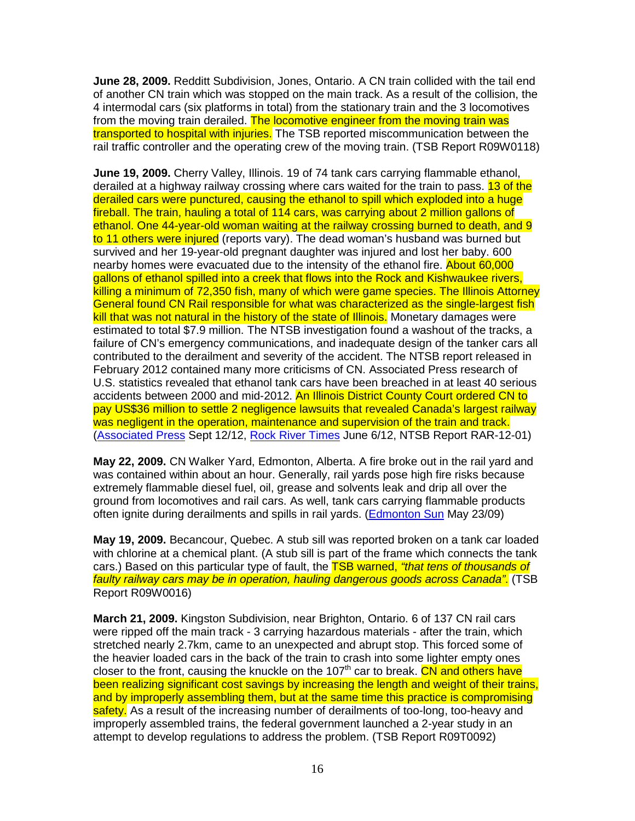**June 28, 2009.** Redditt Subdivision, Jones, Ontario. A CN train collided with the tail end of another CN train which was stopped on the main track. As a result of the collision, the 4 intermodal cars (six platforms in total) from the stationary train and the 3 locomotives from the moving train derailed. The locomotive engineer from the moving train was transported to hospital with injuries. The TSB reported miscommunication between the rail traffic controller and the operating crew of the moving train. (TSB Report R09W0118)

**June 19, 2009.** Cherry Valley, Illinois. 19 of 74 tank cars carrying flammable ethanol, derailed at a highway railway crossing where cars waited for the train to pass. 13 of the derailed cars were punctured, causing the ethanol to spill which exploded into a huge fireball. The train, hauling a total of 114 cars, was carrying about 2 million gallons of ethanol. One 44-year-old woman waiting at the railway crossing burned to death, and 9 to 11 others were injured (reports vary). The dead woman's husband was burned but survived and her 19-year-old pregnant daughter was injured and lost her baby. 600 nearby homes were evacuated due to the intensity of the ethanol fire. About 60,000 gallons of ethanol spilled into a creek that flows into the Rock and Kishwaukee rivers, killing a minimum of 72,350 fish, many of which were game species. The Illinois Attorney General found CN Rail responsible for what was characterized as the single-largest fish kill that was not natural in the history of the state of Illinois. Monetary damages were estimated to total \$7.9 million. The NTSB investigation found a washout of the tracks, a failure of CN's emergency communications, and inadequate design of the tanker cars all contributed to the derailment and severity of the accident. The NTSB report released in February 2012 contained many more criticisms of CN. Associated Press research of U.S. statistics revealed that ethanol tank cars have been breached in at least 40 serious accidents between 2000 and mid-2012. An Illinois District County Court ordered CN to pay US\$36 million to settle 2 negligence lawsuits that revealed Canada's largest railway was negligent in the operation, maintenance and supervision of the train and track. (Associated Press Sept 12/12, Rock River Times June 6/12, NTSB Report RAR-12-01)

**May 22, 2009.** CN Walker Yard, Edmonton, Alberta. A fire broke out in the rail yard and was contained within about an hour. Generally, rail yards pose high fire risks because extremely flammable diesel fuel, oil, grease and solvents leak and drip all over the ground from locomotives and rail cars. As well, tank cars carrying flammable products often ignite during derailments and spills in rail yards. (Edmonton Sun May 23/09)

**May 19, 2009.** Becancour, Quebec. A stub sill was reported broken on a tank car loaded with chlorine at a chemical plant. (A stub sill is part of the frame which connects the tank cars.) Based on this particular type of fault, the **TSB warned, "that tens of thousands of** faulty railway cars may be in operation, hauling dangerous goods across Canada". (TSB Report R09W0016)

**March 21, 2009.** Kingston Subdivision, near Brighton, Ontario. 6 of 137 CN rail cars were ripped off the main track - 3 carrying hazardous materials - after the train, which stretched nearly 2.7km, came to an unexpected and abrupt stop. This forced some of the heavier loaded cars in the back of the train to crash into some lighter empty ones closer to the front, causing the knuckle on the 107<sup>th</sup> car to break. CN and others have been realizing significant cost savings by increasing the length and weight of their trains, and by improperly assembling them, but at the same time this practice is compromising safety. As a result of the increasing number of derailments of too-long, too-heavy and improperly assembled trains, the federal government launched a 2-year study in an attempt to develop regulations to address the problem. (TSB Report R09T0092)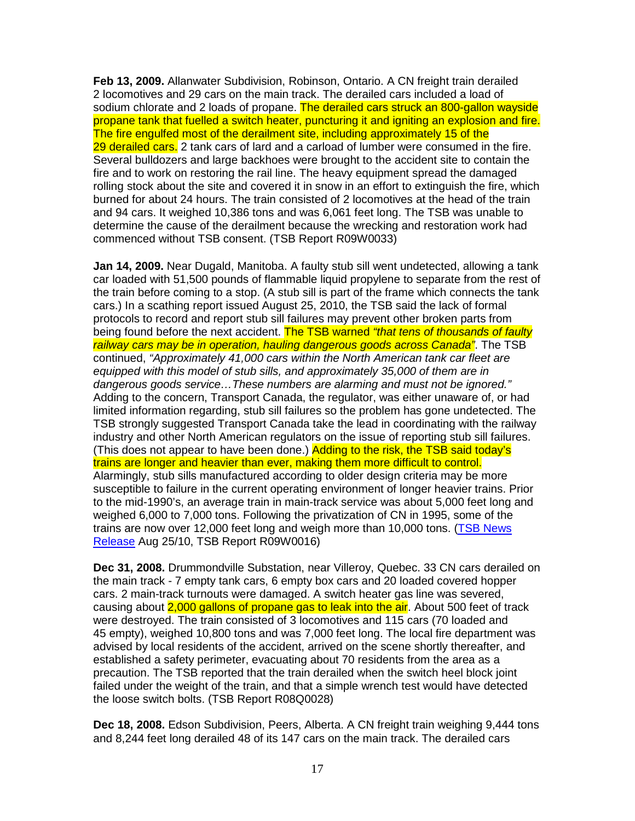**Feb 13, 2009.** Allanwater Subdivision, Robinson, Ontario. A CN freight train derailed 2 locomotives and 29 cars on the main track. The derailed cars included a load of sodium chlorate and 2 loads of propane. The derailed cars struck an 800-gallon wayside propane tank that fuelled a switch heater, puncturing it and igniting an explosion and fire. The fire engulfed most of the derailment site, including approximately 15 of the 29 derailed cars. 2 tank cars of lard and a carload of lumber were consumed in the fire. Several bulldozers and large backhoes were brought to the accident site to contain the fire and to work on restoring the rail line. The heavy equipment spread the damaged rolling stock about the site and covered it in snow in an effort to extinguish the fire, which burned for about 24 hours. The train consisted of 2 locomotives at the head of the train and 94 cars. It weighed 10,386 tons and was 6,061 feet long. The TSB was unable to determine the cause of the derailment because the wrecking and restoration work had commenced without TSB consent. (TSB Report R09W0033)

**Jan 14, 2009.** Near Dugald, Manitoba. A faulty stub sill went undetected, allowing a tank car loaded with 51,500 pounds of flammable liquid propylene to separate from the rest of the train before coming to a stop. (A stub sill is part of the frame which connects the tank cars.) In a scathing report issued August 25, 2010, the TSB said the lack of formal protocols to record and report stub sill failures may prevent other broken parts from being found before the next accident. The TSB warned "that tens of thousands of faulty railway cars may be in operation, hauling dangerous goods across Canada". The TSB continued, "Approximately 41,000 cars within the North American tank car fleet are equipped with this model of stub sills, and approximately 35,000 of them are in dangerous goods service…These numbers are alarming and must not be ignored." Adding to the concern, Transport Canada, the regulator, was either unaware of, or had limited information regarding, stub sill failures so the problem has gone undetected. The TSB strongly suggested Transport Canada take the lead in coordinating with the railway industry and other North American regulators on the issue of reporting stub sill failures. (This does not appear to have been done.) Adding to the risk, the TSB said today's trains are longer and heavier than ever, making them more difficult to control. Alarmingly, stub sills manufactured according to older design criteria may be more susceptible to failure in the current operating environment of longer heavier trains. Prior to the mid-1990's, an average train in main-track service was about 5,000 feet long and weighed 6,000 to 7,000 tons. Following the privatization of CN in 1995, some of the trains are now over 12,000 feet long and weigh more than 10,000 tons. (TSB News Release Aug 25/10, TSB Report R09W0016)

**Dec 31, 2008.** Drummondville Substation, near Villeroy, Quebec. 33 CN cars derailed on the main track - 7 empty tank cars, 6 empty box cars and 20 loaded covered hopper cars. 2 main-track turnouts were damaged. A switch heater gas line was severed, causing about 2,000 gallons of propane gas to leak into the air. About 500 feet of track were destroyed. The train consisted of 3 locomotives and 115 cars (70 loaded and 45 empty), weighed 10,800 tons and was 7,000 feet long. The local fire department was advised by local residents of the accident, arrived on the scene shortly thereafter, and established a safety perimeter, evacuating about 70 residents from the area as a precaution. The TSB reported that the train derailed when the switch heel block joint failed under the weight of the train, and that a simple wrench test would have detected the loose switch bolts. (TSB Report R08Q0028)

**Dec 18, 2008.** Edson Subdivision, Peers, Alberta. A CN freight train weighing 9,444 tons and 8,244 feet long derailed 48 of its 147 cars on the main track. The derailed cars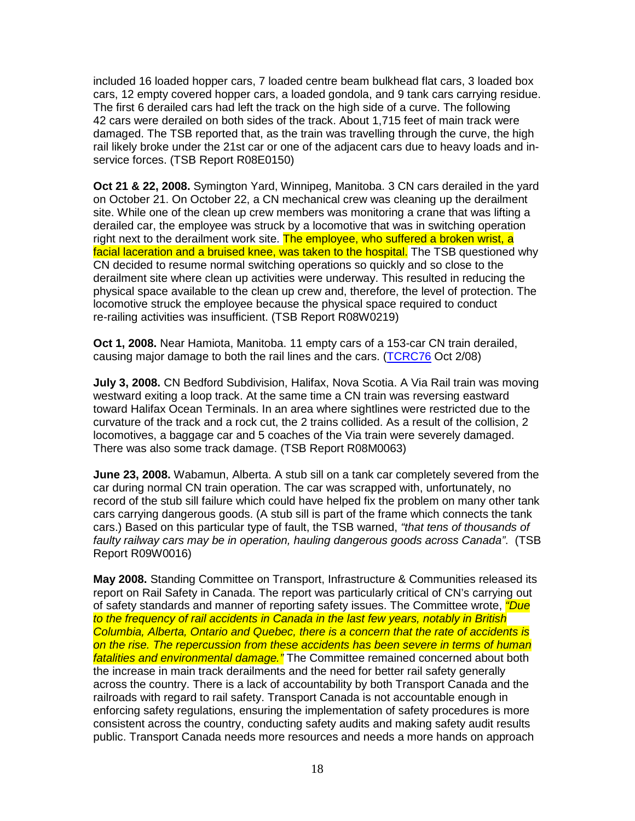included 16 loaded hopper cars, 7 loaded centre beam bulkhead flat cars, 3 loaded box cars, 12 empty covered hopper cars, a loaded gondola, and 9 tank cars carrying residue. The first 6 derailed cars had left the track on the high side of a curve. The following 42 cars were derailed on both sides of the track. About 1,715 feet of main track were damaged. The TSB reported that, as the train was travelling through the curve, the high rail likely broke under the 21st car or one of the adjacent cars due to heavy loads and inservice forces. (TSB Report R08E0150)

**Oct 21 & 22, 2008.** Symington Yard, Winnipeg, Manitoba. 3 CN cars derailed in the yard on October 21. On October 22, a CN mechanical crew was cleaning up the derailment site. While one of the clean up crew members was monitoring a crane that was lifting a derailed car, the employee was struck by a locomotive that was in switching operation right next to the derailment work site. The employee, who suffered a broken wrist, a facial laceration and a bruised knee, was taken to the hospital. The TSB questioned why CN decided to resume normal switching operations so quickly and so close to the derailment site where clean up activities were underway. This resulted in reducing the physical space available to the clean up crew and, therefore, the level of protection. The locomotive struck the employee because the physical space required to conduct re-railing activities was insufficient. (TSB Report R08W0219)

**Oct 1, 2008.** Near Hamiota, Manitoba. 11 empty cars of a 153-car CN train derailed, causing major damage to both the rail lines and the cars. (TCRC76 Oct 2/08)

**July 3, 2008.** CN Bedford Subdivision, Halifax, Nova Scotia. A Via Rail train was moving westward exiting a loop track. At the same time a CN train was reversing eastward toward Halifax Ocean Terminals. In an area where sightlines were restricted due to the curvature of the track and a rock cut, the 2 trains collided. As a result of the collision, 2 locomotives, a baggage car and 5 coaches of the Via train were severely damaged. There was also some track damage. (TSB Report R08M0063)

**June 23, 2008.** Wabamun, Alberta. A stub sill on a tank car completely severed from the car during normal CN train operation. The car was scrapped with, unfortunately, no record of the stub sill failure which could have helped fix the problem on many other tank cars carrying dangerous goods. (A stub sill is part of the frame which connects the tank cars.) Based on this particular type of fault, the TSB warned, "that tens of thousands of faulty railway cars may be in operation, hauling dangerous goods across Canada". (TSB Report R09W0016)

**May 2008.** Standing Committee on Transport, Infrastructure & Communities released its report on Rail Safety in Canada. The report was particularly critical of CN's carrying out of safety standards and manner of reporting safety issues. The Committee wrote, *"Due* to the frequency of rail accidents in Canada in the last few years, notably in British Columbia, Alberta, Ontario and Quebec, there is a concern that the rate of accidents is on the rise. The repercussion from these accidents has been severe in terms of human fatalities and environmental damage." The Committee remained concerned about both the increase in main track derailments and the need for better rail safety generally across the country. There is a lack of accountability by both Transport Canada and the railroads with regard to rail safety. Transport Canada is not accountable enough in enforcing safety regulations, ensuring the implementation of safety procedures is more consistent across the country, conducting safety audits and making safety audit results public. Transport Canada needs more resources and needs a more hands on approach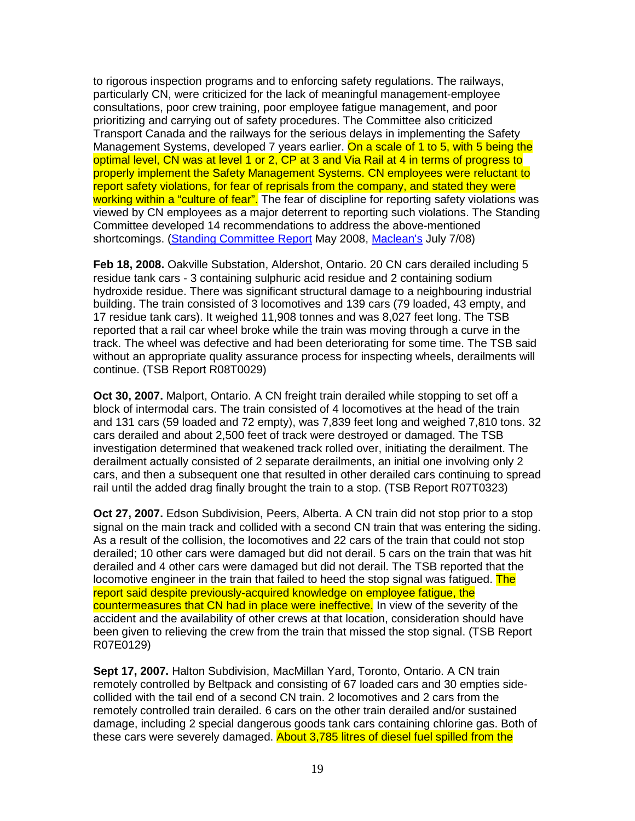to rigorous inspection programs and to enforcing safety regulations. The railways, particularly CN, were criticized for the lack of meaningful management-employee consultations, poor crew training, poor employee fatigue management, and poor prioritizing and carrying out of safety procedures. The Committee also criticized Transport Canada and the railways for the serious delays in implementing the Safety Management Systems, developed 7 years earlier. On a scale of 1 to 5, with 5 being the optimal level, CN was at level 1 or 2, CP at 3 and Via Rail at 4 in terms of progress to properly implement the Safety Management Systems. CN employees were reluctant to report safety violations, for fear of reprisals from the company, and stated they were working within a "culture of fear". The fear of discipline for reporting safety violations was viewed by CN employees as a major deterrent to reporting such violations. The Standing Committee developed 14 recommendations to address the above-mentioned shortcomings. (Standing Committee Report May 2008, Maclean's July 7/08)

**Feb 18, 2008.** Oakville Substation, Aldershot, Ontario. 20 CN cars derailed including 5 residue tank cars - 3 containing sulphuric acid residue and 2 containing sodium hydroxide residue. There was significant structural damage to a neighbouring industrial building. The train consisted of 3 locomotives and 139 cars (79 loaded, 43 empty, and 17 residue tank cars). It weighed 11,908 tonnes and was 8,027 feet long. The TSB reported that a rail car wheel broke while the train was moving through a curve in the track. The wheel was defective and had been deteriorating for some time. The TSB said without an appropriate quality assurance process for inspecting wheels, derailments will continue. (TSB Report R08T0029)

**Oct 30, 2007.** Malport, Ontario. A CN freight train derailed while stopping to set off a block of intermodal cars. The train consisted of 4 locomotives at the head of the train and 131 cars (59 loaded and 72 empty), was 7,839 feet long and weighed 7,810 tons. 32 cars derailed and about 2,500 feet of track were destroyed or damaged. The TSB investigation determined that weakened track rolled over, initiating the derailment. The derailment actually consisted of 2 separate derailments, an initial one involving only 2 cars, and then a subsequent one that resulted in other derailed cars continuing to spread rail until the added drag finally brought the train to a stop. (TSB Report R07T0323)

**Oct 27, 2007.** Edson Subdivision, Peers, Alberta. A CN train did not stop prior to a stop signal on the main track and collided with a second CN train that was entering the siding. As a result of the collision, the locomotives and 22 cars of the train that could not stop derailed; 10 other cars were damaged but did not derail. 5 cars on the train that was hit derailed and 4 other cars were damaged but did not derail. The TSB reported that the locomotive engineer in the train that failed to heed the stop signal was fatigued. The report said despite previously-acquired knowledge on employee fatigue, the countermeasures that CN had in place were ineffective. In view of the severity of the accident and the availability of other crews at that location, consideration should have been given to relieving the crew from the train that missed the stop signal. (TSB Report R07E0129)

**Sept 17, 2007.** Halton Subdivision, MacMillan Yard, Toronto, Ontario. A CN train remotely controlled by Beltpack and consisting of 67 loaded cars and 30 empties sidecollided with the tail end of a second CN train. 2 locomotives and 2 cars from the remotely controlled train derailed. 6 cars on the other train derailed and/or sustained damage, including 2 special dangerous goods tank cars containing chlorine gas. Both of these cars were severely damaged. About 3,785 litres of diesel fuel spilled from the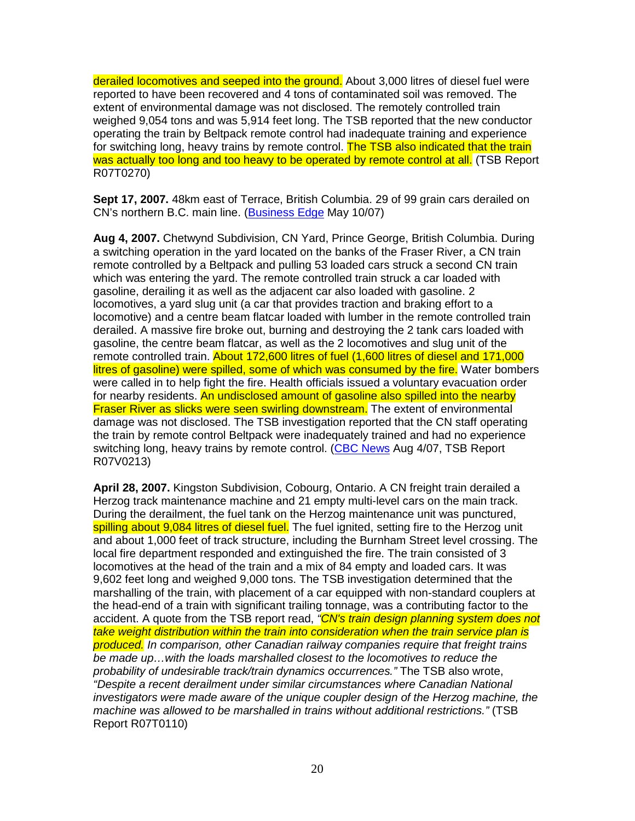derailed locomotives and seeped into the ground. About 3,000 litres of diesel fuel were reported to have been recovered and 4 tons of contaminated soil was removed. The extent of environmental damage was not disclosed. The remotely controlled train weighed 9,054 tons and was 5,914 feet long. The TSB reported that the new conductor operating the train by Beltpack remote control had inadequate training and experience for switching long, heavy trains by remote control. The TSB also indicated that the train was actually too long and too heavy to be operated by remote control at all. (TSB Report R07T0270)

**Sept 17, 2007.** 48km east of Terrace, British Columbia. 29 of 99 grain cars derailed on CN's northern B.C. main line. (Business Edge May 10/07)

**Aug 4, 2007.** Chetwynd Subdivision, CN Yard, Prince George, British Columbia. During a switching operation in the yard located on the banks of the Fraser River, a CN train remote controlled by a Beltpack and pulling 53 loaded cars struck a second CN train which was entering the yard. The remote controlled train struck a car loaded with gasoline, derailing it as well as the adjacent car also loaded with gasoline. 2 locomotives, a yard slug unit (a car that provides traction and braking effort to a locomotive) and a centre beam flatcar loaded with lumber in the remote controlled train derailed. A massive fire broke out, burning and destroying the 2 tank cars loaded with gasoline, the centre beam flatcar, as well as the 2 locomotives and slug unit of the remote controlled train. About 172,600 litres of fuel (1,600 litres of diesel and 171,000 litres of gasoline) were spilled, some of which was consumed by the fire. Water bombers were called in to help fight the fire. Health officials issued a voluntary evacuation order for nearby residents. An undisclosed amount of gasoline also spilled into the nearby **Fraser River as slicks were seen swirling downstream.** The extent of environmental damage was not disclosed. The TSB investigation reported that the CN staff operating the train by remote control Beltpack were inadequately trained and had no experience switching long, heavy trains by remote control. (CBC News Aug 4/07, TSB Report R07V0213)

**April 28, 2007.** Kingston Subdivision, Cobourg, Ontario. A CN freight train derailed a Herzog track maintenance machine and 21 empty multi-level cars on the main track. During the derailment, the fuel tank on the Herzog maintenance unit was punctured, spilling about 9,084 litres of diesel fuel. The fuel ignited, setting fire to the Herzog unit and about 1,000 feet of track structure, including the Burnham Street level crossing. The local fire department responded and extinguished the fire. The train consisted of 3 locomotives at the head of the train and a mix of 84 empty and loaded cars. It was 9,602 feet long and weighed 9,000 tons. The TSB investigation determined that the marshalling of the train, with placement of a car equipped with non-standard couplers at the head-end of a train with significant trailing tonnage, was a contributing factor to the accident. A quote from the TSB report read, "CN's train design planning system does not take weight distribution within the train into consideration when the train service plan is produced. In comparison, other Canadian railway companies require that freight trains be made up…with the loads marshalled closest to the locomotives to reduce the probability of undesirable track/train dynamics occurrences." The TSB also wrote, "Despite a recent derailment under similar circumstances where Canadian National investigators were made aware of the unique coupler design of the Herzog machine, the machine was allowed to be marshalled in trains without additional restrictions." (TSB Report R07T0110)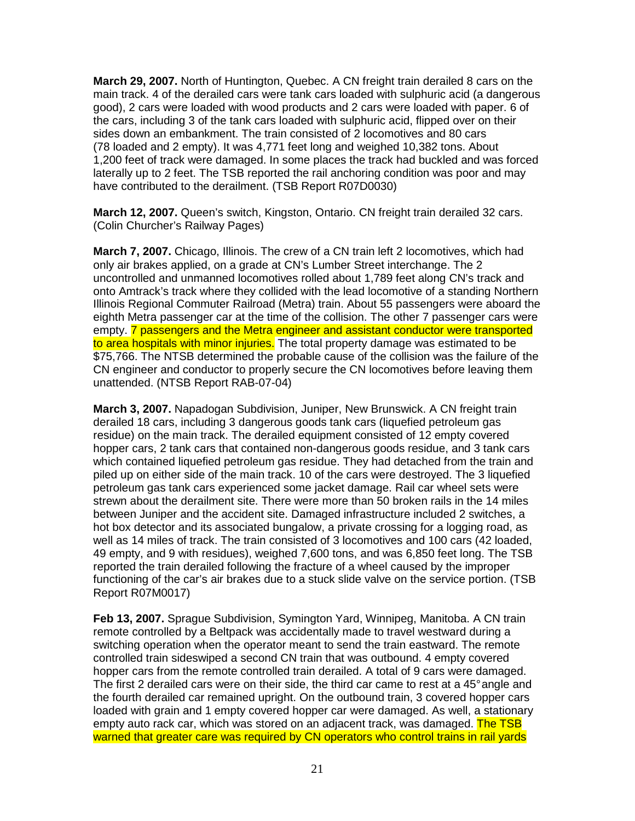**March 29, 2007.** North of Huntington, Quebec. A CN freight train derailed 8 cars on the main track. 4 of the derailed cars were tank cars loaded with sulphuric acid (a dangerous good), 2 cars were loaded with wood products and 2 cars were loaded with paper. 6 of the cars, including 3 of the tank cars loaded with sulphuric acid, flipped over on their sides down an embankment. The train consisted of 2 locomotives and 80 cars (78 loaded and 2 empty). It was 4,771 feet long and weighed 10,382 tons. About 1,200 feet of track were damaged. In some places the track had buckled and was forced laterally up to 2 feet. The TSB reported the rail anchoring condition was poor and may have contributed to the derailment. (TSB Report R07D0030)

**March 12, 2007.** Queen's switch, Kingston, Ontario. CN freight train derailed 32 cars. (Colin Churcher's Railway Pages)

**March 7, 2007.** Chicago, Illinois. The crew of a CN train left 2 locomotives, which had only air brakes applied, on a grade at CN's Lumber Street interchange. The 2 uncontrolled and unmanned locomotives rolled about 1,789 feet along CN's track and onto Amtrack's track where they collided with the lead locomotive of a standing Northern Illinois Regional Commuter Railroad (Metra) train. About 55 passengers were aboard the eighth Metra passenger car at the time of the collision. The other 7 passenger cars were empty. **7** passengers and the Metra engineer and assistant conductor were transported to area hospitals with minor injuries. The total property damage was estimated to be \$75,766. The NTSB determined the probable cause of the collision was the failure of the CN engineer and conductor to properly secure the CN locomotives before leaving them unattended. (NTSB Report RAB-07-04)

**March 3, 2007.** Napadogan Subdivision, Juniper, New Brunswick. A CN freight train derailed 18 cars, including 3 dangerous goods tank cars (liquefied petroleum gas residue) on the main track. The derailed equipment consisted of 12 empty covered hopper cars, 2 tank cars that contained non-dangerous goods residue, and 3 tank cars which contained liquefied petroleum gas residue. They had detached from the train and piled up on either side of the main track. 10 of the cars were destroyed. The 3 liquefied petroleum gas tank cars experienced some jacket damage. Rail car wheel sets were strewn about the derailment site. There were more than 50 broken rails in the 14 miles between Juniper and the accident site. Damaged infrastructure included 2 switches, a hot box detector and its associated bungalow, a private crossing for a logging road, as well as 14 miles of track. The train consisted of 3 locomotives and 100 cars (42 loaded, 49 empty, and 9 with residues), weighed 7,600 tons, and was 6,850 feet long. The TSB reported the train derailed following the fracture of a wheel caused by the improper functioning of the car's air brakes due to a stuck slide valve on the service portion. (TSB Report R07M0017)

**Feb 13, 2007.** Sprague Subdivision, Symington Yard, Winnipeg, Manitoba. A CN train remote controlled by a Beltpack was accidentally made to travel westward during a switching operation when the operator meant to send the train eastward. The remote controlled train sideswiped a second CN train that was outbound. 4 empty covered hopper cars from the remote controlled train derailed. A total of 9 cars were damaged. The first 2 derailed cars were on their side, the third car came to rest at a 45° angle and the fourth derailed car remained upright. On the outbound train, 3 covered hopper cars loaded with grain and 1 empty covered hopper car were damaged. As well, a stationary empty auto rack car, which was stored on an adjacent track, was damaged. The TSB warned that greater care was required by CN operators who control trains in rail yards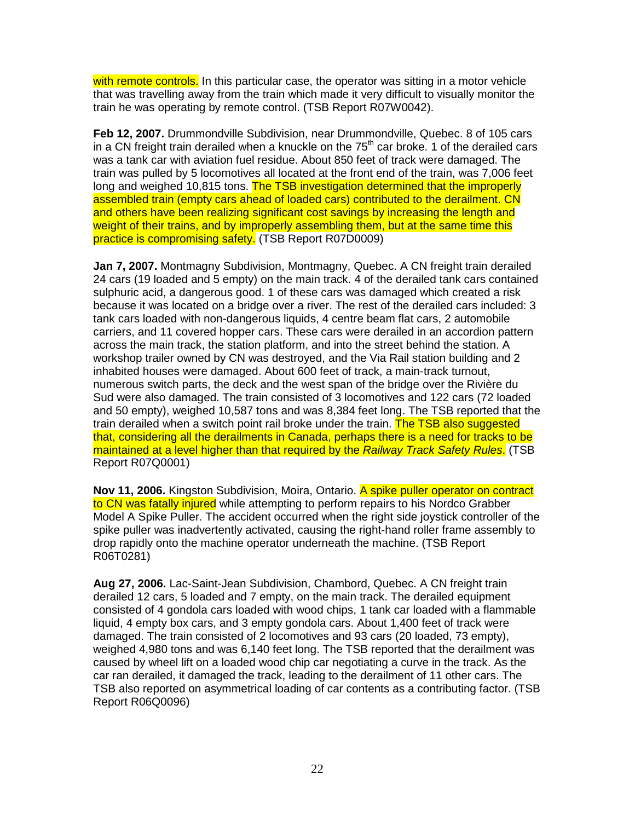with remote controls. In this particular case, the operator was sitting in a motor vehicle that was travelling away from the train which made it very difficult to visually monitor the train he was operating by remote control. (TSB Report R07W0042).

**Feb 12, 2007.** Drummondville Subdivision, near Drummondville, Quebec. 8 of 105 cars in a CN freight train derailed when a knuckle on the  $75<sup>th</sup>$  car broke. 1 of the derailed cars was a tank car with aviation fuel residue. About 850 feet of track were damaged. The train was pulled by 5 locomotives all located at the front end of the train, was 7,006 feet long and weighed 10,815 tons. The TSB investigation determined that the improperly assembled train (empty cars ahead of loaded cars) contributed to the derailment. CN and others have been realizing significant cost savings by increasing the length and weight of their trains, and by improperly assembling them, but at the same time this practice is compromising safety. (TSB Report R07D0009)

**Jan 7, 2007.** Montmagny Subdivision, Montmagny, Quebec. A CN freight train derailed 24 cars (19 loaded and 5 empty) on the main track. 4 of the derailed tank cars contained sulphuric acid, a dangerous good. 1 of these cars was damaged which created a risk because it was located on a bridge over a river. The rest of the derailed cars included: 3 tank cars loaded with non-dangerous liquids, 4 centre beam flat cars, 2 automobile carriers, and 11 covered hopper cars. These cars were derailed in an accordion pattern across the main track, the station platform, and into the street behind the station. A workshop trailer owned by CN was destroyed, and the Via Rail station building and 2 inhabited houses were damaged. About 600 feet of track, a main-track turnout, numerous switch parts, the deck and the west span of the bridge over the Rivière du Sud were also damaged. The train consisted of 3 locomotives and 122 cars (72 loaded and 50 empty), weighed 10,587 tons and was 8,384 feet long. The TSB reported that the train derailed when a switch point rail broke under the train. The TSB also suggested that, considering all the derailments in Canada, perhaps there is a need for tracks to be maintained at a level higher than that required by the Railway Track Safety Rules. (TSB Report R07Q0001)

**Nov 11, 2006.** Kingston Subdivision, Moira, Ontario. A spike puller operator on contract to CN was fatally injured while attempting to perform repairs to his Nordco Grabber Model A Spike Puller. The accident occurred when the right side joystick controller of the spike puller was inadvertently activated, causing the right-hand roller frame assembly to drop rapidly onto the machine operator underneath the machine. (TSB Report R06T0281)

**Aug 27, 2006.** Lac-Saint-Jean Subdivision, Chambord, Quebec. A CN freight train derailed 12 cars, 5 loaded and 7 empty, on the main track. The derailed equipment consisted of 4 gondola cars loaded with wood chips, 1 tank car loaded with a flammable liquid, 4 empty box cars, and 3 empty gondola cars. About 1,400 feet of track were damaged. The train consisted of 2 locomotives and 93 cars (20 loaded, 73 empty), weighed 4,980 tons and was 6,140 feet long. The TSB reported that the derailment was caused by wheel lift on a loaded wood chip car negotiating a curve in the track. As the car ran derailed, it damaged the track, leading to the derailment of 11 other cars. The TSB also reported on asymmetrical loading of car contents as a contributing factor. (TSB Report R06Q0096)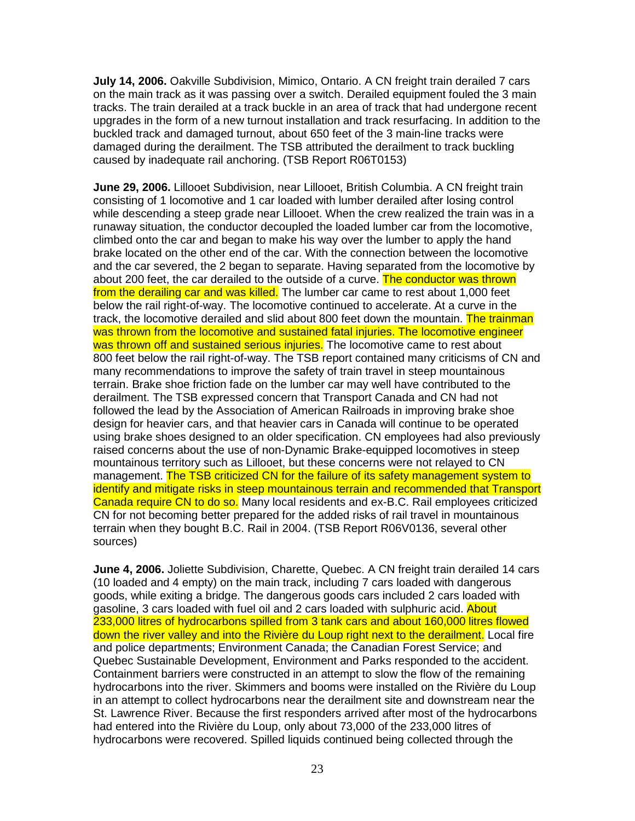**July 14, 2006.** Oakville Subdivision, Mimico, Ontario. A CN freight train derailed 7 cars on the main track as it was passing over a switch. Derailed equipment fouled the 3 main tracks. The train derailed at a track buckle in an area of track that had undergone recent upgrades in the form of a new turnout installation and track resurfacing. In addition to the buckled track and damaged turnout, about 650 feet of the 3 main-line tracks were damaged during the derailment. The TSB attributed the derailment to track buckling caused by inadequate rail anchoring. (TSB Report R06T0153)

**June 29, 2006.** Lillooet Subdivision, near Lillooet, British Columbia. A CN freight train consisting of 1 locomotive and 1 car loaded with lumber derailed after losing control while descending a steep grade near Lillooet. When the crew realized the train was in a runaway situation, the conductor decoupled the loaded lumber car from the locomotive, climbed onto the car and began to make his way over the lumber to apply the hand brake located on the other end of the car. With the connection between the locomotive and the car severed, the 2 began to separate. Having separated from the locomotive by about 200 feet, the car derailed to the outside of a curve. The conductor was thrown from the derailing car and was killed. The lumber car came to rest about 1,000 feet below the rail right-of-way. The locomotive continued to accelerate. At a curve in the track, the locomotive derailed and slid about 800 feet down the mountain. The trainman was thrown from the locomotive and sustained fatal injuries. The locomotive engineer was thrown off and sustained serious injuries. The locomotive came to rest about 800 feet below the rail right-of-way. The TSB report contained many criticisms of CN and many recommendations to improve the safety of train travel in steep mountainous terrain. Brake shoe friction fade on the lumber car may well have contributed to the derailment. The TSB expressed concern that Transport Canada and CN had not followed the lead by the Association of American Railroads in improving brake shoe design for heavier cars, and that heavier cars in Canada will continue to be operated using brake shoes designed to an older specification. CN employees had also previously raised concerns about the use of non-Dynamic Brake-equipped locomotives in steep mountainous territory such as Lillooet, but these concerns were not relayed to CN management. The TSB criticized CN for the failure of its safety management system to identify and mitigate risks in steep mountainous terrain and recommended that Transport Canada require CN to do so. Many local residents and ex-B.C. Rail employees criticized CN for not becoming better prepared for the added risks of rail travel in mountainous terrain when they bought B.C. Rail in 2004. (TSB Report R06V0136, several other sources)

**June 4, 2006.** Joliette Subdivision, Charette, Quebec. A CN freight train derailed 14 cars (10 loaded and 4 empty) on the main track, including 7 cars loaded with dangerous goods, while exiting a bridge. The dangerous goods cars included 2 cars loaded with gasoline, 3 cars loaded with fuel oil and 2 cars loaded with sulphuric acid. About 233,000 litres of hydrocarbons spilled from 3 tank cars and about 160,000 litres flowed down the river valley and into the Rivière du Loup right next to the derailment. Local fire and police departments; Environment Canada; the Canadian Forest Service; and Quebec Sustainable Development, Environment and Parks responded to the accident. Containment barriers were constructed in an attempt to slow the flow of the remaining hydrocarbons into the river. Skimmers and booms were installed on the Rivière du Loup in an attempt to collect hydrocarbons near the derailment site and downstream near the St. Lawrence River. Because the first responders arrived after most of the hydrocarbons had entered into the Rivière du Loup, only about 73,000 of the 233,000 litres of hydrocarbons were recovered. Spilled liquids continued being collected through the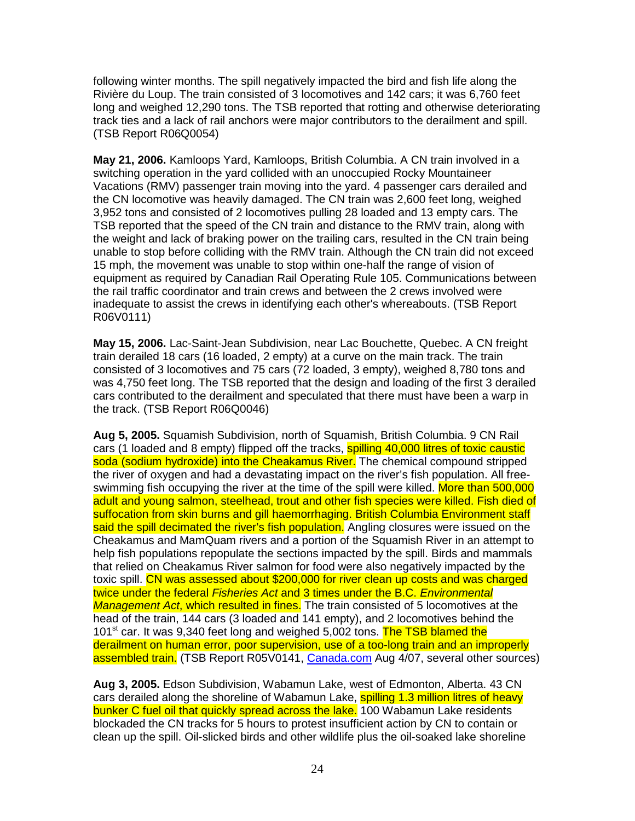following winter months. The spill negatively impacted the bird and fish life along the Rivière du Loup. The train consisted of 3 locomotives and 142 cars; it was 6,760 feet long and weighed 12,290 tons. The TSB reported that rotting and otherwise deteriorating track ties and a lack of rail anchors were major contributors to the derailment and spill. (TSB Report R06Q0054)

**May 21, 2006.** Kamloops Yard, Kamloops, British Columbia. A CN train involved in a switching operation in the yard collided with an unoccupied Rocky Mountaineer Vacations (RMV) passenger train moving into the yard. 4 passenger cars derailed and the CN locomotive was heavily damaged. The CN train was 2,600 feet long, weighed 3,952 tons and consisted of 2 locomotives pulling 28 loaded and 13 empty cars. The TSB reported that the speed of the CN train and distance to the RMV train, along with the weight and lack of braking power on the trailing cars, resulted in the CN train being unable to stop before colliding with the RMV train. Although the CN train did not exceed 15 mph, the movement was unable to stop within one-half the range of vision of equipment as required by Canadian Rail Operating Rule 105. Communications between the rail traffic coordinator and train crews and between the 2 crews involved were inadequate to assist the crews in identifying each other's whereabouts. (TSB Report R06V0111)

**May 15, 2006.** Lac-Saint-Jean Subdivision, near Lac Bouchette, Quebec. A CN freight train derailed 18 cars (16 loaded, 2 empty) at a curve on the main track. The train consisted of 3 locomotives and 75 cars (72 loaded, 3 empty), weighed 8,780 tons and was 4,750 feet long. The TSB reported that the design and loading of the first 3 derailed cars contributed to the derailment and speculated that there must have been a warp in the track. (TSB Report R06Q0046)

**Aug 5, 2005.** Squamish Subdivision, north of Squamish, British Columbia. 9 CN Rail cars (1 loaded and 8 empty) flipped off the tracks, **spilling 40,000 litres of toxic caustic** soda (sodium hydroxide) into the Cheakamus River. The chemical compound stripped the river of oxygen and had a devastating impact on the river's fish population. All freeswimming fish occupying the river at the time of the spill were killed. More than 500.000 adult and young salmon, steelhead, trout and other fish species were killed. Fish died of suffocation from skin burns and gill haemorrhaging. British Columbia Environment staff said the spill decimated the river's fish population. Angling closures were issued on the Cheakamus and MamQuam rivers and a portion of the Squamish River in an attempt to help fish populations repopulate the sections impacted by the spill. Birds and mammals that relied on Cheakamus River salmon for food were also negatively impacted by the toxic spill. CN was assessed about \$200,000 for river clean up costs and was charged twice under the federal Fisheries Act and 3 times under the B.C. Environmental Management Act, which resulted in fines. The train consisted of 5 locomotives at the head of the train, 144 cars (3 loaded and 141 empty), and 2 locomotives behind the 101<sup>st</sup> car. It was 9,340 feet long and weighed 5,002 tons. The TSB blamed the derailment on human error, poor supervision, use of a too-long train and an improperly assembled train. (TSB Report R05V0141, Canada.com Aug 4/07, several other sources)

**Aug 3, 2005.** Edson Subdivision, Wabamun Lake, west of Edmonton, Alberta. 43 CN cars derailed along the shoreline of Wabamun Lake, **spilling 1.3 million litres of heavy** bunker C fuel oil that quickly spread across the lake. 100 Wabamun Lake residents blockaded the CN tracks for 5 hours to protest insufficient action by CN to contain or clean up the spill. Oil-slicked birds and other wildlife plus the oil-soaked lake shoreline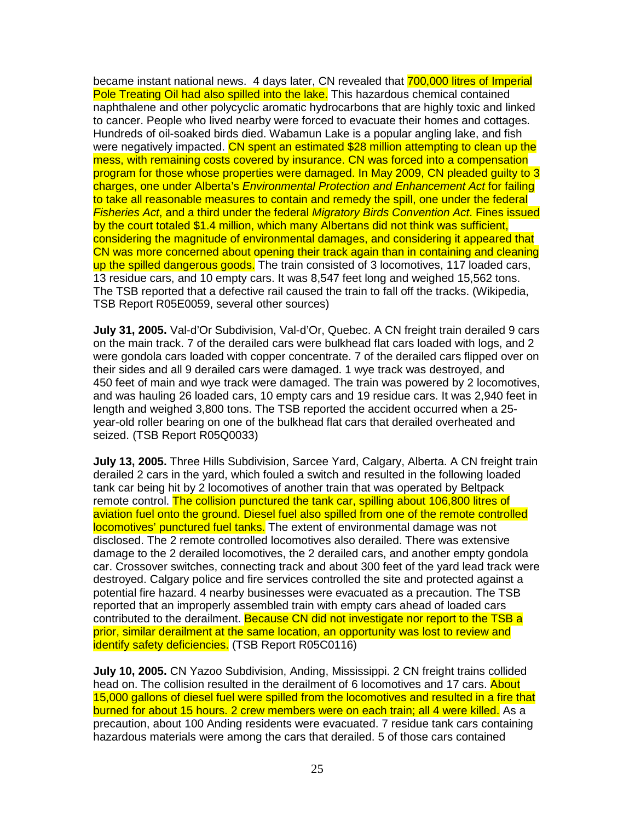became instant national news. 4 days later, CN revealed that 700,000 litres of Imperial Pole Treating Oil had also spilled into the lake. This hazardous chemical contained naphthalene and other polycyclic aromatic hydrocarbons that are highly toxic and linked to cancer. People who lived nearby were forced to evacuate their homes and cottages. Hundreds of oil-soaked birds died. Wabamun Lake is a popular angling lake, and fish were negatively impacted. CN spent an estimated \$28 million attempting to clean up the mess, with remaining costs covered by insurance. CN was forced into a compensation program for those whose properties were damaged. In May 2009, CN pleaded guilty to 3 charges, one under Alberta's Environmental Protection and Enhancement Act for failing to take all reasonable measures to contain and remedy the spill, one under the federal Fisheries Act, and a third under the federal Migratory Birds Convention Act. Fines issued by the court totaled \$1.4 million, which many Albertans did not think was sufficient, considering the magnitude of environmental damages, and considering it appeared that CN was more concerned about opening their track again than in containing and cleaning up the spilled dangerous goods. The train consisted of 3 locomotives, 117 loaded cars, 13 residue cars, and 10 empty cars. It was 8,547 feet long and weighed 15,562 tons. The TSB reported that a defective rail caused the train to fall off the tracks. (Wikipedia, TSB Report R05E0059, several other sources)

**July 31, 2005.** Val-d'Or Subdivision, Val-d'Or, Quebec. A CN freight train derailed 9 cars on the main track. 7 of the derailed cars were bulkhead flat cars loaded with logs, and 2 were gondola cars loaded with copper concentrate. 7 of the derailed cars flipped over on their sides and all 9 derailed cars were damaged. 1 wye track was destroyed, and 450 feet of main and wye track were damaged. The train was powered by 2 locomotives, and was hauling 26 loaded cars, 10 empty cars and 19 residue cars. It was 2,940 feet in length and weighed 3,800 tons. The TSB reported the accident occurred when a 25 year-old roller bearing on one of the bulkhead flat cars that derailed overheated and seized. (TSB Report R05Q0033)

**July 13, 2005.** Three Hills Subdivision, Sarcee Yard, Calgary, Alberta. A CN freight train derailed 2 cars in the yard, which fouled a switch and resulted in the following loaded tank car being hit by 2 locomotives of another train that was operated by Beltpack remote control. The collision punctured the tank car, spilling about 106,800 litres of aviation fuel onto the ground. Diesel fuel also spilled from one of the remote controlled locomotives' punctured fuel tanks. The extent of environmental damage was not disclosed. The 2 remote controlled locomotives also derailed. There was extensive damage to the 2 derailed locomotives, the 2 derailed cars, and another empty gondola car. Crossover switches, connecting track and about 300 feet of the yard lead track were destroyed. Calgary police and fire services controlled the site and protected against a potential fire hazard. 4 nearby businesses were evacuated as a precaution. The TSB reported that an improperly assembled train with empty cars ahead of loaded cars contributed to the derailment. Because CN did not investigate nor report to the TSB a prior, similar derailment at the same location, an opportunity was lost to review and identify safety deficiencies. (TSB Report R05C0116)

**July 10, 2005.** CN Yazoo Subdivision, Anding, Mississippi. 2 CN freight trains collided head on. The collision resulted in the derailment of 6 locomotives and 17 cars. About 15,000 gallons of diesel fuel were spilled from the locomotives and resulted in a fire that burned for about 15 hours. 2 crew members were on each train; all 4 were killed. As a precaution, about 100 Anding residents were evacuated. 7 residue tank cars containing hazardous materials were among the cars that derailed. 5 of those cars contained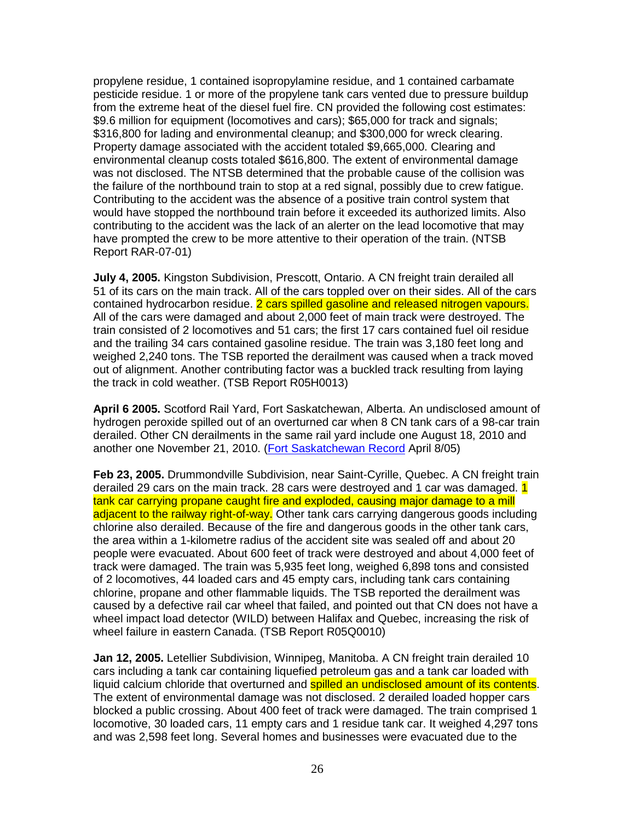propylene residue, 1 contained isopropylamine residue, and 1 contained carbamate pesticide residue. 1 or more of the propylene tank cars vented due to pressure buildup from the extreme heat of the diesel fuel fire. CN provided the following cost estimates: \$9.6 million for equipment (locomotives and cars); \$65,000 for track and signals; \$316,800 for lading and environmental cleanup; and \$300,000 for wreck clearing. Property damage associated with the accident totaled \$9,665,000. Clearing and environmental cleanup costs totaled \$616,800. The extent of environmental damage was not disclosed. The NTSB determined that the probable cause of the collision was the failure of the northbound train to stop at a red signal, possibly due to crew fatigue. Contributing to the accident was the absence of a positive train control system that would have stopped the northbound train before it exceeded its authorized limits. Also contributing to the accident was the lack of an alerter on the lead locomotive that may have prompted the crew to be more attentive to their operation of the train. (NTSB Report RAR-07-01)

**July 4, 2005.** Kingston Subdivision, Prescott, Ontario. A CN freight train derailed all 51 of its cars on the main track. All of the cars toppled over on their sides. All of the cars contained hydrocarbon residue. 2 cars spilled gasoline and released nitrogen vapours. All of the cars were damaged and about 2,000 feet of main track were destroyed. The train consisted of 2 locomotives and 51 cars; the first 17 cars contained fuel oil residue and the trailing 34 cars contained gasoline residue. The train was 3,180 feet long and weighed 2,240 tons. The TSB reported the derailment was caused when a track moved out of alignment. Another contributing factor was a buckled track resulting from laying the track in cold weather. (TSB Report R05H0013)

**April 6 2005.** Scotford Rail Yard, Fort Saskatchewan, Alberta. An undisclosed amount of hydrogen peroxide spilled out of an overturned car when 8 CN tank cars of a 98-car train derailed. Other CN derailments in the same rail yard include one August 18, 2010 and another one November 21, 2010. (Fort Saskatchewan Record April 8/05)

**Feb 23, 2005.** Drummondville Subdivision, near Saint-Cyrille, Quebec. A CN freight train derailed 29 cars on the main track. 28 cars were destroyed and 1 car was damaged. 1 tank car carrying propane caught fire and exploded, causing major damage to a mill adjacent to the railway right-of-way. Other tank cars carrying dangerous goods including chlorine also derailed. Because of the fire and dangerous goods in the other tank cars, the area within a 1-kilometre radius of the accident site was sealed off and about 20 people were evacuated. About 600 feet of track were destroyed and about 4,000 feet of track were damaged. The train was 5,935 feet long, weighed 6,898 tons and consisted of 2 locomotives, 44 loaded cars and 45 empty cars, including tank cars containing chlorine, propane and other flammable liquids. The TSB reported the derailment was caused by a defective rail car wheel that failed, and pointed out that CN does not have a wheel impact load detector (WILD) between Halifax and Quebec, increasing the risk of wheel failure in eastern Canada. (TSB Report R05Q0010)

**Jan 12, 2005.** Letellier Subdivision, Winnipeg, Manitoba. A CN freight train derailed 10 cars including a tank car containing liquefied petroleum gas and a tank car loaded with liquid calcium chloride that overturned and **spilled an undisclosed amount of its contents**. The extent of environmental damage was not disclosed. 2 derailed loaded hopper cars blocked a public crossing. About 400 feet of track were damaged. The train comprised 1 locomotive, 30 loaded cars, 11 empty cars and 1 residue tank car. It weighed 4,297 tons and was 2,598 feet long. Several homes and businesses were evacuated due to the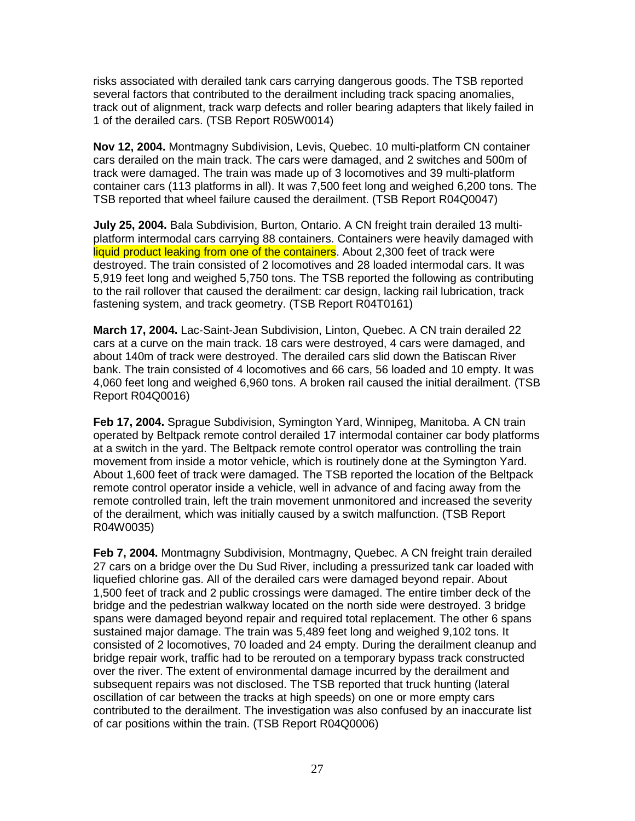risks associated with derailed tank cars carrying dangerous goods. The TSB reported several factors that contributed to the derailment including track spacing anomalies, track out of alignment, track warp defects and roller bearing adapters that likely failed in 1 of the derailed cars. (TSB Report R05W0014)

**Nov 12, 2004.** Montmagny Subdivision, Levis, Quebec. 10 multi-platform CN container cars derailed on the main track. The cars were damaged, and 2 switches and 500m of track were damaged. The train was made up of 3 locomotives and 39 multi-platform container cars (113 platforms in all). It was 7,500 feet long and weighed 6,200 tons. The TSB reported that wheel failure caused the derailment. (TSB Report R04Q0047)

**July 25, 2004.** Bala Subdivision, Burton, Ontario. A CN freight train derailed 13 multiplatform intermodal cars carrying 88 containers. Containers were heavily damaged with liquid product leaking from one of the containers. About 2,300 feet of track were destroyed. The train consisted of 2 locomotives and 28 loaded intermodal cars. It was 5,919 feet long and weighed 5,750 tons. The TSB reported the following as contributing to the rail rollover that caused the derailment: car design, lacking rail lubrication, track fastening system, and track geometry. (TSB Report R04T0161)

**March 17, 2004.** Lac-Saint-Jean Subdivision, Linton, Quebec. A CN train derailed 22 cars at a curve on the main track. 18 cars were destroyed, 4 cars were damaged, and about 140m of track were destroyed. The derailed cars slid down the Batiscan River bank. The train consisted of 4 locomotives and 66 cars, 56 loaded and 10 empty. It was 4,060 feet long and weighed 6,960 tons. A broken rail caused the initial derailment. (TSB Report R04Q0016)

**Feb 17, 2004.** Sprague Subdivision, Symington Yard, Winnipeg, Manitoba. A CN train operated by Beltpack remote control derailed 17 intermodal container car body platforms at a switch in the yard. The Beltpack remote control operator was controlling the train movement from inside a motor vehicle, which is routinely done at the Symington Yard. About 1,600 feet of track were damaged. The TSB reported the location of the Beltpack remote control operator inside a vehicle, well in advance of and facing away from the remote controlled train, left the train movement unmonitored and increased the severity of the derailment, which was initially caused by a switch malfunction. (TSB Report R04W0035)

**Feb 7, 2004.** Montmagny Subdivision, Montmagny, Quebec. A CN freight train derailed 27 cars on a bridge over the Du Sud River, including a pressurized tank car loaded with liquefied chlorine gas. All of the derailed cars were damaged beyond repair. About 1,500 feet of track and 2 public crossings were damaged. The entire timber deck of the bridge and the pedestrian walkway located on the north side were destroyed. 3 bridge spans were damaged beyond repair and required total replacement. The other 6 spans sustained major damage. The train was 5,489 feet long and weighed 9,102 tons. It consisted of 2 locomotives, 70 loaded and 24 empty. During the derailment cleanup and bridge repair work, traffic had to be rerouted on a temporary bypass track constructed over the river. The extent of environmental damage incurred by the derailment and subsequent repairs was not disclosed. The TSB reported that truck hunting (lateral oscillation of car between the tracks at high speeds) on one or more empty cars contributed to the derailment. The investigation was also confused by an inaccurate list of car positions within the train. (TSB Report R04Q0006)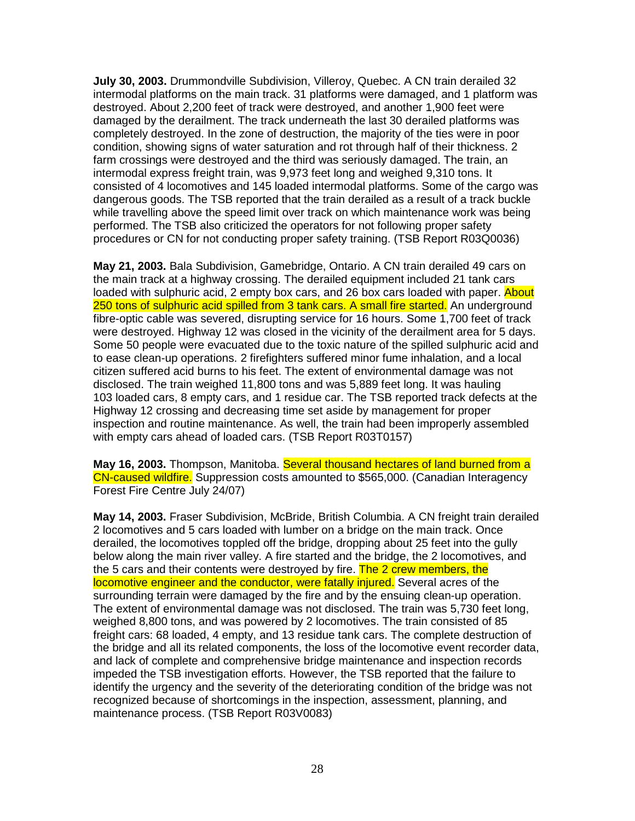**July 30, 2003.** Drummondville Subdivision, Villeroy, Quebec. A CN train derailed 32 intermodal platforms on the main track. 31 platforms were damaged, and 1 platform was destroyed. About 2,200 feet of track were destroyed, and another 1,900 feet were damaged by the derailment. The track underneath the last 30 derailed platforms was completely destroyed. In the zone of destruction, the majority of the ties were in poor condition, showing signs of water saturation and rot through half of their thickness. 2 farm crossings were destroyed and the third was seriously damaged. The train, an intermodal express freight train, was 9,973 feet long and weighed 9,310 tons. It consisted of 4 locomotives and 145 loaded intermodal platforms. Some of the cargo was dangerous goods. The TSB reported that the train derailed as a result of a track buckle while travelling above the speed limit over track on which maintenance work was being performed. The TSB also criticized the operators for not following proper safety procedures or CN for not conducting proper safety training. (TSB Report R03Q0036)

**May 21, 2003.** Bala Subdivision, Gamebridge, Ontario. A CN train derailed 49 cars on the main track at a highway crossing. The derailed equipment included 21 tank cars loaded with sulphuric acid, 2 empty box cars, and 26 box cars loaded with paper. About 250 tons of sulphuric acid spilled from 3 tank cars. A small fire started. An underground fibre-optic cable was severed, disrupting service for 16 hours. Some 1,700 feet of track were destroyed. Highway 12 was closed in the vicinity of the derailment area for 5 days. Some 50 people were evacuated due to the toxic nature of the spilled sulphuric acid and to ease clean-up operations. 2 firefighters suffered minor fume inhalation, and a local citizen suffered acid burns to his feet. The extent of environmental damage was not disclosed. The train weighed 11,800 tons and was 5,889 feet long. It was hauling 103 loaded cars, 8 empty cars, and 1 residue car. The TSB reported track defects at the Highway 12 crossing and decreasing time set aside by management for proper inspection and routine maintenance. As well, the train had been improperly assembled with empty cars ahead of loaded cars. (TSB Report R03T0157)

**May 16, 2003.** Thompson, Manitoba. Several thousand hectares of land burned from a CN-caused wildfire. Suppression costs amounted to \$565,000. (Canadian Interagency Forest Fire Centre July 24/07)

**May 14, 2003.** Fraser Subdivision, McBride, British Columbia. A CN freight train derailed 2 locomotives and 5 cars loaded with lumber on a bridge on the main track. Once derailed, the locomotives toppled off the bridge, dropping about 25 feet into the gully below along the main river valley. A fire started and the bridge, the 2 locomotives, and the 5 cars and their contents were destroyed by fire. The 2 crew members, the locomotive engineer and the conductor, were fatally injured. Several acres of the surrounding terrain were damaged by the fire and by the ensuing clean-up operation. The extent of environmental damage was not disclosed. The train was 5,730 feet long, weighed 8,800 tons, and was powered by 2 locomotives. The train consisted of 85 freight cars: 68 loaded, 4 empty, and 13 residue tank cars. The complete destruction of the bridge and all its related components, the loss of the locomotive event recorder data, and lack of complete and comprehensive bridge maintenance and inspection records impeded the TSB investigation efforts. However, the TSB reported that the failure to identify the urgency and the severity of the deteriorating condition of the bridge was not recognized because of shortcomings in the inspection, assessment, planning, and maintenance process. (TSB Report R03V0083)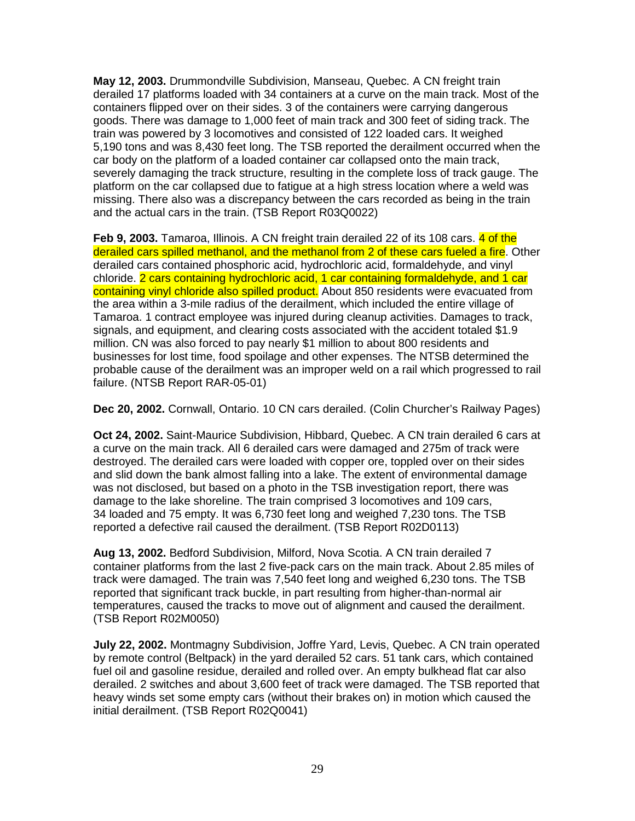**May 12, 2003.** Drummondville Subdivision, Manseau, Quebec. A CN freight train derailed 17 platforms loaded with 34 containers at a curve on the main track. Most of the containers flipped over on their sides. 3 of the containers were carrying dangerous goods. There was damage to 1,000 feet of main track and 300 feet of siding track. The train was powered by 3 locomotives and consisted of 122 loaded cars. It weighed 5,190 tons and was 8,430 feet long. The TSB reported the derailment occurred when the car body on the platform of a loaded container car collapsed onto the main track, severely damaging the track structure, resulting in the complete loss of track gauge. The platform on the car collapsed due to fatigue at a high stress location where a weld was missing. There also was a discrepancy between the cars recorded as being in the train and the actual cars in the train. (TSB Report R03Q0022)

Feb 9, 2003. Tamaroa, Illinois. A CN freight train derailed 22 of its 108 cars. 4 of the derailed cars spilled methanol, and the methanol from 2 of these cars fueled a fire. Other derailed cars contained phosphoric acid, hydrochloric acid, formaldehyde, and vinyl chloride. 2 cars containing hydrochloric acid, 1 car containing formaldehyde, and 1 car containing vinyl chloride also spilled product. About 850 residents were evacuated from the area within a 3-mile radius of the derailment, which included the entire village of Tamaroa. 1 contract employee was injured during cleanup activities. Damages to track, signals, and equipment, and clearing costs associated with the accident totaled \$1.9 million. CN was also forced to pay nearly \$1 million to about 800 residents and businesses for lost time, food spoilage and other expenses. The NTSB determined the probable cause of the derailment was an improper weld on a rail which progressed to rail failure. (NTSB Report RAR-05-01)

**Dec 20, 2002.** Cornwall, Ontario. 10 CN cars derailed. (Colin Churcher's Railway Pages)

**Oct 24, 2002.** Saint-Maurice Subdivision, Hibbard, Quebec. A CN train derailed 6 cars at a curve on the main track. All 6 derailed cars were damaged and 275m of track were destroyed. The derailed cars were loaded with copper ore, toppled over on their sides and slid down the bank almost falling into a lake. The extent of environmental damage was not disclosed, but based on a photo in the TSB investigation report, there was damage to the lake shoreline. The train comprised 3 locomotives and 109 cars, 34 loaded and 75 empty. It was 6,730 feet long and weighed 7,230 tons. The TSB reported a defective rail caused the derailment. (TSB Report R02D0113)

**Aug 13, 2002.** Bedford Subdivision, Milford, Nova Scotia. A CN train derailed 7 container platforms from the last 2 five-pack cars on the main track. About 2.85 miles of track were damaged. The train was 7,540 feet long and weighed 6,230 tons. The TSB reported that significant track buckle, in part resulting from higher-than-normal air temperatures, caused the tracks to move out of alignment and caused the derailment. (TSB Report R02M0050)

**July 22, 2002.** Montmagny Subdivision, Joffre Yard, Levis, Quebec. A CN train operated by remote control (Beltpack) in the yard derailed 52 cars. 51 tank cars, which contained fuel oil and gasoline residue, derailed and rolled over. An empty bulkhead flat car also derailed. 2 switches and about 3,600 feet of track were damaged. The TSB reported that heavy winds set some empty cars (without their brakes on) in motion which caused the initial derailment. (TSB Report R02Q0041)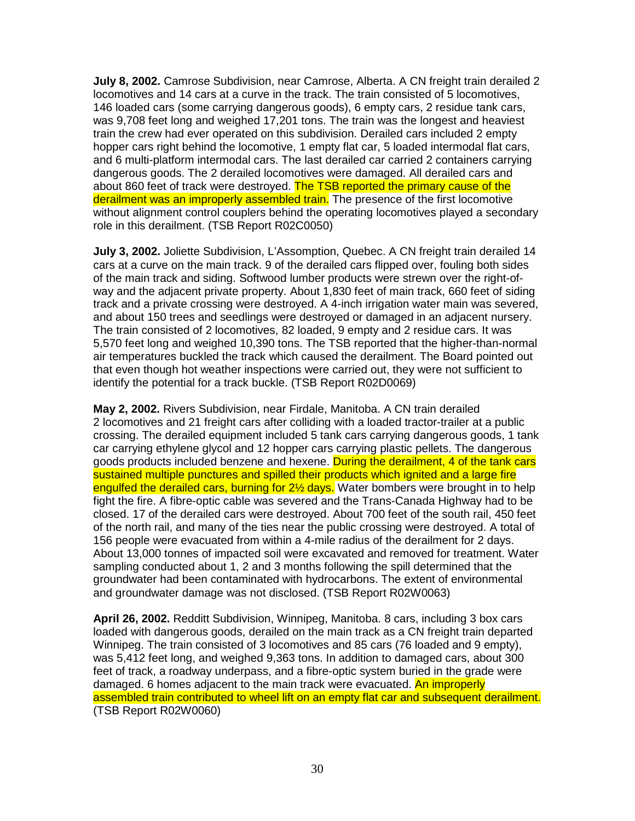**July 8, 2002.** Camrose Subdivision, near Camrose, Alberta. A CN freight train derailed 2 locomotives and 14 cars at a curve in the track. The train consisted of 5 locomotives, 146 loaded cars (some carrying dangerous goods), 6 empty cars, 2 residue tank cars, was 9,708 feet long and weighed 17,201 tons. The train was the longest and heaviest train the crew had ever operated on this subdivision. Derailed cars included 2 empty hopper cars right behind the locomotive, 1 empty flat car, 5 loaded intermodal flat cars, and 6 multi-platform intermodal cars. The last derailed car carried 2 containers carrying dangerous goods. The 2 derailed locomotives were damaged. All derailed cars and about 860 feet of track were destroyed. The TSB reported the primary cause of the derailment was an improperly assembled train. The presence of the first locomotive without alignment control couplers behind the operating locomotives played a secondary role in this derailment. (TSB Report R02C0050)

**July 3, 2002.** Joliette Subdivision, L'Assomption, Quebec. A CN freight train derailed 14 cars at a curve on the main track. 9 of the derailed cars flipped over, fouling both sides of the main track and siding. Softwood lumber products were strewn over the right-ofway and the adjacent private property. About 1,830 feet of main track, 660 feet of siding track and a private crossing were destroyed. A 4-inch irrigation water main was severed, and about 150 trees and seedlings were destroyed or damaged in an adjacent nursery. The train consisted of 2 locomotives, 82 loaded, 9 empty and 2 residue cars. It was 5,570 feet long and weighed 10,390 tons. The TSB reported that the higher-than-normal air temperatures buckled the track which caused the derailment. The Board pointed out that even though hot weather inspections were carried out, they were not sufficient to identify the potential for a track buckle. (TSB Report R02D0069)

**May 2, 2002.** Rivers Subdivision, near Firdale, Manitoba. A CN train derailed 2 locomotives and 21 freight cars after colliding with a loaded tractor-trailer at a public crossing. The derailed equipment included 5 tank cars carrying dangerous goods, 1 tank car carrying ethylene glycol and 12 hopper cars carrying plastic pellets. The dangerous goods products included benzene and hexene. During the derailment, 4 of the tank cars sustained multiple punctures and spilled their products which ignited and a large fire engulfed the derailed cars, burning for 2<sup>1/2</sup> days. Water bombers were brought in to help fight the fire. A fibre-optic cable was severed and the Trans-Canada Highway had to be closed. 17 of the derailed cars were destroyed. About 700 feet of the south rail, 450 feet of the north rail, and many of the ties near the public crossing were destroyed. A total of 156 people were evacuated from within a 4-mile radius of the derailment for 2 days. About 13,000 tonnes of impacted soil were excavated and removed for treatment. Water sampling conducted about 1, 2 and 3 months following the spill determined that the groundwater had been contaminated with hydrocarbons. The extent of environmental and groundwater damage was not disclosed. (TSB Report R02W0063)

**April 26, 2002.** Redditt Subdivision, Winnipeg, Manitoba. 8 cars, including 3 box cars loaded with dangerous goods, derailed on the main track as a CN freight train departed Winnipeg. The train consisted of 3 locomotives and 85 cars (76 loaded and 9 empty), was 5,412 feet long, and weighed 9,363 tons. In addition to damaged cars, about 300 feet of track, a roadway underpass, and a fibre-optic system buried in the grade were damaged. 6 homes adjacent to the main track were evacuated. An improperly assembled train contributed to wheel lift on an empty flat car and subsequent derailment. (TSB Report R02W0060)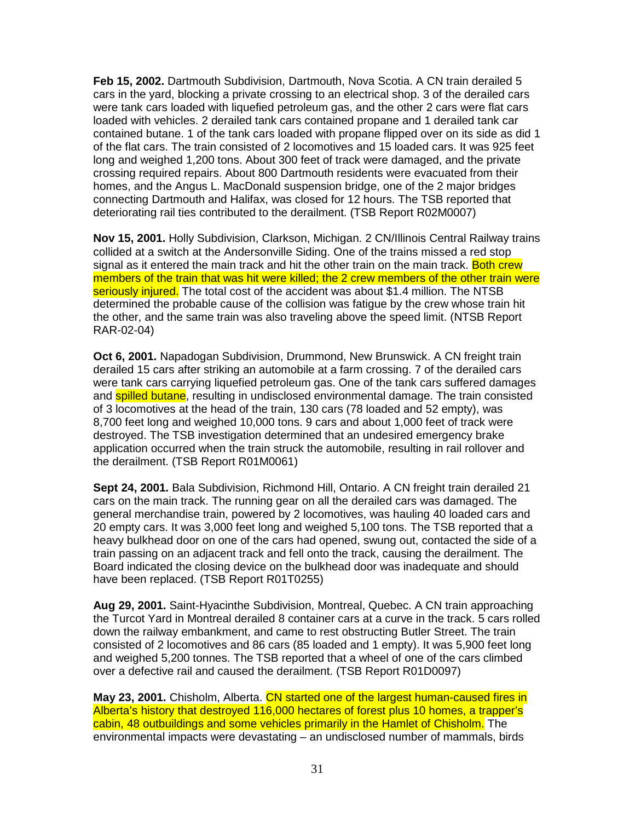**Feb 15, 2002.** Dartmouth Subdivision, Dartmouth, Nova Scotia. A CN train derailed 5 cars in the yard, blocking a private crossing to an electrical shop. 3 of the derailed cars were tank cars loaded with liquefied petroleum gas, and the other 2 cars were flat cars loaded with vehicles. 2 derailed tank cars contained propane and 1 derailed tank car contained butane. 1 of the tank cars loaded with propane flipped over on its side as did 1 of the flat cars. The train consisted of 2 locomotives and 15 loaded cars. It was 925 feet long and weighed 1,200 tons. About 300 feet of track were damaged, and the private crossing required repairs. About 800 Dartmouth residents were evacuated from their homes, and the Angus L. MacDonald suspension bridge, one of the 2 major bridges connecting Dartmouth and Halifax, was closed for 12 hours. The TSB reported that deteriorating rail ties contributed to the derailment. (TSB Report R02M0007)

**Nov 15, 2001.** Holly Subdivision, Clarkson, Michigan. 2 CN/Illinois Central Railway trains collided at a switch at the Andersonville Siding. One of the trains missed a red stop signal as it entered the main track and hit the other train on the main track. Both crew members of the train that was hit were killed; the 2 crew members of the other train were seriously injured. The total cost of the accident was about \$1.4 million. The NTSB determined the probable cause of the collision was fatigue by the crew whose train hit the other, and the same train was also traveling above the speed limit. (NTSB Report RAR-02-04)

**Oct 6, 2001.** Napadogan Subdivision, Drummond, New Brunswick. A CN freight train derailed 15 cars after striking an automobile at a farm crossing. 7 of the derailed cars were tank cars carrying liquefied petroleum gas. One of the tank cars suffered damages and **spilled butane**, resulting in undisclosed environmental damage. The train consisted of 3 locomotives at the head of the train, 130 cars (78 loaded and 52 empty), was 8,700 feet long and weighed 10,000 tons. 9 cars and about 1,000 feet of track were destroyed. The TSB investigation determined that an undesired emergency brake application occurred when the train struck the automobile, resulting in rail rollover and the derailment. (TSB Report R01M0061)

**Sept 24, 2001.** Bala Subdivision, Richmond Hill, Ontario. A CN freight train derailed 21 cars on the main track. The running gear on all the derailed cars was damaged. The general merchandise train, powered by 2 locomotives, was hauling 40 loaded cars and 20 empty cars. It was 3,000 feet long and weighed 5,100 tons. The TSB reported that a heavy bulkhead door on one of the cars had opened, swung out, contacted the side of a train passing on an adjacent track and fell onto the track, causing the derailment. The Board indicated the closing device on the bulkhead door was inadequate and should have been replaced. (TSB Report R01T0255)

**Aug 29, 2001.** Saint-Hyacinthe Subdivision, Montreal, Quebec. A CN train approaching the Turcot Yard in Montreal derailed 8 container cars at a curve in the track. 5 cars rolled down the railway embankment, and came to rest obstructing Butler Street. The train consisted of 2 locomotives and 86 cars (85 loaded and 1 empty). It was 5,900 feet long and weighed 5,200 tonnes. The TSB reported that a wheel of one of the cars climbed over a defective rail and caused the derailment. (TSB Report R01D0097)

**May 23, 2001.** Chisholm, Alberta. CN started one of the largest human-caused fires in Alberta's history that destroyed 116,000 hectares of forest plus 10 homes, a trapper's cabin, 48 outbuildings and some vehicles primarily in the Hamlet of Chisholm. The environmental impacts were devastating – an undisclosed number of mammals, birds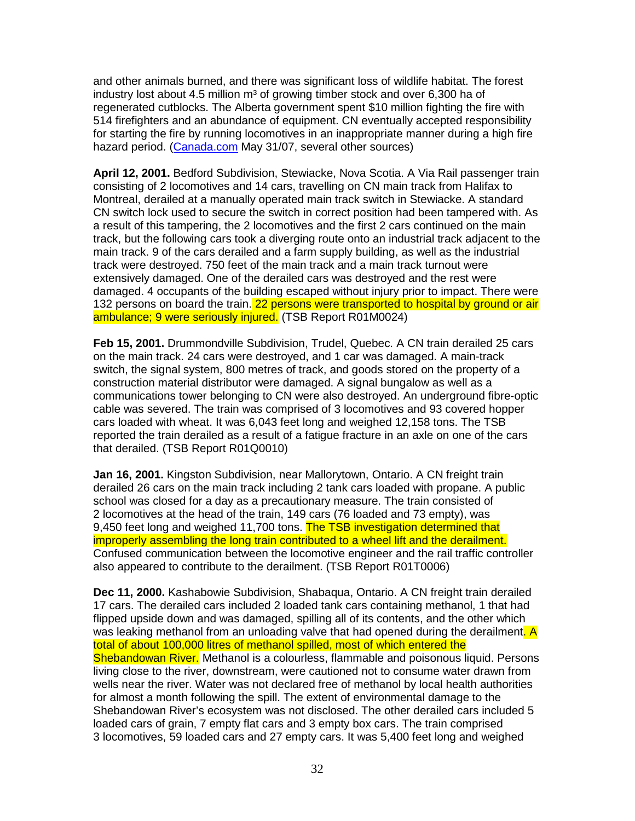and other animals burned, and there was significant loss of wildlife habitat. The forest industry lost about 4.5 million  $m<sup>3</sup>$  of growing timber stock and over 6,300 ha of regenerated cutblocks. The Alberta government spent \$10 million fighting the fire with 514 firefighters and an abundance of equipment. CN eventually accepted responsibility for starting the fire by running locomotives in an inappropriate manner during a high fire hazard period. (Canada.com May 31/07, several other sources)

**April 12, 2001.** Bedford Subdivision, Stewiacke, Nova Scotia. A Via Rail passenger train consisting of 2 locomotives and 14 cars, travelling on CN main track from Halifax to Montreal, derailed at a manually operated main track switch in Stewiacke. A standard CN switch lock used to secure the switch in correct position had been tampered with. As a result of this tampering, the 2 locomotives and the first 2 cars continued on the main track, but the following cars took a diverging route onto an industrial track adjacent to the main track. 9 of the cars derailed and a farm supply building, as well as the industrial track were destroyed. 750 feet of the main track and a main track turnout were extensively damaged. One of the derailed cars was destroyed and the rest were damaged. 4 occupants of the building escaped without injury prior to impact. There were 132 persons on board the train. 22 persons were transported to hospital by ground or air ambulance; 9 were seriously injured. (TSB Report R01M0024)

**Feb 15, 2001.** Drummondville Subdivision, Trudel, Quebec. A CN train derailed 25 cars on the main track. 24 cars were destroyed, and 1 car was damaged. A main-track switch, the signal system, 800 metres of track, and goods stored on the property of a construction material distributor were damaged. A signal bungalow as well as a communications tower belonging to CN were also destroyed. An underground fibre-optic cable was severed. The train was comprised of 3 locomotives and 93 covered hopper cars loaded with wheat. It was 6,043 feet long and weighed 12,158 tons. The TSB reported the train derailed as a result of a fatigue fracture in an axle on one of the cars that derailed. (TSB Report R01Q0010)

**Jan 16, 2001.** Kingston Subdivision, near Mallorytown, Ontario. A CN freight train derailed 26 cars on the main track including 2 tank cars loaded with propane. A public school was closed for a day as a precautionary measure. The train consisted of 2 locomotives at the head of the train, 149 cars (76 loaded and 73 empty), was 9,450 feet long and weighed 11,700 tons. The TSB investigation determined that improperly assembling the long train contributed to a wheel lift and the derailment. Confused communication between the locomotive engineer and the rail traffic controller also appeared to contribute to the derailment. (TSB Report R01T0006)

**Dec 11, 2000.** Kashabowie Subdivision, Shabaqua, Ontario. A CN freight train derailed 17 cars. The derailed cars included 2 loaded tank cars containing methanol, 1 that had flipped upside down and was damaged, spilling all of its contents, and the other which was leaking methanol from an unloading valve that had opened during the derailment. A total of about 100,000 litres of methanol spilled, most of which entered the Shebandowan River. Methanol is a colourless, flammable and poisonous liquid. Persons living close to the river, downstream, were cautioned not to consume water drawn from wells near the river. Water was not declared free of methanol by local health authorities for almost a month following the spill. The extent of environmental damage to the Shebandowan River's ecosystem was not disclosed. The other derailed cars included 5 loaded cars of grain, 7 empty flat cars and 3 empty box cars. The train comprised 3 locomotives, 59 loaded cars and 27 empty cars. It was 5,400 feet long and weighed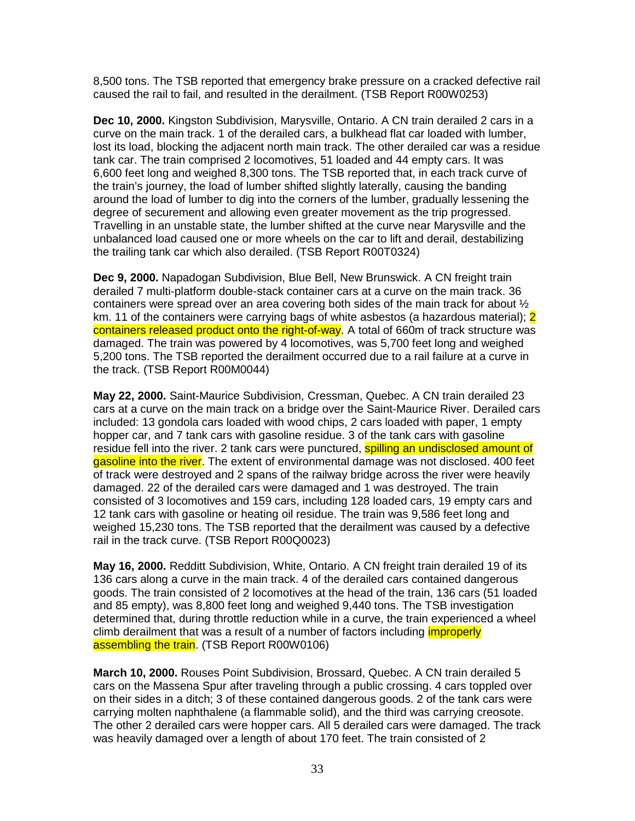8,500 tons. The TSB reported that emergency brake pressure on a cracked defective rail caused the rail to fail, and resulted in the derailment. (TSB Report R00W0253)

**Dec 10, 2000.** Kingston Subdivision, Marysville, Ontario. A CN train derailed 2 cars in a curve on the main track. 1 of the derailed cars, a bulkhead flat car loaded with lumber, lost its load, blocking the adjacent north main track. The other derailed car was a residue tank car. The train comprised 2 locomotives, 51 loaded and 44 empty cars. It was 6,600 feet long and weighed 8,300 tons. The TSB reported that, in each track curve of the train's journey, the load of lumber shifted slightly laterally, causing the banding around the load of lumber to dig into the corners of the lumber, gradually lessening the degree of securement and allowing even greater movement as the trip progressed. Travelling in an unstable state, the lumber shifted at the curve near Marysville and the unbalanced load caused one or more wheels on the car to lift and derail, destabilizing the trailing tank car which also derailed. (TSB Report R00T0324)

**Dec 9, 2000.** Napadogan Subdivision, Blue Bell, New Brunswick. A CN freight train derailed 7 multi-platform double-stack container cars at a curve on the main track. 36 containers were spread over an area covering both sides of the main track for about  $\frac{1}{2}$ km. 11 of the containers were carrying bags of white asbestos (a hazardous material); 2 containers released product onto the right-of-way. A total of 660m of track structure was damaged. The train was powered by 4 locomotives, was 5,700 feet long and weighed 5,200 tons. The TSB reported the derailment occurred due to a rail failure at a curve in the track. (TSB Report R00M0044)

**May 22, 2000.** Saint-Maurice Subdivision, Cressman, Quebec. A CN train derailed 23 cars at a curve on the main track on a bridge over the Saint-Maurice River. Derailed cars included: 13 gondola cars loaded with wood chips, 2 cars loaded with paper, 1 empty hopper car, and 7 tank cars with gasoline residue. 3 of the tank cars with gasoline residue fell into the river. 2 tank cars were punctured, **spilling an undisclosed amount of** gasoline into the river. The extent of environmental damage was not disclosed. 400 feet of track were destroyed and 2 spans of the railway bridge across the river were heavily damaged. 22 of the derailed cars were damaged and 1 was destroyed. The train consisted of 3 locomotives and 159 cars, including 128 loaded cars, 19 empty cars and 12 tank cars with gasoline or heating oil residue. The train was 9,586 feet long and weighed 15,230 tons. The TSB reported that the derailment was caused by a defective rail in the track curve. (TSB Report R00Q0023)

**May 16, 2000.** Redditt Subdivision, White, Ontario. A CN freight train derailed 19 of its 136 cars along a curve in the main track. 4 of the derailed cars contained dangerous goods. The train consisted of 2 locomotives at the head of the train, 136 cars (51 loaded and 85 empty), was 8,800 feet long and weighed 9,440 tons. The TSB investigation determined that, during throttle reduction while in a curve, the train experienced a wheel climb derailment that was a result of a number of factors including *improperly* assembling the train. (TSB Report R00W0106)

**March 10, 2000.** Rouses Point Subdivision, Brossard, Quebec. A CN train derailed 5 cars on the Massena Spur after traveling through a public crossing. 4 cars toppled over on their sides in a ditch; 3 of these contained dangerous goods. 2 of the tank cars were carrying molten naphthalene (a flammable solid), and the third was carrying creosote. The other 2 derailed cars were hopper cars. All 5 derailed cars were damaged. The track was heavily damaged over a length of about 170 feet. The train consisted of 2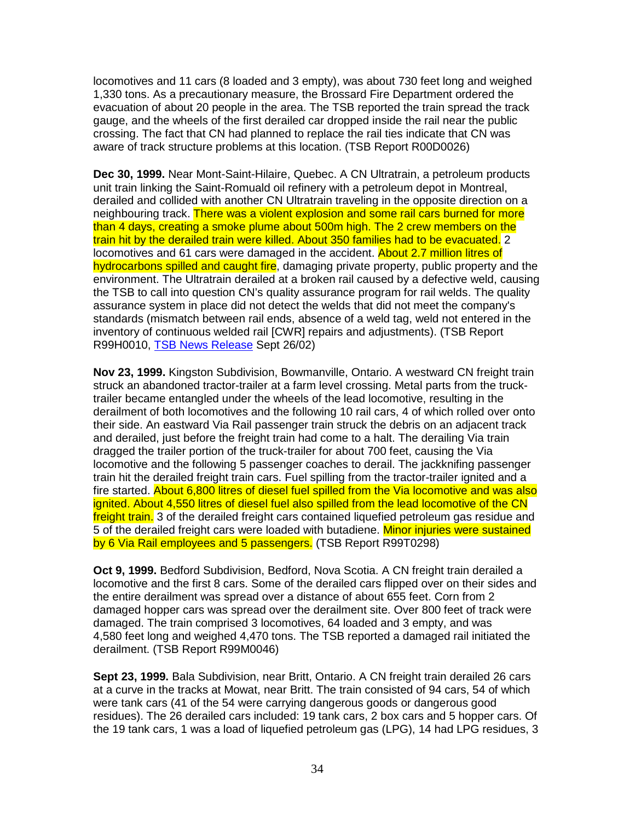locomotives and 11 cars (8 loaded and 3 empty), was about 730 feet long and weighed 1,330 tons. As a precautionary measure, the Brossard Fire Department ordered the evacuation of about 20 people in the area. The TSB reported the train spread the track gauge, and the wheels of the first derailed car dropped inside the rail near the public crossing. The fact that CN had planned to replace the rail ties indicate that CN was aware of track structure problems at this location. (TSB Report R00D0026)

**Dec 30, 1999.** Near Mont-Saint-Hilaire, Quebec. A CN Ultratrain, a petroleum products unit train linking the Saint-Romuald oil refinery with a petroleum depot in Montreal, derailed and collided with another CN Ultratrain traveling in the opposite direction on a neighbouring track. There was a violent explosion and some rail cars burned for more than 4 days, creating a smoke plume about 500m high. The 2 crew members on the train hit by the derailed train were killed. About 350 families had to be evacuated. 2 locomotives and 61 cars were damaged in the accident. About 2.7 million litres of hydrocarbons spilled and caught fire, damaging private property, public property and the environment. The Ultratrain derailed at a broken rail caused by a defective weld, causing the TSB to call into question CN's quality assurance program for rail welds. The quality assurance system in place did not detect the welds that did not meet the company's standards (mismatch between rail ends, absence of a weld tag, weld not entered in the inventory of continuous welded rail [CWR] repairs and adjustments). (TSB Report R99H0010, TSB News Release Sept 26/02)

**Nov 23, 1999.** Kingston Subdivision, Bowmanville, Ontario. A westward CN freight train struck an abandoned tractor-trailer at a farm level crossing. Metal parts from the trucktrailer became entangled under the wheels of the lead locomotive, resulting in the derailment of both locomotives and the following 10 rail cars, 4 of which rolled over onto their side. An eastward Via Rail passenger train struck the debris on an adjacent track and derailed, just before the freight train had come to a halt. The derailing Via train dragged the trailer portion of the truck-trailer for about 700 feet, causing the Via locomotive and the following 5 passenger coaches to derail. The jackknifing passenger train hit the derailed freight train cars. Fuel spilling from the tractor-trailer ignited and a fire started. About 6,800 litres of diesel fuel spilled from the Via locomotive and was also ignited. About 4,550 litres of diesel fuel also spilled from the lead locomotive of the CN freight train. 3 of the derailed freight cars contained liquefied petroleum gas residue and 5 of the derailed freight cars were loaded with butadiene. Minor injuries were sustained by 6 Via Rail employees and 5 passengers. (TSB Report R99T0298)

**Oct 9, 1999.** Bedford Subdivision, Bedford, Nova Scotia. A CN freight train derailed a locomotive and the first 8 cars. Some of the derailed cars flipped over on their sides and the entire derailment was spread over a distance of about 655 feet. Corn from 2 damaged hopper cars was spread over the derailment site. Over 800 feet of track were damaged. The train comprised 3 locomotives, 64 loaded and 3 empty, and was 4,580 feet long and weighed 4,470 tons. The TSB reported a damaged rail initiated the derailment. (TSB Report R99M0046)

**Sept 23, 1999.** Bala Subdivision, near Britt, Ontario. A CN freight train derailed 26 cars at a curve in the tracks at Mowat, near Britt. The train consisted of 94 cars, 54 of which were tank cars (41 of the 54 were carrying dangerous goods or dangerous good residues). The 26 derailed cars included: 19 tank cars, 2 box cars and 5 hopper cars. Of the 19 tank cars, 1 was a load of liquefied petroleum gas (LPG), 14 had LPG residues, 3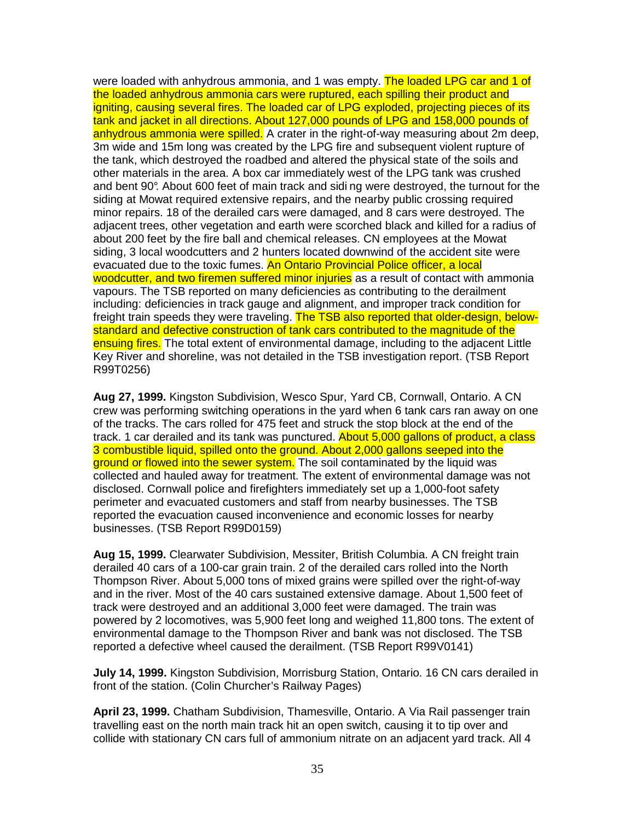were loaded with anhydrous ammonia, and 1 was empty. The loaded LPG car and 1 of the loaded anhydrous ammonia cars were ruptured, each spilling their product and igniting, causing several fires. The loaded car of LPG exploded, projecting pieces of its tank and jacket in all directions. About 127,000 pounds of LPG and 158,000 pounds of anhydrous ammonia were spilled. A crater in the right-of-way measuring about 2m deep, 3m wide and 15m long was created by the LPG fire and subsequent violent rupture of the tank, which destroyed the roadbed and altered the physical state of the soils and other materials in the area. A box car immediately west of the LPG tank was crushed and bent 90°. About 600 feet of main track and sidi ng were destroyed, the turnout for the siding at Mowat required extensive repairs, and the nearby public crossing required minor repairs. 18 of the derailed cars were damaged, and 8 cars were destroyed. The adjacent trees, other vegetation and earth were scorched black and killed for a radius of about 200 feet by the fire ball and chemical releases. CN employees at the Mowat siding, 3 local woodcutters and 2 hunters located downwind of the accident site were evacuated due to the toxic fumes. An Ontario Provincial Police officer, a local woodcutter, and two firemen suffered minor injuries as a result of contact with ammonia vapours. The TSB reported on many deficiencies as contributing to the derailment including: deficiencies in track gauge and alignment, and improper track condition for freight train speeds they were traveling. The TSB also reported that older-design, belowstandard and defective construction of tank cars contributed to the magnitude of the ensuing fires. The total extent of environmental damage, including to the adjacent Little Key River and shoreline, was not detailed in the TSB investigation report. (TSB Report R99T0256)

**Aug 27, 1999.** Kingston Subdivision, Wesco Spur, Yard CB, Cornwall, Ontario. A CN crew was performing switching operations in the yard when 6 tank cars ran away on one of the tracks. The cars rolled for 475 feet and struck the stop block at the end of the track. 1 car derailed and its tank was punctured. About 5,000 gallons of product, a class 3 combustible liquid, spilled onto the ground. About 2,000 gallons seeped into the ground or flowed into the sewer system. The soil contaminated by the liquid was collected and hauled away for treatment. The extent of environmental damage was not disclosed. Cornwall police and firefighters immediately set up a 1,000-foot safety perimeter and evacuated customers and staff from nearby businesses. The TSB reported the evacuation caused inconvenience and economic losses for nearby businesses. (TSB Report R99D0159)

**Aug 15, 1999.** Clearwater Subdivision, Messiter, British Columbia. A CN freight train derailed 40 cars of a 100-car grain train. 2 of the derailed cars rolled into the North Thompson River. About 5,000 tons of mixed grains were spilled over the right-of-way and in the river. Most of the 40 cars sustained extensive damage. About 1,500 feet of track were destroyed and an additional 3,000 feet were damaged. The train was powered by 2 locomotives, was 5,900 feet long and weighed 11,800 tons. The extent of environmental damage to the Thompson River and bank was not disclosed. The TSB reported a defective wheel caused the derailment. (TSB Report R99V0141)

**July 14, 1999.** Kingston Subdivision, Morrisburg Station, Ontario. 16 CN cars derailed in front of the station. (Colin Churcher's Railway Pages)

**April 23, 1999.** Chatham Subdivision, Thamesville, Ontario. A Via Rail passenger train travelling east on the north main track hit an open switch, causing it to tip over and collide with stationary CN cars full of ammonium nitrate on an adjacent yard track. All 4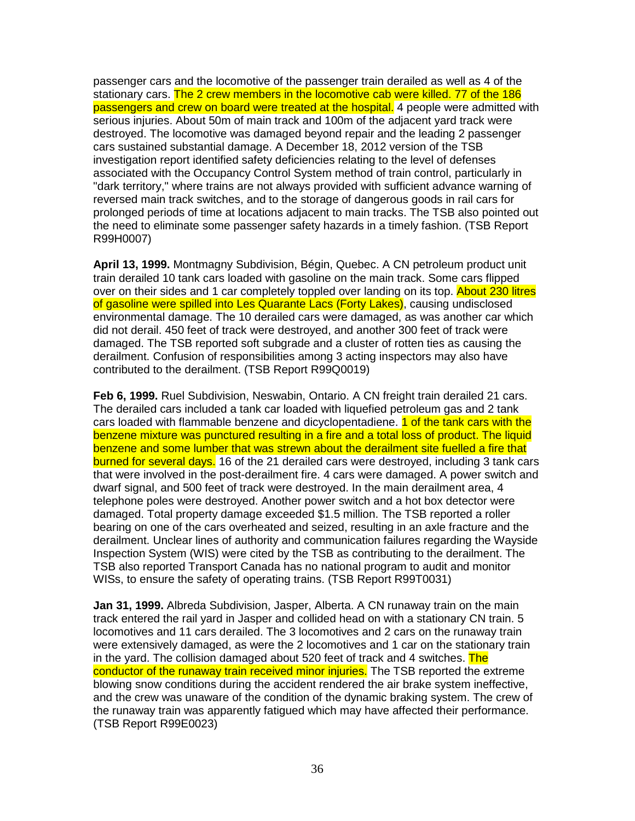passenger cars and the locomotive of the passenger train derailed as well as 4 of the stationary cars. The 2 crew members in the locomotive cab were killed. 77 of the 186 passengers and crew on board were treated at the hospital. 4 people were admitted with serious injuries. About 50m of main track and 100m of the adjacent yard track were destroyed. The locomotive was damaged beyond repair and the leading 2 passenger cars sustained substantial damage. A December 18, 2012 version of the TSB investigation report identified safety deficiencies relating to the level of defenses associated with the Occupancy Control System method of train control, particularly in "dark territory," where trains are not always provided with sufficient advance warning of reversed main track switches, and to the storage of dangerous goods in rail cars for prolonged periods of time at locations adjacent to main tracks. The TSB also pointed out the need to eliminate some passenger safety hazards in a timely fashion. (TSB Report R99H0007)

**April 13, 1999.** Montmagny Subdivision, Bégin, Quebec. A CN petroleum product unit train derailed 10 tank cars loaded with gasoline on the main track. Some cars flipped over on their sides and 1 car completely toppled over landing on its top. About 230 litres of gasoline were spilled into Les Quarante Lacs (Forty Lakes), causing undisclosed environmental damage. The 10 derailed cars were damaged, as was another car which did not derail. 450 feet of track were destroyed, and another 300 feet of track were damaged. The TSB reported soft subgrade and a cluster of rotten ties as causing the derailment. Confusion of responsibilities among 3 acting inspectors may also have contributed to the derailment. (TSB Report R99Q0019)

**Feb 6, 1999.** Ruel Subdivision, Neswabin, Ontario. A CN freight train derailed 21 cars. The derailed cars included a tank car loaded with liquefied petroleum gas and 2 tank cars loaded with flammable benzene and dicyclopentadiene. **1 of the tank cars with the** benzene mixture was punctured resulting in a fire and a total loss of product. The liquid benzene and some lumber that was strewn about the derailment site fuelled a fire that burned for several days. 16 of the 21 derailed cars were destroyed, including 3 tank cars that were involved in the post-derailment fire. 4 cars were damaged. A power switch and dwarf signal, and 500 feet of track were destroyed. In the main derailment area, 4 telephone poles were destroyed. Another power switch and a hot box detector were damaged. Total property damage exceeded \$1.5 million. The TSB reported a roller bearing on one of the cars overheated and seized, resulting in an axle fracture and the derailment. Unclear lines of authority and communication failures regarding the Wayside Inspection System (WIS) were cited by the TSB as contributing to the derailment. The TSB also reported Transport Canada has no national program to audit and monitor WISs, to ensure the safety of operating trains. (TSB Report R99T0031)

**Jan 31, 1999.** Albreda Subdivision, Jasper, Alberta. A CN runaway train on the main track entered the rail yard in Jasper and collided head on with a stationary CN train. 5 locomotives and 11 cars derailed. The 3 locomotives and 2 cars on the runaway train were extensively damaged, as were the 2 locomotives and 1 car on the stationary train in the yard. The collision damaged about 520 feet of track and 4 switches. The conductor of the runaway train received minor injuries. The TSB reported the extreme blowing snow conditions during the accident rendered the air brake system ineffective, and the crew was unaware of the condition of the dynamic braking system. The crew of the runaway train was apparently fatigued which may have affected their performance. (TSB Report R99E0023)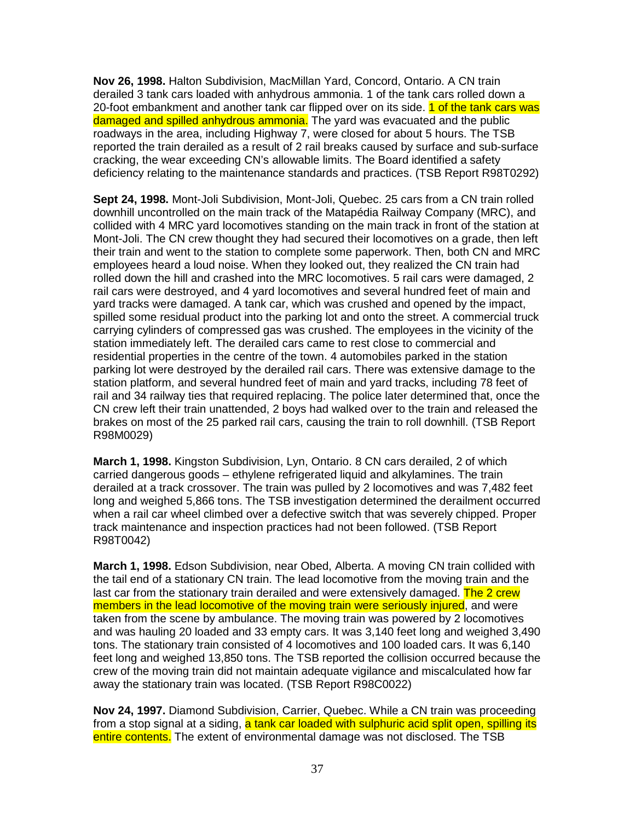**Nov 26, 1998.** Halton Subdivision, MacMillan Yard, Concord, Ontario. A CN train derailed 3 tank cars loaded with anhydrous ammonia. 1 of the tank cars rolled down a 20-foot embankment and another tank car flipped over on its side. 1 of the tank cars was damaged and spilled anhydrous ammonia. The yard was evacuated and the public roadways in the area, including Highway 7, were closed for about 5 hours. The TSB reported the train derailed as a result of 2 rail breaks caused by surface and sub-surface cracking, the wear exceeding CN's allowable limits. The Board identified a safety deficiency relating to the maintenance standards and practices. (TSB Report R98T0292)

**Sept 24, 1998.** Mont-Joli Subdivision, Mont-Joli, Quebec. 25 cars from a CN train rolled downhill uncontrolled on the main track of the Matapédia Railway Company (MRC), and collided with 4 MRC yard locomotives standing on the main track in front of the station at Mont-Joli. The CN crew thought they had secured their locomotives on a grade, then left their train and went to the station to complete some paperwork. Then, both CN and MRC employees heard a loud noise. When they looked out, they realized the CN train had rolled down the hill and crashed into the MRC locomotives. 5 rail cars were damaged, 2 rail cars were destroyed, and 4 yard locomotives and several hundred feet of main and yard tracks were damaged. A tank car, which was crushed and opened by the impact, spilled some residual product into the parking lot and onto the street. A commercial truck carrying cylinders of compressed gas was crushed. The employees in the vicinity of the station immediately left. The derailed cars came to rest close to commercial and residential properties in the centre of the town. 4 automobiles parked in the station parking lot were destroyed by the derailed rail cars. There was extensive damage to the station platform, and several hundred feet of main and yard tracks, including 78 feet of rail and 34 railway ties that required replacing. The police later determined that, once the CN crew left their train unattended, 2 boys had walked over to the train and released the brakes on most of the 25 parked rail cars, causing the train to roll downhill. (TSB Report R98M0029)

**March 1, 1998.** Kingston Subdivision, Lyn, Ontario. 8 CN cars derailed, 2 of which carried dangerous goods – ethylene refrigerated liquid and alkylamines. The train derailed at a track crossover. The train was pulled by 2 locomotives and was 7,482 feet long and weighed 5,866 tons. The TSB investigation determined the derailment occurred when a rail car wheel climbed over a defective switch that was severely chipped. Proper track maintenance and inspection practices had not been followed. (TSB Report R98T0042)

**March 1, 1998.** Edson Subdivision, near Obed, Alberta. A moving CN train collided with the tail end of a stationary CN train. The lead locomotive from the moving train and the last car from the stationary train derailed and were extensively damaged. The 2 crew members in the lead locomotive of the moving train were seriously injured, and were taken from the scene by ambulance. The moving train was powered by 2 locomotives and was hauling 20 loaded and 33 empty cars. It was 3,140 feet long and weighed 3,490 tons. The stationary train consisted of 4 locomotives and 100 loaded cars. It was 6,140 feet long and weighed 13,850 tons. The TSB reported the collision occurred because the crew of the moving train did not maintain adequate vigilance and miscalculated how far away the stationary train was located. (TSB Report R98C0022)

**Nov 24, 1997.** Diamond Subdivision, Carrier, Quebec. While a CN train was proceeding from a stop signal at a siding, a tank car loaded with sulphuric acid split open, spilling its entire contents. The extent of environmental damage was not disclosed. The TSB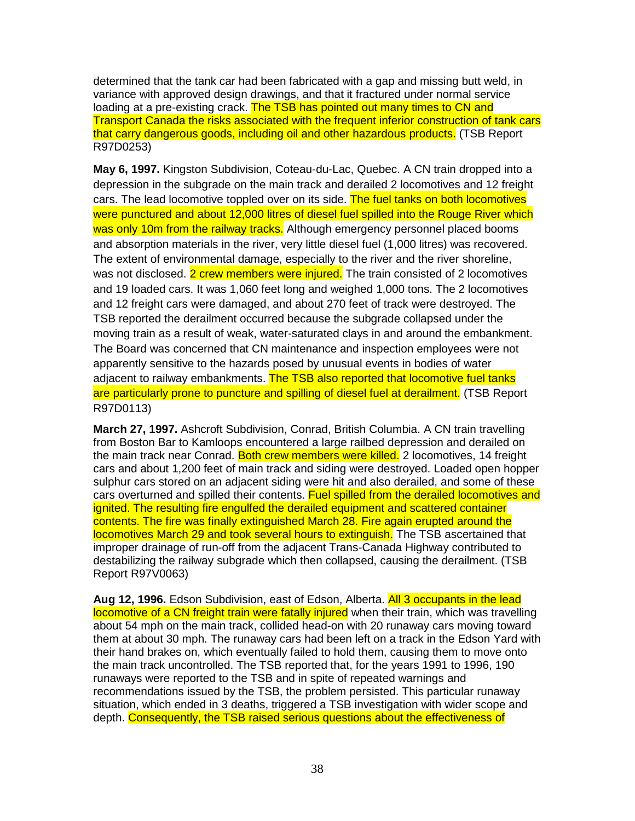determined that the tank car had been fabricated with a gap and missing butt weld, in variance with approved design drawings, and that it fractured under normal service loading at a pre-existing crack. The TSB has pointed out many times to CN and Transport Canada the risks associated with the frequent inferior construction of tank cars that carry dangerous goods, including oil and other hazardous products. (TSB Report R97D0253)

**May 6, 1997.** Kingston Subdivision, Coteau-du-Lac, Quebec. A CN train dropped into a depression in the subgrade on the main track and derailed 2 locomotives and 12 freight cars. The lead locomotive toppled over on its side. The fuel tanks on both locomotives were punctured and about 12,000 litres of diesel fuel spilled into the Rouge River which was only 10m from the railway tracks. Although emergency personnel placed booms and absorption materials in the river, very little diesel fuel (1,000 litres) was recovered. The extent of environmental damage, especially to the river and the river shoreline, was not disclosed. 2 crew members were injured. The train consisted of 2 locomotives and 19 loaded cars. It was 1,060 feet long and weighed 1,000 tons. The 2 locomotives and 12 freight cars were damaged, and about 270 feet of track were destroyed. The TSB reported the derailment occurred because the subgrade collapsed under the moving train as a result of weak, water-saturated clays in and around the embankment. The Board was concerned that CN maintenance and inspection employees were not apparently sensitive to the hazards posed by unusual events in bodies of water adjacent to railway embankments. The TSB also reported that locomotive fuel tanks are particularly prone to puncture and spilling of diesel fuel at derailment. (TSB Report R97D0113)

**March 27, 1997.** Ashcroft Subdivision, Conrad, British Columbia. A CN train travelling from Boston Bar to Kamloops encountered a large railbed depression and derailed on the main track near Conrad. Both crew members were killed. 2 locomotives, 14 freight cars and about 1,200 feet of main track and siding were destroyed. Loaded open hopper sulphur cars stored on an adjacent siding were hit and also derailed, and some of these cars overturned and spilled their contents. Fuel spilled from the derailed locomotives and ignited. The resulting fire engulfed the derailed equipment and scattered container contents. The fire was finally extinguished March 28. Fire again erupted around the locomotives March 29 and took several hours to extinguish. The TSB ascertained that improper drainage of run-off from the adjacent Trans-Canada Highway contributed to destabilizing the railway subgrade which then collapsed, causing the derailment. (TSB Report R97V0063)

**Aug 12, 1996.** Edson Subdivision, east of Edson, Alberta. All 3 occupants in the lead locomotive of a CN freight train were fatally injured when their train, which was travelling about 54 mph on the main track, collided head-on with 20 runaway cars moving toward them at about 30 mph. The runaway cars had been left on a track in the Edson Yard with their hand brakes on, which eventually failed to hold them, causing them to move onto the main track uncontrolled. The TSB reported that, for the years 1991 to 1996, 190 runaways were reported to the TSB and in spite of repeated warnings and recommendations issued by the TSB, the problem persisted. This particular runaway situation, which ended in 3 deaths, triggered a TSB investigation with wider scope and depth. Consequently, the TSB raised serious questions about the effectiveness of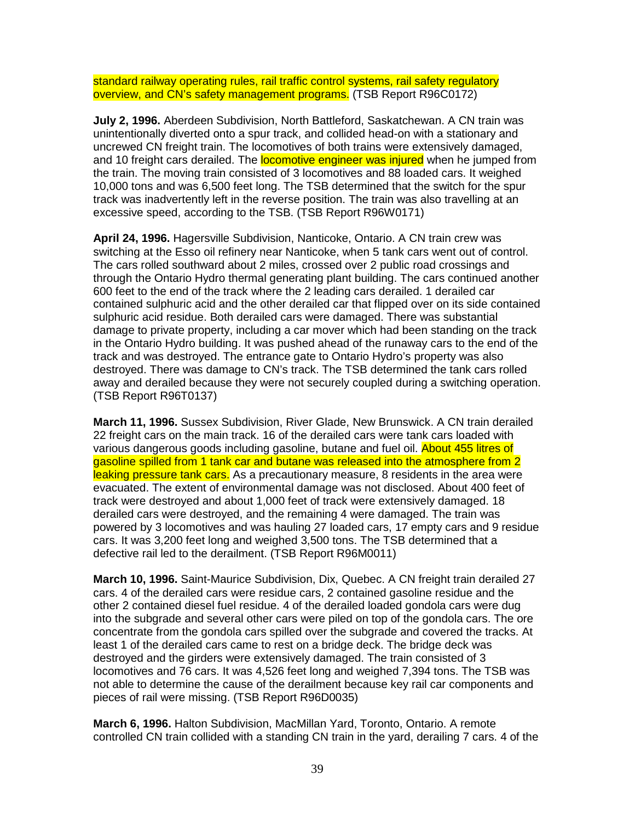standard railway operating rules, rail traffic control systems, rail safety regulatory overview, and CN's safety management programs. (TSB Report R96C0172)

**July 2, 1996.** Aberdeen Subdivision, North Battleford, Saskatchewan. A CN train was unintentionally diverted onto a spur track, and collided head-on with a stationary and uncrewed CN freight train. The locomotives of both trains were extensively damaged, and 10 freight cars derailed. The **locomotive engineer was injured** when he jumped from the train. The moving train consisted of 3 locomotives and 88 loaded cars. It weighed 10,000 tons and was 6,500 feet long. The TSB determined that the switch for the spur track was inadvertently left in the reverse position. The train was also travelling at an excessive speed, according to the TSB. (TSB Report R96W0171)

**April 24, 1996.** Hagersville Subdivision, Nanticoke, Ontario. A CN train crew was switching at the Esso oil refinery near Nanticoke, when 5 tank cars went out of control. The cars rolled southward about 2 miles, crossed over 2 public road crossings and through the Ontario Hydro thermal generating plant building. The cars continued another 600 feet to the end of the track where the 2 leading cars derailed. 1 derailed car contained sulphuric acid and the other derailed car that flipped over on its side contained sulphuric acid residue. Both derailed cars were damaged. There was substantial damage to private property, including a car mover which had been standing on the track in the Ontario Hydro building. It was pushed ahead of the runaway cars to the end of the track and was destroyed. The entrance gate to Ontario Hydro's property was also destroyed. There was damage to CN's track. The TSB determined the tank cars rolled away and derailed because they were not securely coupled during a switching operation. (TSB Report R96T0137)

**March 11, 1996.** Sussex Subdivision, River Glade, New Brunswick. A CN train derailed 22 freight cars on the main track. 16 of the derailed cars were tank cars loaded with various dangerous goods including gasoline, butane and fuel oil. About 455 litres of gasoline spilled from 1 tank car and butane was released into the atmosphere from 2 leaking pressure tank cars. As a precautionary measure, 8 residents in the area were evacuated. The extent of environmental damage was not disclosed. About 400 feet of track were destroyed and about 1,000 feet of track were extensively damaged. 18 derailed cars were destroyed, and the remaining 4 were damaged. The train was powered by 3 locomotives and was hauling 27 loaded cars, 17 empty cars and 9 residue cars. It was 3,200 feet long and weighed 3,500 tons. The TSB determined that a defective rail led to the derailment. (TSB Report R96M0011)

**March 10, 1996.** Saint-Maurice Subdivision, Dix, Quebec. A CN freight train derailed 27 cars. 4 of the derailed cars were residue cars, 2 contained gasoline residue and the other 2 contained diesel fuel residue. 4 of the derailed loaded gondola cars were dug into the subgrade and several other cars were piled on top of the gondola cars. The ore concentrate from the gondola cars spilled over the subgrade and covered the tracks. At least 1 of the derailed cars came to rest on a bridge deck. The bridge deck was destroyed and the girders were extensively damaged. The train consisted of 3 locomotives and 76 cars. It was 4,526 feet long and weighed 7,394 tons. The TSB was not able to determine the cause of the derailment because key rail car components and pieces of rail were missing. (TSB Report R96D0035)

**March 6, 1996.** Halton Subdivision, MacMillan Yard, Toronto, Ontario. A remote controlled CN train collided with a standing CN train in the yard, derailing 7 cars. 4 of the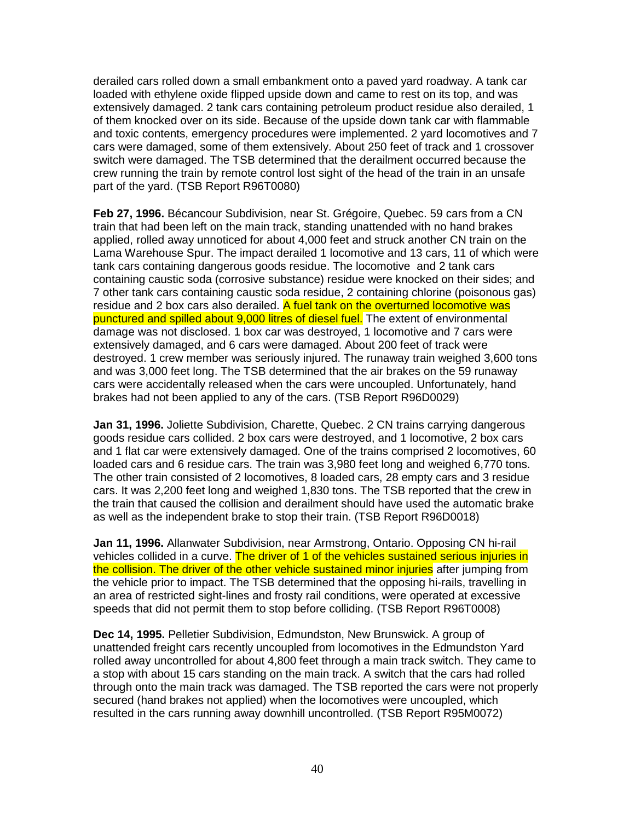derailed cars rolled down a small embankment onto a paved yard roadway. A tank car loaded with ethylene oxide flipped upside down and came to rest on its top, and was extensively damaged. 2 tank cars containing petroleum product residue also derailed, 1 of them knocked over on its side. Because of the upside down tank car with flammable and toxic contents, emergency procedures were implemented. 2 yard locomotives and 7 cars were damaged, some of them extensively. About 250 feet of track and 1 crossover switch were damaged. The TSB determined that the derailment occurred because the crew running the train by remote control lost sight of the head of the train in an unsafe part of the yard. (TSB Report R96T0080)

**Feb 27, 1996.** Bécancour Subdivision, near St. Grégoire, Quebec. 59 cars from a CN train that had been left on the main track, standing unattended with no hand brakes applied, rolled away unnoticed for about 4,000 feet and struck another CN train on the Lama Warehouse Spur. The impact derailed 1 locomotive and 13 cars, 11 of which were tank cars containing dangerous goods residue. The locomotive and 2 tank cars containing caustic soda (corrosive substance) residue were knocked on their sides; and 7 other tank cars containing caustic soda residue, 2 containing chlorine (poisonous gas) residue and 2 box cars also derailed. A fuel tank on the overturned locomotive was punctured and spilled about 9,000 litres of diesel fuel. The extent of environmental damage was not disclosed. 1 box car was destroyed, 1 locomotive and 7 cars were extensively damaged, and 6 cars were damaged. About 200 feet of track were destroyed. 1 crew member was seriously injured. The runaway train weighed 3,600 tons and was 3,000 feet long. The TSB determined that the air brakes on the 59 runaway cars were accidentally released when the cars were uncoupled. Unfortunately, hand brakes had not been applied to any of the cars. (TSB Report R96D0029)

**Jan 31, 1996.** Joliette Subdivision, Charette, Quebec. 2 CN trains carrying dangerous goods residue cars collided. 2 box cars were destroyed, and 1 locomotive, 2 box cars and 1 flat car were extensively damaged. One of the trains comprised 2 locomotives, 60 loaded cars and 6 residue cars. The train was 3,980 feet long and weighed 6,770 tons. The other train consisted of 2 locomotives, 8 loaded cars, 28 empty cars and 3 residue cars. It was 2,200 feet long and weighed 1,830 tons. The TSB reported that the crew in the train that caused the collision and derailment should have used the automatic brake as well as the independent brake to stop their train. (TSB Report R96D0018)

**Jan 11, 1996.** Allanwater Subdivision, near Armstrong, Ontario. Opposing CN hi-rail vehicles collided in a curve. The driver of 1 of the vehicles sustained serious injuries in the collision. The driver of the other vehicle sustained minor injuries after jumping from the vehicle prior to impact. The TSB determined that the opposing hi-rails, travelling in an area of restricted sight-lines and frosty rail conditions, were operated at excessive speeds that did not permit them to stop before colliding. (TSB Report R96T0008)

**Dec 14, 1995.** Pelletier Subdivision, Edmundston, New Brunswick. A group of unattended freight cars recently uncoupled from locomotives in the Edmundston Yard rolled away uncontrolled for about 4,800 feet through a main track switch. They came to a stop with about 15 cars standing on the main track. A switch that the cars had rolled through onto the main track was damaged. The TSB reported the cars were not properly secured (hand brakes not applied) when the locomotives were uncoupled, which resulted in the cars running away downhill uncontrolled. (TSB Report R95M0072)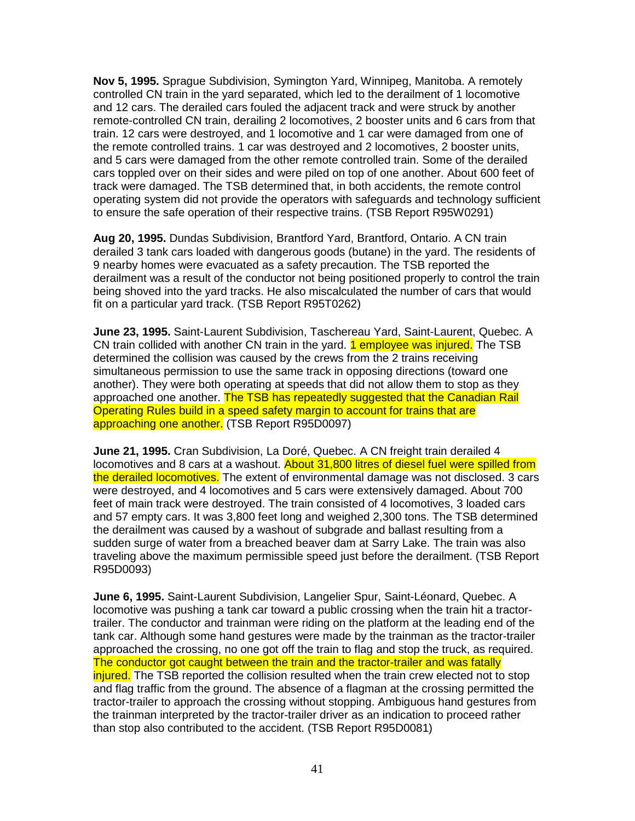**Nov 5, 1995.** Sprague Subdivision, Symington Yard, Winnipeg, Manitoba. A remotely controlled CN train in the yard separated, which led to the derailment of 1 locomotive and 12 cars. The derailed cars fouled the adjacent track and were struck by another remote-controlled CN train, derailing 2 locomotives, 2 booster units and 6 cars from that train. 12 cars were destroyed, and 1 locomotive and 1 car were damaged from one of the remote controlled trains. 1 car was destroyed and 2 locomotives, 2 booster units, and 5 cars were damaged from the other remote controlled train. Some of the derailed cars toppled over on their sides and were piled on top of one another. About 600 feet of track were damaged. The TSB determined that, in both accidents, the remote control operating system did not provide the operators with safeguards and technology sufficient to ensure the safe operation of their respective trains. (TSB Report R95W0291)

**Aug 20, 1995.** Dundas Subdivision, Brantford Yard, Brantford, Ontario. A CN train derailed 3 tank cars loaded with dangerous goods (butane) in the yard. The residents of 9 nearby homes were evacuated as a safety precaution. The TSB reported the derailment was a result of the conductor not being positioned properly to control the train being shoved into the yard tracks. He also miscalculated the number of cars that would fit on a particular yard track. (TSB Report R95T0262)

**June 23, 1995.** Saint-Laurent Subdivision, Taschereau Yard, Saint-Laurent, Quebec. A CN train collided with another CN train in the yard. **1 employee was injured.** The TSB determined the collision was caused by the crews from the 2 trains receiving simultaneous permission to use the same track in opposing directions (toward one another). They were both operating at speeds that did not allow them to stop as they approached one another. The TSB has repeatedly suggested that the Canadian Rail Operating Rules build in a speed safety margin to account for trains that are approaching one another. (TSB Report R95D0097)

**June 21, 1995.** Cran Subdivision, La Doré, Quebec. A CN freight train derailed 4 locomotives and 8 cars at a washout. About 31,800 litres of diesel fuel were spilled from the derailed locomotives. The extent of environmental damage was not disclosed. 3 cars were destroyed, and 4 locomotives and 5 cars were extensively damaged. About 700 feet of main track were destroyed. The train consisted of 4 locomotives, 3 loaded cars and 57 empty cars. It was 3,800 feet long and weighed 2,300 tons. The TSB determined the derailment was caused by a washout of subgrade and ballast resulting from a sudden surge of water from a breached beaver dam at Sarry Lake. The train was also traveling above the maximum permissible speed just before the derailment. (TSB Report R95D0093)

**June 6, 1995.** Saint-Laurent Subdivision, Langelier Spur, Saint-Léonard, Quebec. A locomotive was pushing a tank car toward a public crossing when the train hit a tractortrailer. The conductor and trainman were riding on the platform at the leading end of the tank car. Although some hand gestures were made by the trainman as the tractor-trailer approached the crossing, no one got off the train to flag and stop the truck, as required. The conductor got caught between the train and the tractor-trailer and was fatally injured. The TSB reported the collision resulted when the train crew elected not to stop and flag traffic from the ground. The absence of a flagman at the crossing permitted the tractor-trailer to approach the crossing without stopping. Ambiguous hand gestures from the trainman interpreted by the tractor-trailer driver as an indication to proceed rather than stop also contributed to the accident. (TSB Report R95D0081)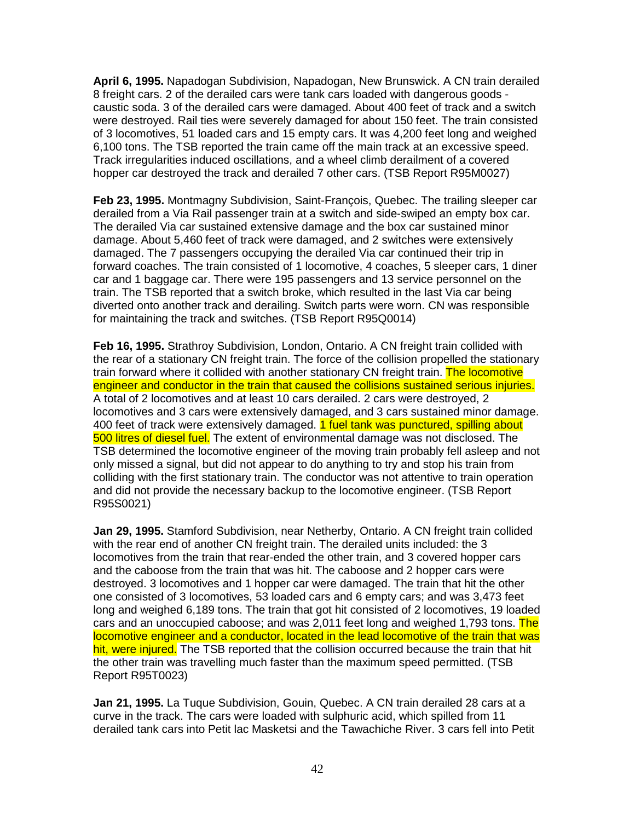**April 6, 1995.** Napadogan Subdivision, Napadogan, New Brunswick. A CN train derailed 8 freight cars. 2 of the derailed cars were tank cars loaded with dangerous goods caustic soda. 3 of the derailed cars were damaged. About 400 feet of track and a switch were destroyed. Rail ties were severely damaged for about 150 feet. The train consisted of 3 locomotives, 51 loaded cars and 15 empty cars. It was 4,200 feet long and weighed 6,100 tons. The TSB reported the train came off the main track at an excessive speed. Track irregularities induced oscillations, and a wheel climb derailment of a covered hopper car destroyed the track and derailed 7 other cars. (TSB Report R95M0027)

**Feb 23, 1995.** Montmagny Subdivision, Saint-François, Quebec. The trailing sleeper car derailed from a Via Rail passenger train at a switch and side-swiped an empty box car. The derailed Via car sustained extensive damage and the box car sustained minor damage. About 5,460 feet of track were damaged, and 2 switches were extensively damaged. The 7 passengers occupying the derailed Via car continued their trip in forward coaches. The train consisted of 1 locomotive, 4 coaches, 5 sleeper cars, 1 diner car and 1 baggage car. There were 195 passengers and 13 service personnel on the train. The TSB reported that a switch broke, which resulted in the last Via car being diverted onto another track and derailing. Switch parts were worn. CN was responsible for maintaining the track and switches. (TSB Report R95Q0014)

**Feb 16, 1995.** Strathroy Subdivision, London, Ontario. A CN freight train collided with the rear of a stationary CN freight train. The force of the collision propelled the stationary train forward where it collided with another stationary CN freight train. The locomotive engineer and conductor in the train that caused the collisions sustained serious injuries. A total of 2 locomotives and at least 10 cars derailed. 2 cars were destroyed, 2 locomotives and 3 cars were extensively damaged, and 3 cars sustained minor damage. 400 feet of track were extensively damaged. 1 fuel tank was punctured, spilling about 500 litres of diesel fuel. The extent of environmental damage was not disclosed. The TSB determined the locomotive engineer of the moving train probably fell asleep and not only missed a signal, but did not appear to do anything to try and stop his train from colliding with the first stationary train. The conductor was not attentive to train operation and did not provide the necessary backup to the locomotive engineer. (TSB Report R95S0021)

**Jan 29, 1995.** Stamford Subdivision, near Netherby, Ontario. A CN freight train collided with the rear end of another CN freight train. The derailed units included: the 3 locomotives from the train that rear-ended the other train, and 3 covered hopper cars and the caboose from the train that was hit. The caboose and 2 hopper cars were destroyed. 3 locomotives and 1 hopper car were damaged. The train that hit the other one consisted of 3 locomotives, 53 loaded cars and 6 empty cars; and was 3,473 feet long and weighed 6,189 tons. The train that got hit consisted of 2 locomotives, 19 loaded cars and an unoccupied caboose; and was 2,011 feet long and weighed 1,793 tons. The locomotive engineer and a conductor, located in the lead locomotive of the train that was hit, were injured. The TSB reported that the collision occurred because the train that hit the other train was travelling much faster than the maximum speed permitted. (TSB Report R95T0023)

**Jan 21, 1995.** La Tuque Subdivision, Gouin, Quebec. A CN train derailed 28 cars at a curve in the track. The cars were loaded with sulphuric acid, which spilled from 11 derailed tank cars into Petit lac Masketsi and the Tawachiche River. 3 cars fell into Petit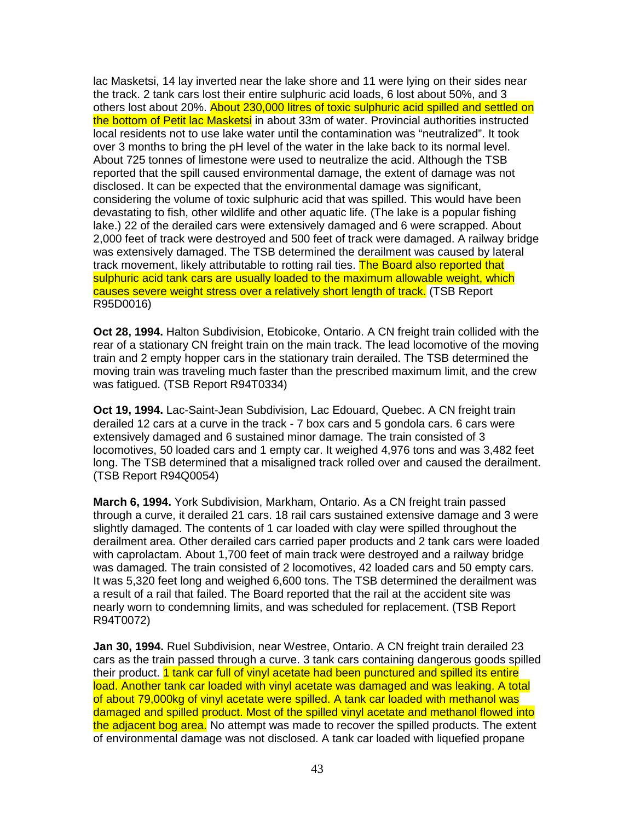lac Masketsi, 14 lay inverted near the lake shore and 11 were lying on their sides near the track. 2 tank cars lost their entire sulphuric acid loads, 6 lost about 50%, and 3 others lost about 20%. About 230,000 litres of toxic sulphuric acid spilled and settled on the bottom of Petit lac Masketsi in about 33m of water. Provincial authorities instructed local residents not to use lake water until the contamination was "neutralized". It took over 3 months to bring the pH level of the water in the lake back to its normal level. About 725 tonnes of limestone were used to neutralize the acid. Although the TSB reported that the spill caused environmental damage, the extent of damage was not disclosed. It can be expected that the environmental damage was significant, considering the volume of toxic sulphuric acid that was spilled. This would have been devastating to fish, other wildlife and other aquatic life. (The lake is a popular fishing lake.) 22 of the derailed cars were extensively damaged and 6 were scrapped. About 2,000 feet of track were destroyed and 500 feet of track were damaged. A railway bridge was extensively damaged. The TSB determined the derailment was caused by lateral track movement, likely attributable to rotting rail ties. The Board also reported that sulphuric acid tank cars are usually loaded to the maximum allowable weight, which causes severe weight stress over a relatively short length of track. (TSB Report R95D0016)

**Oct 28, 1994.** Halton Subdivision, Etobicoke, Ontario. A CN freight train collided with the rear of a stationary CN freight train on the main track. The lead locomotive of the moving train and 2 empty hopper cars in the stationary train derailed. The TSB determined the moving train was traveling much faster than the prescribed maximum limit, and the crew was fatigued. (TSB Report R94T0334)

**Oct 19, 1994.** Lac-Saint-Jean Subdivision, Lac Edouard, Quebec. A CN freight train derailed 12 cars at a curve in the track - 7 box cars and 5 gondola cars. 6 cars were extensively damaged and 6 sustained minor damage. The train consisted of 3 locomotives, 50 loaded cars and 1 empty car. It weighed 4,976 tons and was 3,482 feet long. The TSB determined that a misaligned track rolled over and caused the derailment. (TSB Report R94Q0054)

**March 6, 1994.** York Subdivision, Markham, Ontario. As a CN freight train passed through a curve, it derailed 21 cars. 18 rail cars sustained extensive damage and 3 were slightly damaged. The contents of 1 car loaded with clay were spilled throughout the derailment area. Other derailed cars carried paper products and 2 tank cars were loaded with caprolactam. About 1,700 feet of main track were destroyed and a railway bridge was damaged. The train consisted of 2 locomotives, 42 loaded cars and 50 empty cars. It was 5,320 feet long and weighed 6,600 tons. The TSB determined the derailment was a result of a rail that failed. The Board reported that the rail at the accident site was nearly worn to condemning limits, and was scheduled for replacement. (TSB Report R94T0072)

**Jan 30, 1994.** Ruel Subdivision, near Westree, Ontario. A CN freight train derailed 23 cars as the train passed through a curve. 3 tank cars containing dangerous goods spilled their product. 1 tank car full of vinyl acetate had been punctured and spilled its entire load. Another tank car loaded with vinyl acetate was damaged and was leaking. A total of about 79,000kg of vinyl acetate were spilled. A tank car loaded with methanol was damaged and spilled product. Most of the spilled vinyl acetate and methanol flowed into the adjacent bog area. No attempt was made to recover the spilled products. The extent of environmental damage was not disclosed. A tank car loaded with liquefied propane